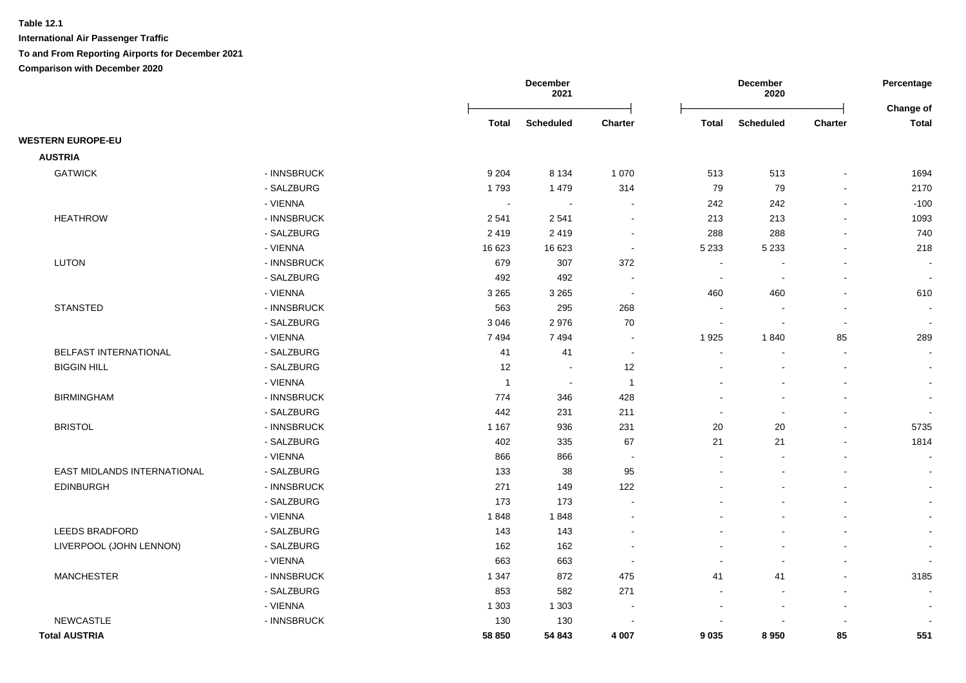|                             |             |                | December<br>2021 |                |                          | December<br>2020         |                          | Percentage<br>Change of  |
|-----------------------------|-------------|----------------|------------------|----------------|--------------------------|--------------------------|--------------------------|--------------------------|
|                             |             | Total          | <b>Scheduled</b> | <b>Charter</b> | <b>Total</b>             | <b>Scheduled</b>         | <b>Charter</b>           | <b>Total</b>             |
| <b>WESTERN EUROPE-EU</b>    |             |                |                  |                |                          |                          |                          |                          |
| <b>AUSTRIA</b>              |             |                |                  |                |                          |                          |                          |                          |
| <b>GATWICK</b>              | - INNSBRUCK | 9 2 0 4        | 8 1 3 4          | 1 0 7 0        | 513                      | 513                      |                          | 1694                     |
|                             | - SALZBURG  | 1793           | 1479             | 314            | 79                       | 79                       | $\overline{\phantom{a}}$ | 2170                     |
|                             | - VIENNA    | $\sim$         | $\blacksquare$   |                | 242                      | 242                      |                          | $-100$                   |
| <b>HEATHROW</b>             | - INNSBRUCK | 2541           | 2541             | $\sim$         | 213                      | 213                      |                          | 1093                     |
|                             | - SALZBURG  | 2419           | 2419             |                | 288                      | 288                      |                          | 740                      |
|                             | - VIENNA    | 16 623         | 16 623           | $\blacksquare$ | 5 2 3 3                  | 5 2 3 3                  |                          | 218                      |
| <b>LUTON</b>                | - INNSBRUCK | 679            | 307              | 372            | $\sim$                   |                          |                          |                          |
|                             | - SALZBURG  | 492            | 492              |                | $\overline{\phantom{a}}$ | $\overline{\phantom{a}}$ |                          | $\blacksquare$           |
|                             | - VIENNA    | 3 2 6 5        | 3 2 6 5          | $\sim$         | 460                      | 460                      |                          | 610                      |
| <b>STANSTED</b>             | - INNSBRUCK | 563            | 295              | 268            | $\overline{\phantom{a}}$ |                          |                          | $\overline{\phantom{a}}$ |
|                             | - SALZBURG  | 3 0 4 6        | 2976             | 70             | $\overline{\phantom{a}}$ |                          |                          | $\sim$                   |
|                             | - VIENNA    | 7494           | 7494             | $\sim$         | 1925                     | 1840                     | 85                       | 289                      |
| BELFAST INTERNATIONAL       | - SALZBURG  | 41             | 41               | $\sim$         | $\overline{\phantom{a}}$ |                          |                          | $\sim$                   |
| <b>BIGGIN HILL</b>          | - SALZBURG  | 12             | $\sim$           | 12             |                          |                          |                          | $\blacksquare$           |
|                             | - VIENNA    | $\overline{1}$ | $\sim$           | $\overline{1}$ |                          |                          |                          | $\sim$                   |
| <b>BIRMINGHAM</b>           | - INNSBRUCK | 774            | 346              | 428            |                          |                          |                          | $\overline{\phantom{a}}$ |
|                             | - SALZBURG  | 442            | 231              | 211            | $\overline{\phantom{a}}$ | $\overline{\phantom{a}}$ |                          | $\overline{\phantom{a}}$ |
| <b>BRISTOL</b>              | - INNSBRUCK | 1 1 6 7        | 936              | 231            | 20                       | 20                       |                          | 5735                     |
|                             | - SALZBURG  | 402            | 335              | 67             | 21                       | 21                       |                          | 1814                     |
|                             | - VIENNA    | 866            | 866              | $\sim$         | $\sim$                   |                          |                          | $\sim$                   |
| EAST MIDLANDS INTERNATIONAL | - SALZBURG  | 133            | 38               | 95             | $\overline{\phantom{a}}$ |                          |                          | $\sim$                   |
| <b>EDINBURGH</b>            | - INNSBRUCK | 271            | 149              | 122            |                          |                          |                          | $\sim$                   |
|                             | - SALZBURG  | 173            | 173              |                |                          |                          |                          | $\blacksquare$           |
|                             | - VIENNA    | 1848           | 1848             |                |                          |                          |                          | $\blacksquare$           |
| LEEDS BRADFORD              | - SALZBURG  | 143            | 143              |                |                          |                          |                          | $\blacksquare$           |
| LIVERPOOL (JOHN LENNON)     | - SALZBURG  | 162            | 162              |                |                          |                          |                          | $\overline{\phantom{a}}$ |
|                             | - VIENNA    | 663            | 663              |                |                          |                          |                          |                          |
| <b>MANCHESTER</b>           | - INNSBRUCK | 1 3 4 7        | 872              | 475            | 41                       | 41                       |                          | 3185                     |
|                             | - SALZBURG  | 853            | 582              | 271            |                          |                          |                          |                          |
|                             | - VIENNA    | 1 3 0 3        | 1 3 0 3          |                |                          |                          |                          |                          |
| <b>NEWCASTLE</b>            | - INNSBRUCK | 130            | 130              |                |                          |                          |                          |                          |
| <b>Total AUSTRIA</b>        |             | 58 850         | 54 843           | 4 0 0 7        | 9035                     | 8950                     | 85                       | 551                      |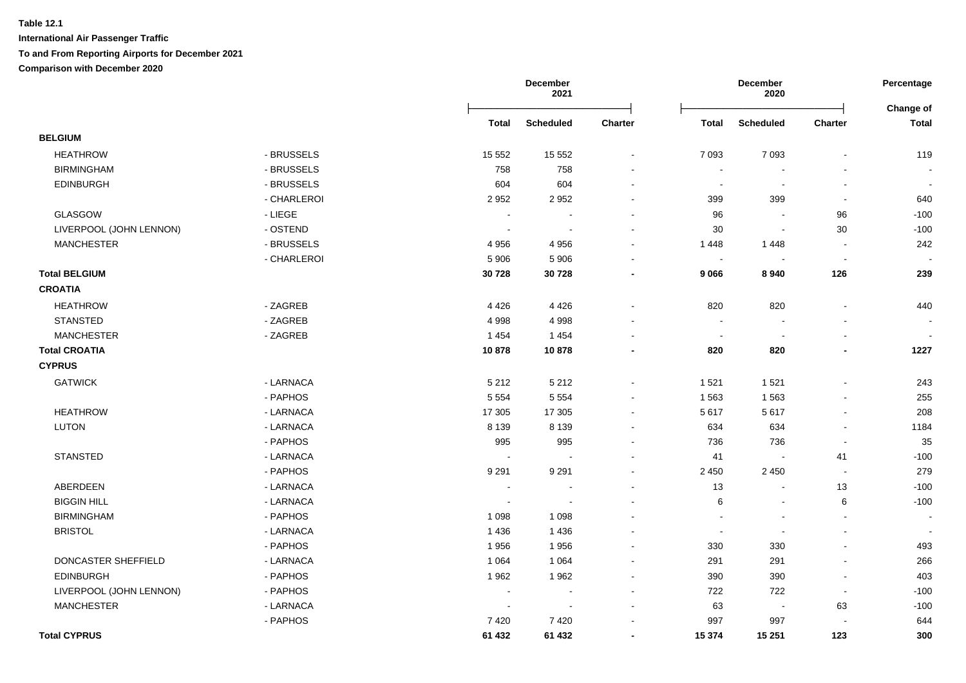|                         |             |                | December<br>2021         |                          |                          | <b>December</b><br>2020  |                | Percentage         |
|-------------------------|-------------|----------------|--------------------------|--------------------------|--------------------------|--------------------------|----------------|--------------------|
|                         |             | <b>Total</b>   | <b>Scheduled</b>         | <b>Charter</b>           | <b>Total</b>             | <b>Scheduled</b>         | <b>Charter</b> | Change of<br>Total |
| <b>BELGIUM</b>          |             |                |                          |                          |                          |                          |                |                    |
| <b>HEATHROW</b>         | - BRUSSELS  | 15 552         | 15 5 52                  | $\blacksquare$           | 7 0 9 3                  | 7 0 9 3                  |                | 119                |
| <b>BIRMINGHAM</b>       | - BRUSSELS  | 758            | 758                      |                          | $\overline{\phantom{a}}$ |                          |                |                    |
| <b>EDINBURGH</b>        | - BRUSSELS  | 604            | 604                      |                          | $\sim$                   |                          | $\blacksquare$ |                    |
|                         | - CHARLEROI | 2952           | 2952                     |                          | 399                      | 399                      | $\sim$         | 640                |
| GLASGOW                 | - LIEGE     | $\sim$         | $\sim$                   |                          | 96                       | $\sim$                   | 96             | $-100$             |
| LIVERPOOL (JOHN LENNON) | - OSTEND    | $\sim$         | $\sim$                   | $\sim$                   | 30                       | $\overline{\phantom{a}}$ | 30             | $-100$             |
| <b>MANCHESTER</b>       | - BRUSSELS  | 4956           | 4956                     | $\overline{\phantom{a}}$ | 1448                     | 1448                     | $\sim$         | 242                |
|                         | - CHARLEROI | 5 9 0 6        | 5 9 0 6                  |                          | $\sim$                   | $\overline{\phantom{a}}$ | $\blacksquare$ |                    |
| <b>Total BELGIUM</b>    |             | 30728          | 30728                    | $\overline{\phantom{0}}$ | 9 0 66                   | 8940                     | 126            | 239                |
| <b>CROATIA</b>          |             |                |                          |                          |                          |                          |                |                    |
| <b>HEATHROW</b>         | - ZAGREB    | 4 4 2 6        | 4 4 2 6                  |                          | 820                      | 820                      | L.             | 440                |
| <b>STANSTED</b>         | - ZAGREB    | 4 9 9 8        | 4998                     |                          | $\overline{a}$           |                          |                |                    |
| <b>MANCHESTER</b>       | - ZAGREB    | 1 4 5 4        | 1 4 5 4                  |                          | $\sim$                   |                          | $\blacksquare$ |                    |
| <b>Total CROATIA</b>    |             | 10878          | 10878                    |                          | 820                      | 820                      | $\blacksquare$ | 1227               |
| <b>CYPRUS</b>           |             |                |                          |                          |                          |                          |                |                    |
| <b>GATWICK</b>          | - LARNACA   | 5 2 1 2        | 5 2 1 2                  | $\sim$                   | 1521                     | 1 5 2 1                  | ä,             | 243                |
|                         | - PAPHOS    | 5 5 5 4        | 5 5 5 4                  | $\sim$                   | 1 5 6 3                  | 1563                     | $\blacksquare$ | 255                |
| <b>HEATHROW</b>         | - LARNACA   | 17 30 5        | 17 30 5                  | $\sim$                   | 5617                     | 5617                     | $\blacksquare$ | 208                |
| <b>LUTON</b>            | - LARNACA   | 8 1 3 9        | 8 1 3 9                  | $\sim$                   | 634                      | 634                      | $\blacksquare$ | 1184               |
|                         | - PAPHOS    | 995            | 995                      |                          | 736                      | 736                      | $\blacksquare$ | 35                 |
| <b>STANSTED</b>         | - LARNACA   | $\sim$         | $\overline{\phantom{a}}$ | $\blacksquare$           | 41                       |                          | 41             | $-100$             |
|                         | - PAPHOS    | 9 2 9 1        | 9 2 9 1                  | $\sim$                   | 2 4 5 0                  | 2 4 5 0                  | $\sim$         | 279                |
| ABERDEEN                | - LARNACA   | $\blacksquare$ | $\overline{\phantom{a}}$ | $\sim$                   | 13                       | $\overline{\phantom{a}}$ | 13             | $-100$             |
| <b>BIGGIN HILL</b>      | - LARNACA   | $\sim$         | $\sim$                   |                          | 6                        | $\sim$                   | 6              | $-100$             |
| <b>BIRMINGHAM</b>       | - PAPHOS    | 1 0 9 8        | 1 0 9 8                  |                          |                          |                          | $\sim$         |                    |
| <b>BRISTOL</b>          | - LARNACA   | 1436           | 1 4 3 6                  |                          | $\sim$                   |                          | $\blacksquare$ |                    |
|                         | - PAPHOS    | 1956           | 1956                     |                          | 330                      | 330                      | $\overline{a}$ | 493                |
| DONCASTER SHEFFIELD     | - LARNACA   | 1 0 6 4        | 1 0 6 4                  |                          | 291                      | 291                      | $\blacksquare$ | 266                |
| <b>EDINBURGH</b>        | - PAPHOS    | 1962           | 1962                     | $\sim$                   | 390                      | 390                      | $\blacksquare$ | 403                |
| LIVERPOOL (JOHN LENNON) | - PAPHOS    |                |                          |                          | 722                      | 722                      | $\sim$         | $-100$             |
| <b>MANCHESTER</b>       | - LARNACA   |                |                          |                          | 63                       |                          | 63             | $-100$             |
|                         | - PAPHOS    | 7 4 20         | 7420                     |                          | 997                      | 997                      |                | 644                |
| <b>Total CYPRUS</b>     |             | 61 432         | 61 432                   | $\blacksquare$           | 15 374                   | 15 251                   | 123            | 300                |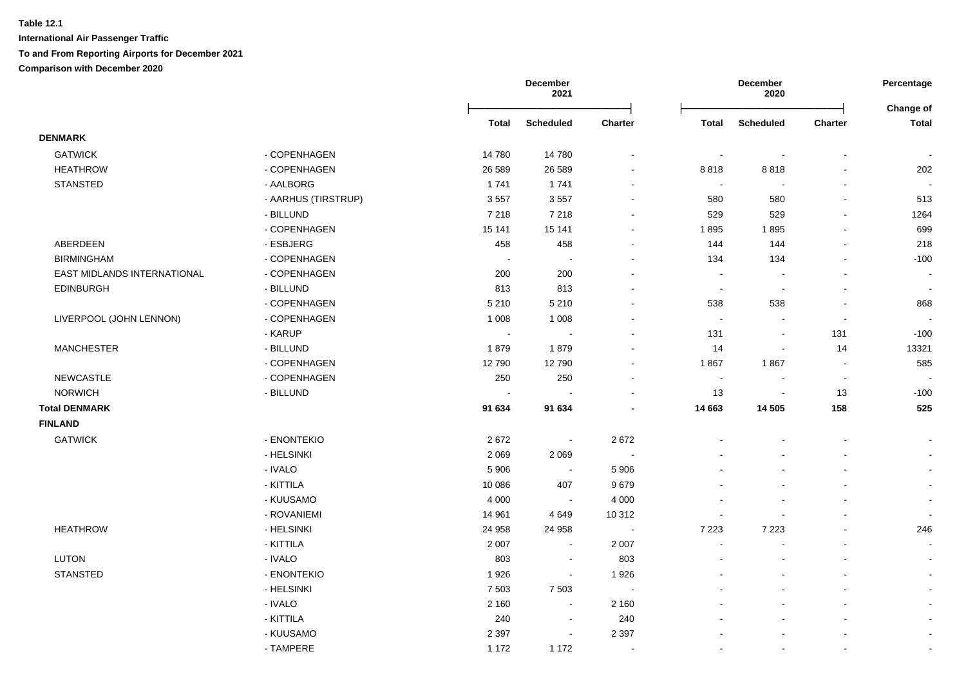|                             |                     |              | December<br>2021            |                          | December<br>2020 |                          |                          | Percentage<br>Change of  |  |
|-----------------------------|---------------------|--------------|-----------------------------|--------------------------|------------------|--------------------------|--------------------------|--------------------------|--|
|                             |                     | <b>Total</b> | <b>Scheduled</b>            | Charter                  | <b>Total</b>     | <b>Scheduled</b>         | Charter                  | <b>Total</b>             |  |
| <b>DENMARK</b>              |                     |              |                             |                          |                  |                          |                          |                          |  |
| <b>GATWICK</b>              | - COPENHAGEN        | 14780        | 14 780                      | $\blacksquare$           |                  | $\blacksquare$           |                          |                          |  |
| <b>HEATHROW</b>             | - COPENHAGEN        | 26 5 89      | 26 5 89                     | $\blacksquare$           | 8818             | 8818                     |                          | 202                      |  |
| <b>STANSTED</b>             | - AALBORG           | 1741         | 1741                        | $\blacksquare$           | $\sim$           | $\blacksquare$           | $\blacksquare$           | $\overline{\phantom{a}}$ |  |
|                             | - AARHUS (TIRSTRUP) | 3557         | 3557                        | $\sim$                   | 580              | 580                      | $\blacksquare$           | 513                      |  |
|                             | - BILLUND           | 7 2 1 8      | 7 2 1 8                     | $\blacksquare$           | 529              | 529                      | $\blacksquare$           | 1264                     |  |
|                             | - COPENHAGEN        | 15 141       | 15 141                      | $\blacksquare$           | 1895             | 1895                     | $\blacksquare$           | 699                      |  |
| ABERDEEN                    | - ESBJERG           | 458          | 458                         | $\blacksquare$           | 144              | 144                      | $\blacksquare$           | 218                      |  |
| <b>BIRMINGHAM</b>           | - COPENHAGEN        | $\sim$       | $\sim$                      | $\sim$                   | 134              | 134                      | $\blacksquare$           | $-100$                   |  |
| EAST MIDLANDS INTERNATIONAL | - COPENHAGEN        | 200          | 200                         | $\blacksquare$           | $\sim$           | $\overline{\phantom{a}}$ | $\mathbf{r}$             | $\sim$                   |  |
| <b>EDINBURGH</b>            | - BILLUND           | 813          | 813                         | $\overline{\phantom{a}}$ | $\sim$           | $\overline{\phantom{a}}$ |                          |                          |  |
|                             | - COPENHAGEN        | 5 2 1 0      | 5 2 1 0                     | $\overline{\phantom{a}}$ | 538              | 538                      | $\overline{\phantom{a}}$ | 868                      |  |
| LIVERPOOL (JOHN LENNON)     | - COPENHAGEN        | 1 0 0 8      | 1 0 0 8                     | $\sim$                   |                  |                          | $\overline{\phantom{a}}$ |                          |  |
|                             | - KARUP             | $\sim$       | $\sim$                      |                          | 131              | $\blacksquare$           | 131                      | $-100$                   |  |
| <b>MANCHESTER</b>           | - BILLUND           | 1879         | 1879                        | $\overline{a}$           | 14               | $\sim$                   | 14                       | 13321                    |  |
|                             | - COPENHAGEN        | 12790        | 12790                       | ÷                        | 1867             | 1867                     | $\overline{\phantom{a}}$ | 585                      |  |
| <b>NEWCASTLE</b>            | - COPENHAGEN        | 250          | 250                         | $\sim$                   | $\sim$           |                          | $\overline{a}$           |                          |  |
| <b>NORWICH</b>              | - BILLUND           |              | $\sim$                      | $\overline{\phantom{a}}$ | 13               | $\blacksquare$           | 13                       | $-100$                   |  |
| <b>Total DENMARK</b>        |                     | 91 634       | 91 634                      | $\blacksquare$           | 14 663           | 14 505                   | 158                      | 525                      |  |
| <b>FINLAND</b>              |                     |              |                             |                          |                  |                          |                          |                          |  |
| <b>GATWICK</b>              | - ENONTEKIO         | 2672         | $\mathcal{L}_{\mathcal{A}}$ | 2672                     |                  |                          |                          |                          |  |
|                             | - HELSINKI          | 2 0 6 9      | 2 0 6 9                     | $\sim$                   |                  |                          |                          | $\mathbf{r}$             |  |
|                             | - IVALO             | 5 9 0 6      | $\blacksquare$              | 5 9 0 6                  |                  |                          |                          |                          |  |
|                             | - KITTILA           | 10 086       | 407                         | 9679                     |                  |                          |                          |                          |  |
|                             | - KUUSAMO           | 4 0 0 0      | $\blacksquare$              | 4 0 0 0                  |                  |                          |                          |                          |  |
|                             | - ROVANIEMI         | 14 961       | 4649                        | 10 312                   |                  |                          |                          |                          |  |
| <b>HEATHROW</b>             | - HELSINKI          | 24 958       | 24 958                      | $\sim$                   | 7 2 2 3          | 7 2 2 3                  |                          | 246                      |  |
|                             | - KITTILA           | 2 0 0 7      | $\sim$                      | 2 0 0 7                  |                  |                          | $\overline{a}$           |                          |  |
| LUTON                       | - IVALO             | 803          | $\sim$                      | 803                      |                  | $\blacksquare$           |                          | $\sim$                   |  |
| <b>STANSTED</b>             | - ENONTEKIO         | 1926         | $\blacksquare$              | 1926                     |                  |                          |                          |                          |  |
|                             | - HELSINKI          | 7 5 0 3      | 7 5 0 3                     | $\overline{\phantom{a}}$ |                  |                          |                          |                          |  |
|                             | - IVALO             | 2 1 6 0      | $\blacksquare$              | 2 1 6 0                  |                  |                          |                          |                          |  |
|                             | - KITTILA           | 240          | $\blacksquare$              | 240                      |                  |                          |                          |                          |  |
|                             | - KUUSAMO           | 2 3 9 7      | $\sim$                      | 2 3 9 7                  |                  |                          |                          |                          |  |
|                             | - TAMPERE           | 1 1 7 2      | 1 1 7 2                     | $\sim$                   |                  | $\overline{a}$           | $\overline{a}$           |                          |  |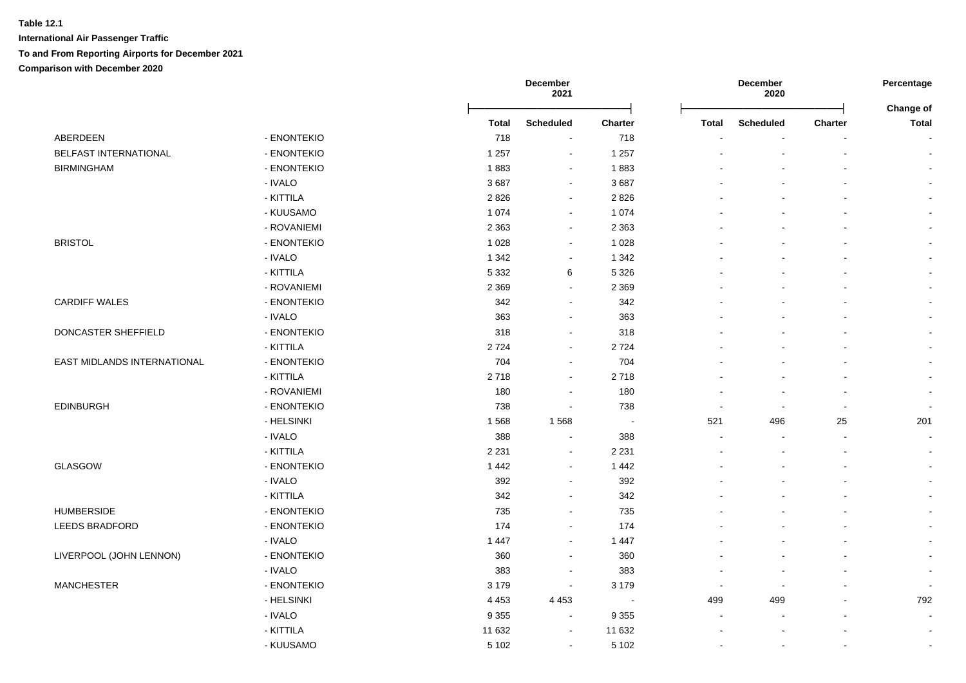|                             |             |         | December<br>2021 |                |                          | December<br>2020         |                | Percentage<br>Change of  |
|-----------------------------|-------------|---------|------------------|----------------|--------------------------|--------------------------|----------------|--------------------------|
|                             |             | Total   | <b>Scheduled</b> | <b>Charter</b> | Total                    | <b>Scheduled</b>         | <b>Charter</b> | <b>Total</b>             |
| ABERDEEN                    | - ENONTEKIO | 718     | $\blacksquare$   | 718            |                          |                          | $\blacksquare$ | $\sim$                   |
| BELFAST INTERNATIONAL       | - ENONTEKIO | 1 2 5 7 | $\sim$           | 1 2 5 7        |                          |                          | $\mathbf{r}$   | $\sim$                   |
| <b>BIRMINGHAM</b>           | - ENONTEKIO | 1883    | $\sim$           | 1883           |                          |                          | $\blacksquare$ | $\sim$                   |
|                             | - IVALO     | 3687    | $\blacksquare$   | 3687           |                          |                          |                | $\sim$                   |
|                             | - KITTILA   | 2826    | $\blacksquare$   | 2 8 2 6        |                          |                          |                | $\sim$                   |
|                             | - KUUSAMO   | 1 0 7 4 | $\sim$           | 1 0 7 4        |                          |                          | $\sim$         | $\sim$                   |
|                             | - ROVANIEMI | 2 3 6 3 | $\blacksquare$   | 2 3 6 3        |                          |                          | $\blacksquare$ | $\sim$                   |
| <b>BRISTOL</b>              | - ENONTEKIO | 1 0 2 8 | $\blacksquare$   | 1 0 28         |                          |                          | $\mathbf{r}$   | $\sim$                   |
|                             | - IVALO     | 1 3 4 2 | $\blacksquare$   | 1 3 4 2        |                          |                          | $\blacksquare$ | $\sim$                   |
|                             | - KITTILA   | 5 3 3 2 | 6                | 5 3 2 6        |                          |                          | $\mathbf{r}$   | $\sim$                   |
|                             | - ROVANIEMI | 2 3 6 9 | $\sim$           | 2 3 6 9        |                          |                          |                |                          |
| <b>CARDIFF WALES</b>        | - ENONTEKIO | 342     | $\sim$           | 342            |                          |                          |                |                          |
|                             | - IVALO     | 363     | $\sim$           | 363            |                          |                          |                | $\sim$                   |
| DONCASTER SHEFFIELD         | - ENONTEKIO | 318     | $\blacksquare$   | 318            |                          |                          | ÷.             | $\sim$                   |
|                             | - KITTILA   | 2724    | $\sim$           | 2724           |                          |                          |                | $\sim$                   |
| EAST MIDLANDS INTERNATIONAL | - ENONTEKIO | 704     | $\sim$           | 704            |                          |                          |                | $\sim$                   |
|                             | - KITTILA   | 2718    | $\sim$           | 2718           |                          |                          |                | $\sim$                   |
|                             | - ROVANIEMI | 180     | $\blacksquare$   | 180            | $\overline{\phantom{a}}$ |                          | $\sim$         | $\blacksquare$           |
| <b>EDINBURGH</b>            | - ENONTEKIO | 738     | $\blacksquare$   | 738            | $\blacksquare$           | $\sim$                   | $\blacksquare$ | $\sim$                   |
|                             | - HELSINKI  | 1568    | 1568             | $\blacksquare$ | 521                      | 496                      | 25             | 201                      |
|                             | - IVALO     | 388     | $\sim$           | 388            | $\sim$                   |                          | $\sim$         | $\sim$                   |
|                             | - KITTILA   | 2 2 3 1 | $\sim$           | 2 2 3 1        |                          |                          | $\overline{a}$ | $\sim$                   |
| <b>GLASGOW</b>              | - ENONTEKIO | 1 4 4 2 | $\sim$           | 1442           |                          |                          | $\blacksquare$ | $\sim$                   |
|                             | - IVALO     | 392     | $\sim$           | 392            |                          |                          | $\blacksquare$ | $\sim$                   |
|                             | - KITTILA   | 342     | $\blacksquare$   | 342            |                          |                          | $\blacksquare$ | $\sim$                   |
| <b>HUMBERSIDE</b>           | - ENONTEKIO | 735     | $\blacksquare$   | 735            |                          |                          | L,             | $\sim$                   |
| <b>LEEDS BRADFORD</b>       | - ENONTEKIO | 174     | $\blacksquare$   | 174            |                          |                          | $\blacksquare$ | $\blacksquare$           |
|                             | - IVALO     | 1 4 4 7 | $\blacksquare$   | 1 4 4 7        |                          |                          |                | $\sim$                   |
| LIVERPOOL (JOHN LENNON)     | - ENONTEKIO | 360     | $\blacksquare$   | 360            |                          |                          |                | $\sim$                   |
|                             | - IVALO     | 383     | $\overline{a}$   | 383            |                          |                          |                | $\overline{\phantom{a}}$ |
| <b>MANCHESTER</b>           | - ENONTEKIO | 3 1 7 9 | $\blacksquare$   | 3 1 7 9        | $\sim$                   | $\sim$                   | ÷              | $\overline{\phantom{a}}$ |
|                             | - HELSINKI  | 4 4 5 3 | 4 4 5 3          | $\sim$         | 499                      | 499                      | $\blacksquare$ | 792                      |
|                             | - IVALO     | 9 3 5 5 | $\sim$           | 9 3 5 5        | $\blacksquare$           | $\overline{\phantom{a}}$ | $\blacksquare$ | $\sim$                   |
|                             | - KITTILA   | 11 632  | $\sim$           | 11 632         | $\overline{\phantom{a}}$ |                          |                | $\overline{\phantom{a}}$ |
|                             | - KUUSAMO   | 5 1 0 2 | $\sim$           | 5 1 0 2        | $\sim$                   | $\mathbf{r}$             | $\blacksquare$ | $\sim$                   |
|                             |             |         |                  |                |                          |                          |                |                          |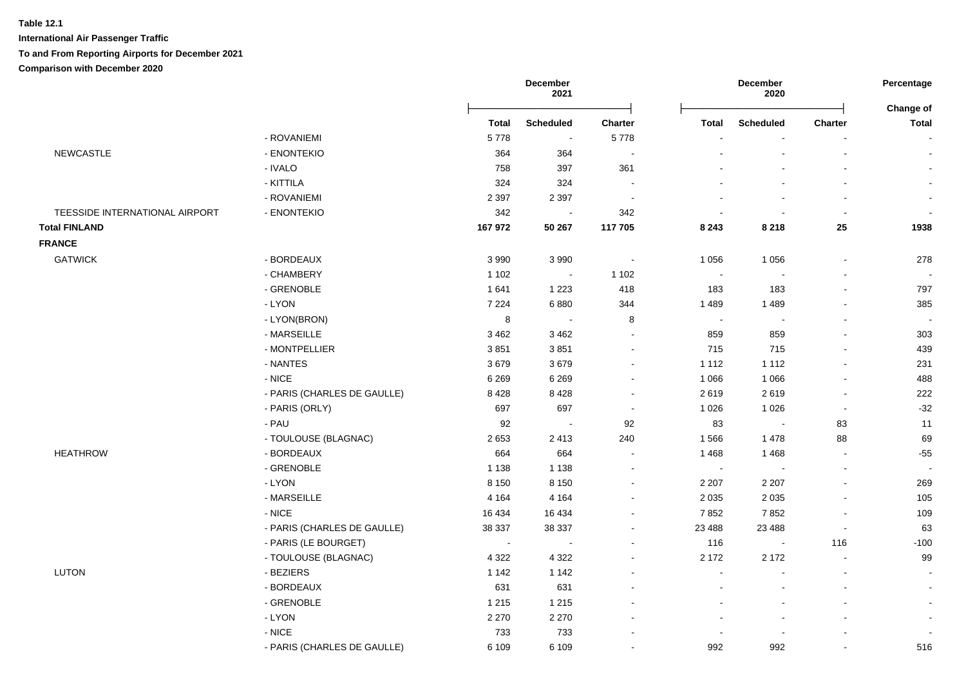|                                |                             | <b>December</b><br><b>December</b><br>2021<br>2020 |                          |                          | Percentage<br>Change of  |                          |                          |                |
|--------------------------------|-----------------------------|----------------------------------------------------|--------------------------|--------------------------|--------------------------|--------------------------|--------------------------|----------------|
|                                |                             | <b>Total</b>                                       | <b>Scheduled</b>         | <b>Charter</b>           | <b>Total</b>             | <b>Scheduled</b>         | <b>Charter</b>           | <b>Total</b>   |
|                                | - ROVANIEMI                 | 5778                                               | $\overline{\phantom{a}}$ | 5778                     |                          |                          |                          |                |
| <b>NEWCASTLE</b>               | - ENONTEKIO                 | 364                                                | 364                      | $\overline{\phantom{a}}$ |                          | $\blacksquare$           | $\blacksquare$           |                |
|                                | - IVALO                     | 758                                                | 397                      | 361                      |                          |                          | $\overline{a}$           |                |
|                                | - KITTILA                   | 324                                                | 324                      | $\sim$                   |                          |                          |                          |                |
|                                | - ROVANIEMI                 | 2 3 9 7                                            | 2 3 9 7                  | $\sim$                   |                          |                          | $\blacksquare$           |                |
| TEESSIDE INTERNATIONAL AIRPORT | - ENONTEKIO                 | 342                                                |                          | 342                      |                          |                          | $\overline{\phantom{a}}$ |                |
| <b>Total FINLAND</b>           |                             | 167972                                             | 50 267                   | 117 705                  | 8 2 4 3                  | 8 2 1 8                  | 25                       | 1938           |
| <b>FRANCE</b>                  |                             |                                                    |                          |                          |                          |                          |                          |                |
| <b>GATWICK</b>                 | - BORDEAUX                  | 3 9 9 0                                            | 3990                     | $\overline{\phantom{a}}$ | 1 0 5 6                  | 1 0 5 6                  | $\sim$                   | 278            |
|                                | - CHAMBERY                  | 1 1 0 2                                            | $\overline{\phantom{a}}$ | 1 1 0 2                  | $\sim$                   |                          | $\overline{a}$           |                |
|                                | - GRENOBLE                  | 1641                                               | 1 2 2 3                  | 418                      | 183                      | 183                      | $\sim$                   | 797            |
|                                | - LYON                      | 7 2 2 4                                            | 6880                     | 344                      | 1 4 8 9                  | 1489                     | $\mathbf{r}$             | 385            |
|                                | - LYON(BRON)                | $\,8\,$                                            | $\sim$                   | 8                        | $\blacksquare$           | $\overline{\phantom{a}}$ | $\blacksquare$           | $\sim$         |
|                                | - MARSEILLE                 | 3 4 6 2                                            | 3 4 6 2                  | ÷,                       | 859                      | 859                      | $\blacksquare$           | 303            |
|                                | - MONTPELLIER               | 3851                                               | 3851                     | $\overline{a}$           | 715                      | 715                      | $\overline{a}$           | 439            |
|                                | - NANTES                    | 3679                                               | 3679                     | $\sim$                   | 1 1 1 2                  | 1 1 1 2                  |                          | 231            |
|                                | $-$ NICE                    | 6 2 6 9                                            | 6 2 6 9                  | $\blacksquare$           | 1 0 6 6                  | 1 0 6 6                  | $\overline{a}$           | 488            |
|                                | - PARIS (CHARLES DE GAULLE) | 8428                                               | 8428                     | $\blacksquare$           | 2619                     | 2619                     | $\overline{a}$           | 222            |
|                                | - PARIS (ORLY)              | 697                                                | 697                      | $\overline{\phantom{a}}$ | 1 0 2 6                  | 1 0 2 6                  | $\overline{\phantom{a}}$ | $-32$          |
|                                | - PAU                       | 92                                                 | ÷,                       | 92                       | 83                       | $\overline{\phantom{a}}$ | 83                       | 11             |
|                                | - TOULOUSE (BLAGNAC)        | 2653                                               | 2413                     | 240                      | 1566                     | 1 4 7 8                  | 88                       | 69             |
| <b>HEATHROW</b>                | - BORDEAUX                  | 664                                                | 664                      | $\sim$                   | 1 4 6 8                  | 1 4 6 8                  | $\blacksquare$           | $-55$          |
|                                | - GRENOBLE                  | 1 1 3 8                                            | 1 1 3 8                  | $\blacksquare$           | $\overline{\phantom{a}}$ |                          | $\blacksquare$           | $\blacksquare$ |
|                                | - LYON                      | 8 1 5 0                                            | 8 1 5 0                  | $\ddot{\phantom{a}}$     | 2 2 0 7                  | 2 2 0 7                  | L.                       | 269            |
|                                | - MARSEILLE                 | 4 1 6 4                                            | 4 1 6 4                  | $\overline{\phantom{a}}$ | 2 0 3 5                  | 2 0 3 5                  | $\overline{a}$           | 105            |
|                                | - NICE                      | 16 4 34                                            | 16 4 34                  | ÷                        | 7852                     | 7852                     | $\overline{\phantom{a}}$ | 109            |
|                                | - PARIS (CHARLES DE GAULLE) | 38 337                                             | 38 337                   | $\overline{\phantom{a}}$ | 23 4 8 8                 | 23 4 88                  | $\blacksquare$           | 63             |
|                                | - PARIS (LE BOURGET)        | $\sim$                                             | $\blacksquare$           | $\ddot{\phantom{a}}$     | 116                      | $\sim$                   | 116                      | $-100$         |
|                                | - TOULOUSE (BLAGNAC)        | 4 3 2 2                                            | 4 3 2 2                  | $\overline{\phantom{a}}$ | 2 172                    | 2 1 7 2                  | $\sim$                   | 99             |
| LUTON                          | - BEZIERS                   | 1 1 4 2                                            | 1 1 4 2                  | $\sim$                   | $\blacksquare$           | $\blacksquare$           | $\blacksquare$           | $\blacksquare$ |
|                                | - BORDEAUX                  | 631                                                | 631                      |                          | $\blacksquare$           |                          | $\overline{a}$           | $\blacksquare$ |
|                                | - GRENOBLE                  | 1 2 1 5                                            | 1 2 1 5                  |                          |                          |                          |                          |                |
|                                | - LYON                      | 2 2 7 0                                            | 2 2 7 0                  |                          |                          |                          | $\overline{a}$           |                |
|                                | $-NICE$                     | 733                                                | 733                      |                          |                          | $\sim$                   | $\blacksquare$           |                |
|                                | - PARIS (CHARLES DE GAULLE) | 6 1 0 9                                            | 6 1 0 9                  |                          | 992                      | 992                      |                          | 516            |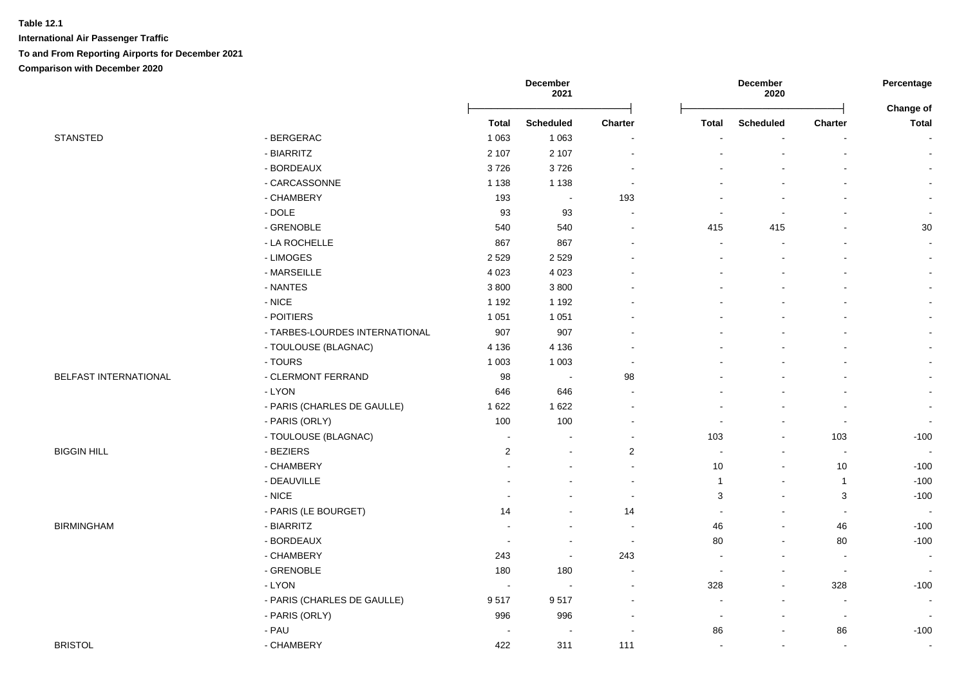|                       |                                |                | December<br>2021 |                          |                | December<br>2020         |                          | Percentage                |
|-----------------------|--------------------------------|----------------|------------------|--------------------------|----------------|--------------------------|--------------------------|---------------------------|
|                       |                                | <b>Total</b>   | <b>Scheduled</b> | <b>Charter</b>           | <b>Total</b>   | <b>Scheduled</b>         | Charter                  | Change of<br><b>Total</b> |
| <b>STANSTED</b>       | - BERGERAC                     | 1 0 6 3        | 1 0 6 3          |                          | ٠              |                          |                          | $\sim$                    |
|                       | - BIARRITZ                     | 2 107          | 2 1 0 7          | ÷.                       |                |                          |                          | $\sim$                    |
|                       | - BORDEAUX                     | 3726           | 3726             | $\blacksquare$           |                |                          |                          | $\sim$                    |
|                       | - CARCASSONNE                  | 1 1 3 8        | 1 1 3 8          | $\blacksquare$           |                |                          |                          | $\blacksquare$            |
|                       | - CHAMBERY                     | 193            | $\blacksquare$   | 193                      |                |                          |                          | $\blacksquare$            |
|                       | $-$ DOLE                       | 93             | 93               | $\blacksquare$           | $\sim$         | $\blacksquare$           |                          | $\mathbf{r}$              |
|                       | - GRENOBLE                     | 540            | 540              |                          | 415            | 415                      |                          | $30\,$                    |
|                       | - LA ROCHELLE                  | 867            | 867              |                          | $\sim$         |                          |                          | $\blacksquare$            |
|                       | - LIMOGES                      | 2 5 2 9        | 2529             |                          | $\overline{a}$ |                          |                          | $\sim$                    |
|                       | - MARSEILLE                    | 4 0 23         | 4 0 23           |                          |                |                          |                          | $\sim$                    |
|                       | - NANTES                       | 3800           | 3800             |                          |                |                          |                          | $\sim$                    |
|                       | $-$ NICE                       | 1 1 9 2        | 1 1 9 2          |                          |                |                          |                          | $\sim$                    |
|                       | - POITIERS                     | 1 0 5 1        | 1 0 5 1          |                          |                |                          |                          | $\sim$                    |
|                       | - TARBES-LOURDES INTERNATIONAL | 907            | 907              |                          |                |                          |                          | $\sim$                    |
|                       | - TOULOUSE (BLAGNAC)           | 4 1 3 6        | 4 1 3 6          |                          |                |                          |                          | $\sim$                    |
|                       | - TOURS                        | 1 0 0 3        | 1 0 0 3          |                          |                |                          |                          | $\blacksquare$            |
| BELFAST INTERNATIONAL | - CLERMONT FERRAND             | 98             | $\sim$           | 98                       |                |                          |                          | $\sim$                    |
|                       | - LYON                         | 646            | 646              | ÷.                       |                |                          |                          | $\sim$                    |
|                       | - PARIS (CHARLES DE GAULLE)    | 1 6 2 2        | 1 6 2 2          |                          |                |                          |                          | $\mathbf{r}$              |
|                       | - PARIS (ORLY)                 | 100            | 100              | $\blacksquare$           | $\sim$         |                          | $\blacksquare$           | $\blacksquare$            |
|                       | - TOULOUSE (BLAGNAC)           | $\sim$         | $\mathbf{r}$     | $\sim$                   | 103            | $\sim$                   | 103                      | $-100$                    |
| <b>BIGGIN HILL</b>    | - BEZIERS                      | $\overline{2}$ | $\sim$           | $\overline{2}$           | $\blacksquare$ | $\overline{\phantom{a}}$ | $\blacksquare$           | $\sim$                    |
|                       | - CHAMBERY                     |                |                  | $\blacksquare$           | 10             | $\overline{\phantom{a}}$ | $10$                     | $-100$                    |
|                       | - DEAUVILLE                    |                |                  | $\overline{a}$           | $\mathbf{1}$   | $\sim$                   | $\overline{1}$           | $-100$                    |
|                       | $-$ NICE                       |                | $\overline{a}$   | $\sim$                   | 3              | $\sim$                   | 3                        | $-100$                    |
|                       | - PARIS (LE BOURGET)           | 14             | $\blacksquare$   | 14                       | $\blacksquare$ | $\overline{\phantom{a}}$ | $\mathbf{r}$             | $\blacksquare$            |
| <b>BIRMINGHAM</b>     | - BIARRITZ                     |                | $\blacksquare$   | $\sim$                   | 46             | $\blacksquare$           | 46                       | $-100$                    |
|                       | - BORDEAUX                     |                | $\blacksquare$   | $\blacksquare$           | 80             |                          | 80                       | $-100$                    |
|                       | - CHAMBERY                     | 243            | $\sim$           | 243                      |                |                          |                          | $\blacksquare$            |
|                       | - GRENOBLE                     | 180            | 180              |                          | ÷              |                          | $\blacksquare$           | $\blacksquare$            |
|                       | $-LYON$                        |                | $\sim$           | L,                       | 328            | $\overline{\phantom{a}}$ | 328                      | $-100$                    |
|                       | - PARIS (CHARLES DE GAULLE)    | 9517           | 9517             |                          | $\overline{a}$ | $\blacksquare$           | $\overline{\phantom{a}}$ | $\sim$                    |
|                       | - PARIS (ORLY)                 | 996            | 996              | $\overline{\phantom{a}}$ | $\blacksquare$ | $\overline{\phantom{a}}$ | $\overline{\phantom{a}}$ | $\blacksquare$            |
|                       | - PAU                          |                | $\overline{a}$   |                          | 86             | $\sim$                   | 86                       | $-100$                    |
| <b>BRISTOL</b>        | - CHAMBERY                     | 422            | 311              | 111                      | $\sim$         | $\blacksquare$           | $\blacksquare$           | $\mathbf{r}$              |
|                       |                                |                |                  |                          |                |                          |                          |                           |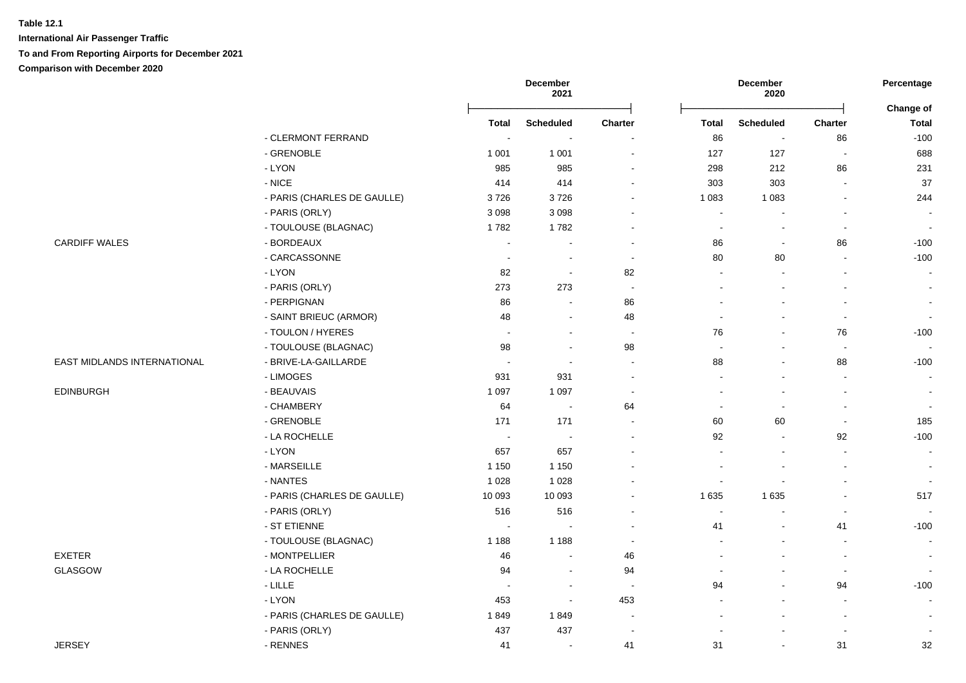**International Air Passenger Traffic To and From Reporting Airports for December 2021 Comparison with December 2020**

|                             |                             |              | December<br>2021 |                          |                | December<br>2020         |                          | Percentage                |
|-----------------------------|-----------------------------|--------------|------------------|--------------------------|----------------|--------------------------|--------------------------|---------------------------|
|                             |                             | <b>Total</b> | <b>Scheduled</b> | Charter                  | <b>Total</b>   | <b>Scheduled</b>         | <b>Charter</b>           | Change of<br><b>Total</b> |
|                             | - CLERMONT FERRAND          |              |                  |                          | 86             | $\sim$                   | 86                       | $-100$                    |
|                             | - GRENOBLE                  | 1 0 0 1      | 1 0 0 1          | $\blacksquare$           | 127            | 127                      | $\blacksquare$           | 688                       |
|                             | - LYON                      | 985          | 985              | $\blacksquare$           | 298            | 212                      | 86                       | 231                       |
|                             | $-$ NICE                    | 414          | 414              | $\blacksquare$           | 303            | 303                      | $\sim$                   | 37                        |
|                             | - PARIS (CHARLES DE GAULLE) | 3726         | 3726             | $\blacksquare$           | 1 0 8 3        | 1 0 8 3                  | $\blacksquare$           | 244                       |
|                             | - PARIS (ORLY)              | 3 0 9 8      | 3 0 9 8          | $\blacksquare$           | $\sim$         | $\sim$                   | $\sim$                   | $\sim$                    |
|                             | - TOULOUSE (BLAGNAC)        | 1782         | 1782             | $\blacksquare$           | $\sim$         | $\blacksquare$           | $\blacksquare$           | $\sim$                    |
| <b>CARDIFF WALES</b>        | - BORDEAUX                  |              |                  | $\overline{\phantom{a}}$ | 86             | $\overline{\phantom{a}}$ | 86                       | $-100$                    |
|                             | - CARCASSONNE               |              | $\sim$           | $\sim$                   | 80             | 80                       | $\sim$                   | $-100$                    |
|                             | - LYON                      | 82           |                  | 82                       |                |                          |                          | $\sim$                    |
|                             | - PARIS (ORLY)              | 273          | 273              | $\sim$                   |                |                          |                          | $\sim$                    |
|                             | - PERPIGNAN                 | 86           |                  | 86                       |                |                          |                          | $\blacksquare$            |
|                             | - SAINT BRIEUC (ARMOR)      | 48           | $\sim$           | 48                       | $\blacksquare$ | $\blacksquare$           | $\blacksquare$           | $\blacksquare$            |
|                             | - TOULON / HYERES           | $\sim$       |                  | $\sim$                   | 76             | $\blacksquare$           | 76                       | $-100$                    |
|                             | - TOULOUSE (BLAGNAC)        | 98           |                  | 98                       | $\sim$         |                          | $\sim$                   | $\sim$                    |
| EAST MIDLANDS INTERNATIONAL | - BRIVE-LA-GAILLARDE        |              |                  | $\sim$                   | 88             |                          | 88                       | $-100$                    |
|                             | - LIMOGES                   | 931          | 931              | $\blacksquare$           |                |                          |                          | $\blacksquare$            |
| <b>EDINBURGH</b>            | - BEAUVAIS                  | 1 0 9 7      | 1 0 9 7          | $\sim$                   |                |                          |                          | $\sim$                    |
|                             | - CHAMBERY                  | 64           |                  | 64                       |                |                          |                          | $\sim$                    |
|                             | - GRENOBLE                  | 171          | 171              | $\blacksquare$           | 60             | 60                       | $\blacksquare$           | 185                       |
|                             | - LA ROCHELLE               | $\sim$       |                  | $\overline{a}$           | 92             | $\sim$                   | 92                       | $-100$                    |
|                             | $-LYON$                     | 657          | 657              |                          |                | $\sim$                   | $\overline{\phantom{a}}$ | $\sim$                    |
|                             | - MARSEILLE                 | 1 1 5 0      | 1 1 5 0          |                          |                |                          |                          | $\sim$                    |
|                             | - NANTES                    | 1 0 2 8      | 1 0 2 8          |                          | $\sim$         | $\blacksquare$           |                          | $\sim$                    |
|                             | - PARIS (CHARLES DE GAULLE) | 10 093       | 10 093           |                          | 1 6 3 5        | 1 6 3 5                  |                          | 517                       |
|                             | - PARIS (ORLY)              | 516          | 516              | $\blacksquare$           | $\sim$         |                          |                          | $\sim$                    |
|                             | - ST ETIENNE                |              |                  | $\blacksquare$           | 41             |                          | 41                       | $-100$                    |
|                             | - TOULOUSE (BLAGNAC)        | 1 1 8 8      | 1 1 8 8          | $\blacksquare$           |                |                          | $\overline{a}$           | $\sim$                    |
| <b>EXETER</b>               | - MONTPELLIER               | 46           |                  | 46                       |                |                          | $\overline{\phantom{a}}$ | $\sim$                    |
| GLASGOW                     | - LA ROCHELLE               | 94           | $\sim$           | 94                       |                | $\blacksquare$           | $\blacksquare$           | $\blacksquare$            |
|                             | $-LILLE$                    |              | $\sim$           | $\overline{\phantom{a}}$ | 94             |                          | 94                       | $-100$                    |
|                             | - LYON                      | 453          |                  | 453                      |                |                          |                          | $\sim$                    |
|                             | - PARIS (CHARLES DE GAULLE) | 1849         | 1849             | $\blacksquare$           |                |                          |                          | $\blacksquare$            |
|                             | - PARIS (ORLY)              | 437          | 437              | $\blacksquare$           |                |                          |                          | $\blacksquare$            |
| <b>JERSEY</b>               | - RENNES                    | 41           |                  | 41                       | 31             |                          | 31                       | 32                        |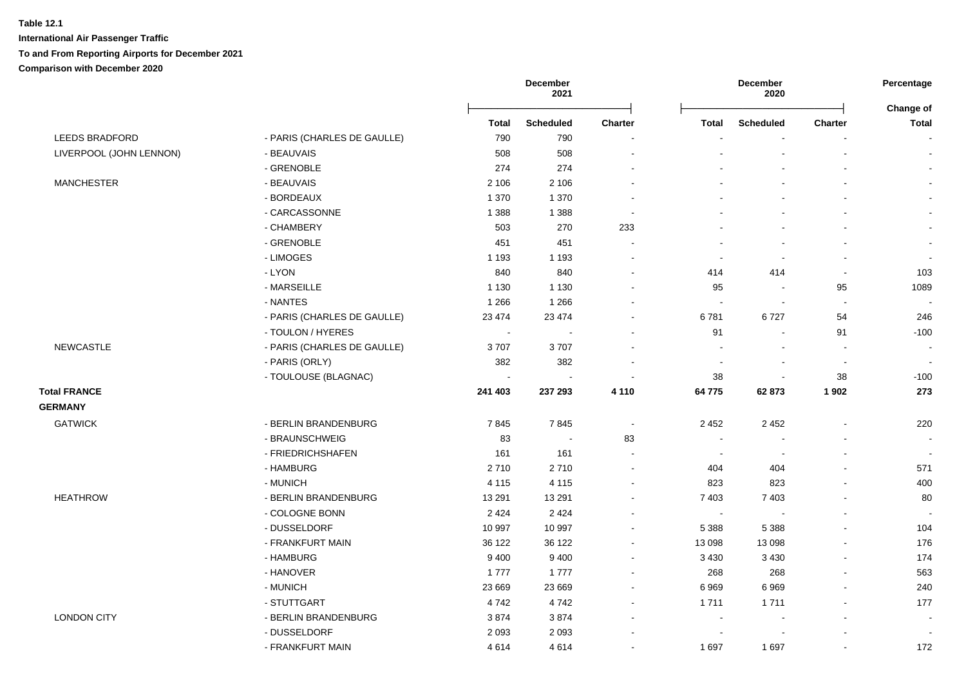|                         |                             |                | December<br>2021         |                          |                          | <b>December</b><br>2020  |                          | Percentage<br>Change of  |
|-------------------------|-----------------------------|----------------|--------------------------|--------------------------|--------------------------|--------------------------|--------------------------|--------------------------|
|                         |                             | <b>Total</b>   | <b>Scheduled</b>         | <b>Charter</b>           | Total                    | <b>Scheduled</b>         | <b>Charter</b>           | Total                    |
| <b>LEEDS BRADFORD</b>   | - PARIS (CHARLES DE GAULLE) | 790            | 790                      | $\overline{a}$           |                          |                          |                          |                          |
| LIVERPOOL (JOHN LENNON) | - BEAUVAIS                  | 508            | 508                      | $\blacksquare$           |                          | $\blacksquare$           | $\overline{\phantom{a}}$ |                          |
|                         | - GRENOBLE                  | 274            | 274                      | $\ddot{\phantom{a}}$     |                          |                          | $\overline{a}$           |                          |
| <b>MANCHESTER</b>       | - BEAUVAIS                  | 2 1 0 6        | 2 1 0 6                  | $\overline{\phantom{a}}$ |                          |                          |                          |                          |
|                         | - BORDEAUX                  | 1 3 7 0        | 1 3 7 0                  |                          |                          |                          |                          |                          |
|                         | - CARCASSONNE               | 1 3 8 8        | 1 3 8 8                  | $\blacksquare$           |                          |                          |                          |                          |
|                         | - CHAMBERY                  | 503            | 270                      | 233                      |                          | $\blacksquare$           | $\blacksquare$           |                          |
|                         | - GRENOBLE                  | 451            | 451                      | $\blacksquare$           |                          | $\overline{a}$           | L.                       |                          |
|                         | - LIMOGES                   | 1 1 9 3        | 1 1 9 3                  | $\overline{\phantom{a}}$ | $\sim$                   | $\overline{\phantom{a}}$ | $\blacksquare$           | $\blacksquare$           |
|                         | - LYON                      | 840            | 840                      | $\blacksquare$           | 414                      | 414                      | $\blacksquare$           | 103                      |
|                         | - MARSEILLE                 | 1 1 3 0        | 1 1 3 0                  | $\overline{\phantom{a}}$ | 95                       | $\blacksquare$           | 95                       | 1089                     |
|                         | - NANTES                    | 1 2 6 6        | 1 2 6 6                  |                          | $\sim$                   | $\overline{\phantom{a}}$ | $\sim$                   | $\overline{\phantom{a}}$ |
|                         | - PARIS (CHARLES DE GAULLE) | 23 4 74        | 23 4 74                  |                          | 6781                     | 6727                     | 54                       | 246                      |
|                         | - TOULON / HYERES           | $\sim$         | L.                       | ÷                        | 91                       | $\overline{a}$           | 91                       | $-100$                   |
| <b>NEWCASTLE</b>        | - PARIS (CHARLES DE GAULLE) | 3707           | 3707                     |                          | $\sim$                   | $\blacksquare$           | $\sim$                   | $\sim$                   |
|                         | - PARIS (ORLY)              | 382            | 382                      | $\sim$                   | $\sim$                   | $\blacksquare$           | $\sim$                   | $\blacksquare$           |
|                         | - TOULOUSE (BLAGNAC)        | $\blacksquare$ | $\overline{\phantom{a}}$ | $\blacksquare$           | $38\,$                   | $\blacksquare$           | 38                       | $-100$                   |
| <b>Total FRANCE</b>     |                             | 241 403        | 237 293                  | 4 1 1 0                  | 64775                    | 62873                    | 1 9 0 2                  | 273                      |
| <b>GERMANY</b>          |                             |                |                          |                          |                          |                          |                          |                          |
| <b>GATWICK</b>          | - BERLIN BRANDENBURG        | 7845           | 7845                     | $\blacksquare$           | 2 4 5 2                  | 2 4 5 2                  | $\blacksquare$           | 220                      |
|                         | - BRAUNSCHWEIG              | 83             | $\blacksquare$           | 83                       | $\sim$                   | $\overline{\phantom{a}}$ | $\overline{a}$           | $\blacksquare$           |
|                         | - FRIEDRICHSHAFEN           | 161            | 161                      | $\overline{a}$           | $\sim$                   | $\overline{\phantom{a}}$ | $\blacksquare$           |                          |
|                         | - HAMBURG                   | 2710           | 2710                     | $\overline{a}$           | 404                      | 404                      |                          | 571                      |
|                         | - MUNICH                    | 4 1 1 5        | 4 1 1 5                  | $\blacksquare$           | 823                      | 823                      | $\overline{a}$           | 400                      |
| <b>HEATHROW</b>         | - BERLIN BRANDENBURG        | 13 291         | 13 291                   | $\sim$                   | 7 4 0 3                  | 7 4 0 3                  | $\overline{a}$           | 80                       |
|                         | - COLOGNE BONN              | 2 4 2 4        | 2 4 2 4                  | $\sim$                   | $\sim$                   | $\overline{\phantom{a}}$ | $\blacksquare$           | $\blacksquare$           |
|                         | - DUSSELDORF                | 10 997         | 10 997                   | $\overline{\phantom{a}}$ | 5 3 8 8                  | 5 3 8 8                  | $\overline{\phantom{a}}$ | 104                      |
|                         | - FRANKFURT MAIN            | 36 122         | 36 122                   | $\blacksquare$           | 13 098                   | 13 098                   | $\blacksquare$           | 176                      |
|                         | - HAMBURG                   | 9 4 0 0        | 9 4 0 0                  | $\sim$                   | 3 4 3 0                  | 3 4 3 0                  | $\mathbf{r}$             | 174                      |
|                         | - HANOVER                   | 1777           | 1777                     | $\overline{\phantom{a}}$ | 268                      | 268                      | $\blacksquare$           | 563                      |
|                         | - MUNICH                    | 23 669         | 23 669                   | $\overline{\phantom{a}}$ | 6969                     | 6969                     | $\blacksquare$           | 240                      |
|                         | - STUTTGART                 | 4742           | 4742                     | $\overline{\phantom{a}}$ | 1711                     | 1711                     | $\mathbf{r}$             | 177                      |
| <b>LONDON CITY</b>      | - BERLIN BRANDENBURG        | 3874           | 3874                     | $\overline{\phantom{a}}$ | $\overline{\phantom{a}}$ | $\sim$                   | $\mathbf{r}$             | $\sim$                   |
|                         | - DUSSELDORF                | 2093           | 2093                     |                          | $\sim$                   |                          |                          |                          |
|                         | - FRANKFURT MAIN            | 4614           | 4614                     |                          | 1697                     | 1 6 9 7                  |                          | 172                      |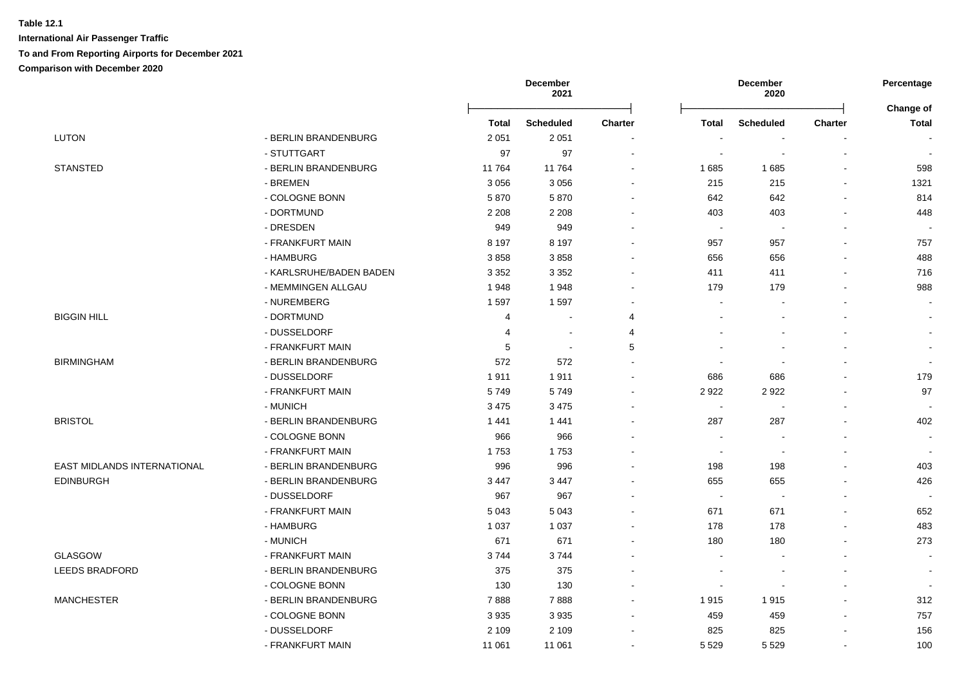|                             |                         | December<br>2021 |                  |                          | December<br>2020         |                  | Percentage               |                           |
|-----------------------------|-------------------------|------------------|------------------|--------------------------|--------------------------|------------------|--------------------------|---------------------------|
|                             |                         | <b>Total</b>     | <b>Scheduled</b> | <b>Charter</b>           | <b>Total</b>             | <b>Scheduled</b> | <b>Charter</b>           | Change of<br><b>Total</b> |
| <b>LUTON</b>                | - BERLIN BRANDENBURG    | 2 0 5 1          | 2 0 5 1          |                          |                          |                  |                          | $\blacksquare$            |
|                             | - STUTTGART             | 97               | 97               | $\ddot{\phantom{0}}$     | $\ddot{\phantom{0}}$     | $\blacksquare$   | $\blacksquare$           | $\blacksquare$            |
| <b>STANSTED</b>             | - BERLIN BRANDENBURG    | 11764            | 11764            | $\sim$                   | 1685                     | 1685             | $\sim$                   | 598                       |
|                             | - BREMEN                | 3 0 5 6          | 3 0 5 6          | $\blacksquare$           | 215                      | 215              | $\blacksquare$           | 1321                      |
|                             | - COLOGNE BONN          | 5870             | 5870             | $\blacksquare$           | 642                      | 642              | $\blacksquare$           | 814                       |
|                             | - DORTMUND              | 2 2 0 8          | 2 2 0 8          |                          | 403                      | 403              |                          | 448                       |
|                             | - DRESDEN               | 949              | 949              |                          | $\sim$                   |                  |                          |                           |
|                             | - FRANKFURT MAIN        | 8 1 9 7          | 8 1 9 7          |                          | 957                      | 957              |                          | 757                       |
|                             | - HAMBURG               | 3858             | 3858             |                          | 656                      | 656              |                          | 488                       |
|                             | - KARLSRUHE/BADEN BADEN | 3 3 5 2          | 3 3 5 2          |                          | 411                      | 411              |                          | 716                       |
|                             | - MEMMINGEN ALLGAU      | 1948             | 1948             | $\sim$                   | 179                      | 179              |                          | 988                       |
|                             | - NUREMBERG             | 1597             | 1597             | $\blacksquare$           | ä,                       |                  |                          |                           |
| <b>BIGGIN HILL</b>          | - DORTMUND              | $\overline{4}$   | $\sim$           | $\overline{4}$           |                          |                  |                          | $\blacksquare$            |
|                             | - DUSSELDORF            | $\overline{4}$   | $\sim$           | $\overline{4}$           |                          |                  |                          | $\blacksquare$            |
|                             | - FRANKFURT MAIN        | $\,$ 5 $\,$      | $\sim$           | 5                        |                          |                  |                          | $\blacksquare$            |
| <b>BIRMINGHAM</b>           | - BERLIN BRANDENBURG    | 572              | 572              |                          |                          |                  |                          | $\overline{\phantom{a}}$  |
|                             | - DUSSELDORF            | 1911             | 1911             |                          | 686                      | 686              |                          | 179                       |
|                             | - FRANKFURT MAIN        | 5749             | 5749             |                          | 2922                     | 2922             |                          | 97                        |
|                             | - MUNICH                | 3 4 7 5          | 3 4 7 5          |                          | $\blacksquare$           |                  |                          | $\overline{\phantom{a}}$  |
| <b>BRISTOL</b>              | - BERLIN BRANDENBURG    | 1441             | 1441             |                          | 287                      | 287              | $\blacksquare$           | 402                       |
|                             | - COLOGNE BONN          | 966              | 966              |                          | $\blacksquare$           |                  |                          | $\sim$                    |
|                             | - FRANKFURT MAIN        | 1753             | 1753             |                          | $\overline{\phantom{a}}$ | $\blacksquare$   |                          | $\sim$                    |
| EAST MIDLANDS INTERNATIONAL | - BERLIN BRANDENBURG    | 996              | 996              |                          | 198                      | 198              |                          | 403                       |
| <b>EDINBURGH</b>            | - BERLIN BRANDENBURG    | 3 4 4 7          | 3 4 4 7          |                          | 655                      | 655              |                          | 426                       |
|                             | - DUSSELDORF            | 967              | 967              |                          | $\overline{\phantom{a}}$ |                  |                          |                           |
|                             | - FRANKFURT MAIN        | 5 0 4 3          | 5 0 4 3          |                          | 671                      | 671              |                          | 652                       |
|                             | - HAMBURG               | 1 0 3 7          | 1 0 3 7          | $\sim$                   | 178                      | 178              |                          | 483                       |
|                             | - MUNICH                | 671              | 671              | $\sim$                   | 180                      | 180              |                          | 273                       |
| <b>GLASGOW</b>              | - FRANKFURT MAIN        | 3744             | 3744             | $\overline{\phantom{a}}$ | ÷,                       |                  | $\overline{\phantom{a}}$ | $\sim$                    |
| <b>LEEDS BRADFORD</b>       | - BERLIN BRANDENBURG    | 375              | 375              |                          | ٠                        |                  |                          | $\blacksquare$            |
|                             | - COLOGNE BONN          | 130              | 130              |                          | ۰                        |                  | $\sim$                   |                           |
| <b>MANCHESTER</b>           | - BERLIN BRANDENBURG    | 7888             | 7888             |                          | 1915                     | 1915             | $\sim$                   | 312                       |
|                             | - COLOGNE BONN          | 3935             | 3 9 3 5          |                          | 459                      | 459              | $\blacksquare$           | 757                       |
|                             | - DUSSELDORF            | 2 1 0 9          | 2 1 0 9          |                          | 825                      | 825              |                          | 156                       |
|                             | - FRANKFURT MAIN        | 11 061           | 11 061           |                          | 5 5 2 9                  | 5 5 2 9          |                          | 100                       |
|                             |                         |                  |                  |                          |                          |                  |                          |                           |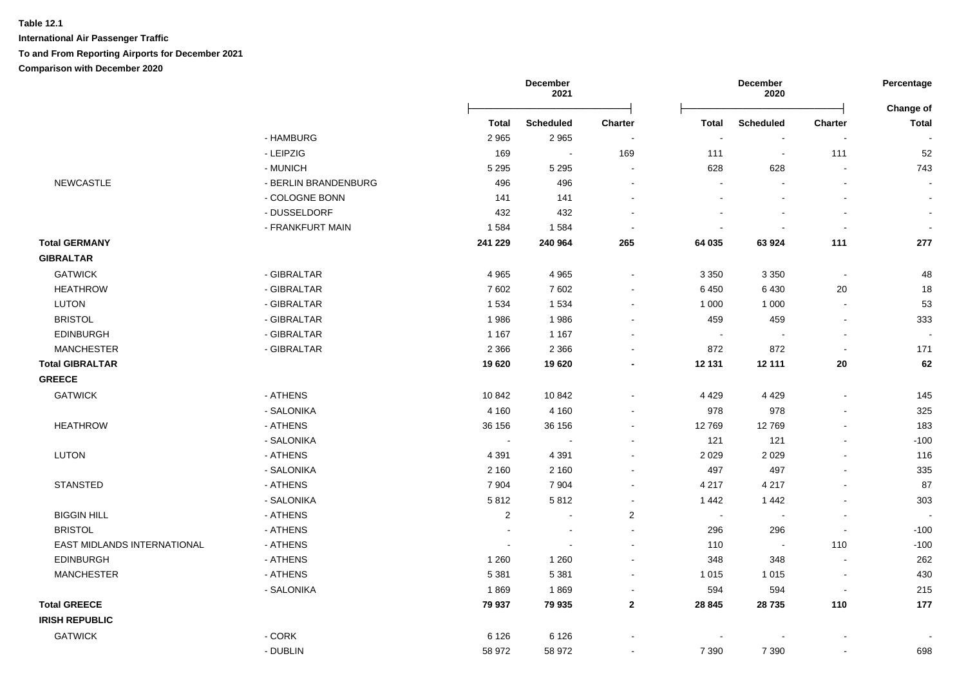|                                    |                      |              | <b>December</b><br>2021 |                         |         | December<br>2020         |                              | Percentage                |
|------------------------------------|----------------------|--------------|-------------------------|-------------------------|---------|--------------------------|------------------------------|---------------------------|
|                                    |                      | <b>Total</b> | <b>Scheduled</b>        | Charter                 | Total   | <b>Scheduled</b>         | Charter                      | Change of<br><b>Total</b> |
|                                    | - HAMBURG            | 2 9 6 5      | 2965                    | $\blacksquare$          | $\sim$  | $\blacksquare$           | $\blacksquare$               |                           |
|                                    | - LEIPZIG            | 169          | $\sim$                  | 169                     | 111     | $\sim$                   | 111                          | 52                        |
|                                    | - MUNICH             | 5 2 9 5      | 5 2 9 5                 | $\sim$                  | 628     | 628                      | $\blacksquare$               | 743                       |
| <b>NEWCASTLE</b>                   | - BERLIN BRANDENBURG | 496          | 496                     | $\sim$                  | $\sim$  |                          | $\blacksquare$               |                           |
|                                    | - COLOGNE BONN       | 141          | 141                     |                         |         |                          | $\blacksquare$               | $\blacksquare$            |
|                                    | - DUSSELDORF         | 432          | 432                     |                         |         |                          | $\blacksquare$               |                           |
|                                    | - FRANKFURT MAIN     | 1584         | 1584                    |                         |         |                          | $\sim$                       |                           |
| <b>Total GERMANY</b>               |                      | 241 229      | 240 964                 | 265                     | 64 035  | 63 924                   | 111                          | 277                       |
| <b>GIBRALTAR</b>                   |                      |              |                         |                         |         |                          |                              |                           |
| <b>GATWICK</b>                     | - GIBRALTAR          | 4 9 6 5      | 4 9 6 5                 | $\sim$                  | 3 3 5 0 | 3 3 5 0                  | $\sim$                       | 48                        |
| <b>HEATHROW</b>                    | - GIBRALTAR          | 7602         | 7602                    |                         | 6450    | 6 4 3 0                  | 20                           | 18                        |
| <b>LUTON</b>                       | - GIBRALTAR          | 1 5 3 4      | 1534                    |                         | 1 0 0 0 | 1 0 0 0                  | $\blacksquare$               | 53                        |
| <b>BRISTOL</b>                     | - GIBRALTAR          | 1986         | 1986                    |                         | 459     | 459                      | $\blacksquare$               | 333                       |
| <b>EDINBURGH</b>                   | - GIBRALTAR          | 1 1 6 7      | 1 1 6 7                 |                         | $\sim$  | $\overline{\phantom{a}}$ | $\blacksquare$               |                           |
| <b>MANCHESTER</b>                  | - GIBRALTAR          | 2 3 6 6      | 2 3 6 6                 |                         | 872     | 872                      | $\mathbf{r}$                 | 171                       |
| <b>Total GIBRALTAR</b>             |                      | 19620        | 19620                   |                         | 12 131  | 12 111                   | 20                           | 62                        |
| <b>GREECE</b>                      |                      |              |                         |                         |         |                          |                              |                           |
| <b>GATWICK</b>                     | - ATHENS             | 10842        | 10842                   |                         | 4 4 2 9 | 4 4 2 9                  | $\blacksquare$               | 145                       |
|                                    | - SALONIKA           | 4 1 6 0      | 4 1 6 0                 |                         | 978     | 978                      | $\overline{a}$               | 325                       |
| <b>HEATHROW</b>                    | - ATHENS             | 36 156       | 36 156                  |                         | 12769   | 12769                    | $\qquad \qquad \blacksquare$ | 183                       |
|                                    | - SALONIKA           | $\sim$       | $\sim$                  |                         | 121     | 121                      | $\blacksquare$               | $-100$                    |
| <b>LUTON</b>                       | - ATHENS             | 4 3 9 1      | 4 3 9 1                 |                         | 2 0 2 9 | 2 0 2 9                  | $\blacksquare$               | 116                       |
|                                    | - SALONIKA           | 2 1 6 0      | 2 1 6 0                 | $\sim$                  | 497     | 497                      | $\blacksquare$               | 335                       |
| <b>STANSTED</b>                    | - ATHENS             | 7 9 0 4      | 7 9 0 4                 |                         | 4 2 1 7 | 4 2 1 7                  | ä,                           | 87                        |
|                                    | - SALONIKA           | 5812         | 5812                    |                         | 1442    | 1 4 4 2                  | ä,                           | 303                       |
| <b>BIGGIN HILL</b>                 | - ATHENS             | $\sqrt{2}$   | $\blacksquare$          | $\overline{\mathbf{c}}$ | $\sim$  | $\overline{\phantom{a}}$ | $\qquad \qquad \blacksquare$ |                           |
| <b>BRISTOL</b>                     | - ATHENS             |              |                         |                         | 296     | 296                      | $\blacksquare$               | $-100$                    |
| <b>EAST MIDLANDS INTERNATIONAL</b> | - ATHENS             |              |                         |                         | 110     | $\overline{\phantom{a}}$ | 110                          | $-100$                    |
| <b>EDINBURGH</b>                   | - ATHENS             | 1 2 6 0      | 1 2 6 0                 |                         | 348     | 348                      | $\sim$                       | 262                       |
| <b>MANCHESTER</b>                  | - ATHENS             | 5 3 8 1      | 5 3 8 1                 | $\sim$                  | 1 0 1 5 | 1015                     | $\overline{\phantom{a}}$     | 430                       |
|                                    | - SALONIKA           | 1869         | 1869                    | $\blacksquare$          | 594     | 594                      | $\blacksquare$               | 215                       |
| <b>Total GREECE</b>                |                      | 79 937       | 79 935                  | $\mathbf{2}$            | 28 845  | 28735                    | 110                          | 177                       |
| <b>IRISH REPUBLIC</b>              |                      |              |                         |                         |         |                          |                              |                           |
| <b>GATWICK</b>                     | $-CORK$              | 6 1 2 6      | 6 1 2 6                 |                         |         |                          |                              |                           |
|                                    | - DUBLIN             | 58 972       | 58 972                  |                         | 7 3 9 0 | 7 3 9 0                  |                              | 698                       |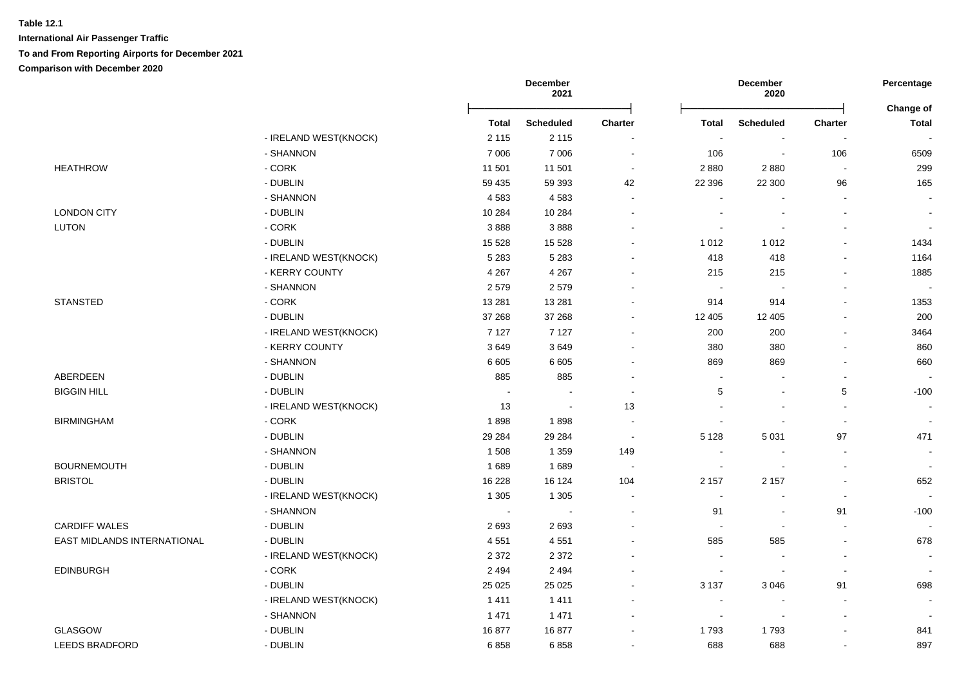|                             |                       |              | <b>December</b><br>2021 |                          |                          | <b>December</b><br>2020 |                          | Percentage                |
|-----------------------------|-----------------------|--------------|-------------------------|--------------------------|--------------------------|-------------------------|--------------------------|---------------------------|
|                             |                       | <b>Total</b> | <b>Scheduled</b>        | <b>Charter</b>           | <b>Total</b>             | <b>Scheduled</b>        | <b>Charter</b>           | Change of<br><b>Total</b> |
|                             | - IRELAND WEST(KNOCK) | 2 1 1 5      | 2 1 1 5                 |                          | $\sim$                   |                         |                          |                           |
|                             | - SHANNON             | 7 0 0 6      | 7 0 0 6                 | $\sim$                   | 106                      | $\sim$                  | 106                      | 6509                      |
| <b>HEATHROW</b>             | - CORK                | 11 501       | 11 501                  | $\sim$                   | 2880                     | 2880                    | $\sim$                   | 299                       |
|                             | - DUBLIN              | 59 435       | 59 393                  | 42                       | 22 396                   | 22 300                  | 96                       | 165                       |
|                             | - SHANNON             | 4583         | 4583                    | $\overline{\phantom{a}}$ | $\sim$                   |                         | $\sim$                   |                           |
| <b>LONDON CITY</b>          | - DUBLIN              | 10 284       | 10 284                  | $\overline{a}$           |                          |                         |                          | $\overline{\phantom{a}}$  |
| <b>LUTON</b>                | $-CORK$               | 3888         | 3888                    |                          |                          |                         |                          |                           |
|                             | - DUBLIN              | 15 5 28      | 15 5 28                 |                          | 1 0 1 2                  | 1 0 1 2                 |                          | 1434                      |
|                             | - IRELAND WEST(KNOCK) | 5 2 8 3      | 5 2 8 3                 |                          | 418                      | 418                     |                          | 1164                      |
|                             | - KERRY COUNTY        | 4 2 6 7      | 4 2 6 7                 |                          | 215                      | 215                     |                          | 1885                      |
|                             | - SHANNON             | 2579         | 2579                    |                          | $\sim$                   | $\sim$                  |                          |                           |
| <b>STANSTED</b>             | $-CORK$               | 13 2 8 1     | 13 2 8 1                |                          | 914                      | 914                     |                          | 1353                      |
|                             | - DUBLIN              | 37 268       | 37 268                  |                          | 12 405                   | 12 405                  |                          | 200                       |
|                             | - IRELAND WEST(KNOCK) | 7 1 2 7      | 7 1 2 7                 | $\blacksquare$           | 200                      | 200                     | $\blacksquare$           | 3464                      |
|                             | - KERRY COUNTY        | 3649         | 3649                    | $\sim$                   | 380                      | 380                     |                          | 860                       |
|                             | - SHANNON             | 6 6 0 5      | 6 6 0 5                 | $\sim$                   | 869                      | 869                     |                          | 660                       |
| ABERDEEN                    | - DUBLIN              | 885          | 885                     |                          |                          |                         |                          |                           |
| <b>BIGGIN HILL</b>          | - DUBLIN              | $\sim$       |                         |                          | 5                        |                         | 5                        | $-100$                    |
|                             | - IRELAND WEST(KNOCK) | 13           | $\blacksquare$          | 13                       |                          |                         |                          | $\overline{\phantom{a}}$  |
| <b>BIRMINGHAM</b>           | $-CORK$               | 1898         | 1898                    | $\sim$                   | $\sim$                   |                         | $\sim$                   | $\sim$                    |
|                             | - DUBLIN              | 29 284       | 29 2 84                 | $\overline{\phantom{a}}$ | 5 1 2 8                  | 5 0 31                  | 97                       | 471                       |
|                             | - SHANNON             | 1508         | 1 3 5 9                 | 149                      | $\overline{\phantom{a}}$ |                         |                          | $\sim$                    |
| <b>BOURNEMOUTH</b>          | - DUBLIN              | 1689         | 1689                    | $\overline{\phantom{a}}$ | $\sim$                   |                         | $\overline{\phantom{a}}$ | $\sim$                    |
| <b>BRISTOL</b>              | - DUBLIN              | 16 228       | 16 124                  | 104                      | 2 1 5 7                  | 2 1 5 7                 |                          | 652                       |
|                             | - IRELAND WEST(KNOCK) | 1 3 0 5      | 1 3 0 5                 |                          |                          |                         | $\sim$                   |                           |
|                             | - SHANNON             |              |                         |                          | 91                       |                         | 91                       | $-100$                    |
| <b>CARDIFF WALES</b>        | - DUBLIN              | 2693         | 2693                    |                          | $\sim$                   |                         | $\sim$                   |                           |
| EAST MIDLANDS INTERNATIONAL | - DUBLIN              | 4551         | 4551                    |                          | 585                      | 585                     | $\sim$                   | 678                       |
|                             | - IRELAND WEST(KNOCK) | 2 3 7 2      | 2 3 7 2                 |                          | ÷                        | $\sim$                  | $\sim$                   | $\sim$                    |
| <b>EDINBURGH</b>            | $-CORK$               | 2 4 9 4      | 2 4 9 4                 |                          | $\blacksquare$           | $\blacksquare$          | $\sim$                   | $\overline{\phantom{a}}$  |
|                             | - DUBLIN              | 25 0 25      | 25 0 25                 |                          | 3 1 3 7                  | 3 0 4 6                 | 91                       | 698                       |
|                             | - IRELAND WEST(KNOCK) | 1411         | 1411                    | $\blacksquare$           | $\overline{\phantom{a}}$ |                         | $\blacksquare$           |                           |
|                             | - SHANNON             | 1 4 7 1      | 1 4 7 1                 | $\sim$                   | $\overline{\phantom{a}}$ | $\blacksquare$          |                          |                           |
| GLASGOW                     | - DUBLIN              | 16877        | 16877                   | $\sim$                   | 1793                     | 1793                    |                          | 841                       |
| LEEDS BRADFORD              | - DUBLIN              | 6858         | 6858                    | $\blacksquare$           | 688                      | 688                     | $\blacksquare$           | 897                       |
|                             |                       |              |                         |                          |                          |                         |                          |                           |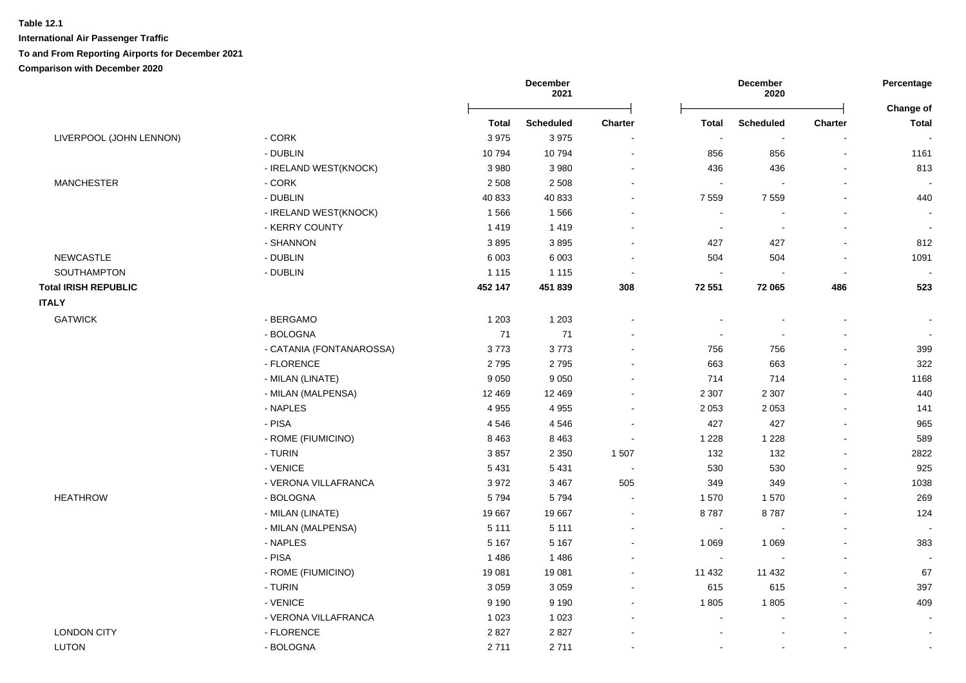|                             |                          | <b>December</b><br>2021 |                  |                | <b>December</b><br>2020  |                          | Percentage<br>Change of  |                          |
|-----------------------------|--------------------------|-------------------------|------------------|----------------|--------------------------|--------------------------|--------------------------|--------------------------|
|                             |                          | <b>Total</b>            | <b>Scheduled</b> | <b>Charter</b> | <b>Total</b>             | <b>Scheduled</b>         | <b>Charter</b>           | <b>Total</b>             |
| LIVERPOOL (JOHN LENNON)     | $-CORK$                  | 3975                    | 3975             |                |                          | $\sim$                   |                          | $\overline{\phantom{a}}$ |
|                             | - DUBLIN                 | 10794                   | 10794            | $\sim$         | 856                      | 856                      | $\overline{\phantom{a}}$ | 1161                     |
|                             | - IRELAND WEST(KNOCK)    | 3 9 8 0                 | 3 9 8 0          | $\sim$         | 436                      | 436                      | $\blacksquare$           | 813                      |
| <b>MANCHESTER</b>           | - CORK                   | 2 5 0 8                 | 2 5 0 8          |                | $\blacksquare$           |                          | $\blacksquare$           |                          |
|                             | - DUBLIN                 | 40 833                  | 40 833           |                | 7 5 5 9                  | 7 5 5 9                  |                          | 440                      |
|                             | - IRELAND WEST(KNOCK)    | 1566                    | 1566             |                |                          |                          |                          |                          |
|                             | - KERRY COUNTY           | 1419                    | 1419             |                | $\sim$                   | $\overline{\phantom{a}}$ | $\sim$                   | $\overline{\phantom{a}}$ |
|                             | - SHANNON                | 3895                    | 3895             |                | 427                      | 427                      | $\sim$                   | 812                      |
| <b>NEWCASTLE</b>            | - DUBLIN                 | 6 0 0 3                 | 6 0 0 3          | $\sim$         | 504                      | 504                      | $\blacksquare$           | 1091                     |
| SOUTHAMPTON                 | - DUBLIN                 | 1 1 1 5                 | 1 1 1 5          | $\blacksquare$ | $\blacksquare$           | $\overline{\phantom{a}}$ | $\overline{\phantom{a}}$ | $\sim$                   |
| <b>Total IRISH REPUBLIC</b> |                          | 452 147                 | 451 839          | 308            | 72 551                   | 72 065                   | 486                      | 523                      |
| <b>ITALY</b>                |                          |                         |                  |                |                          |                          |                          |                          |
| <b>GATWICK</b>              | - BERGAMO                | 1 2 0 3                 | 1 2 0 3          |                |                          | $\overline{\phantom{a}}$ | $\overline{\phantom{a}}$ |                          |
|                             | - BOLOGNA                | 71                      | 71               |                | $\sim$                   | $\overline{\phantom{a}}$ | $\overline{\phantom{a}}$ | $\overline{\phantom{a}}$ |
|                             | - CATANIA (FONTANAROSSA) | 3773                    | 3773             |                | 756                      | 756                      | $\sim$                   | 399                      |
|                             | - FLORENCE               | 2795                    | 2795             |                | 663                      | 663                      |                          | 322                      |
|                             | - MILAN (LINATE)         | 9 0 5 0                 | 9 0 5 0          |                | 714                      | 714                      | $\blacksquare$           | 1168                     |
|                             | - MILAN (MALPENSA)       | 12 4 69                 | 12 4 69          |                | 2 3 0 7                  | 2 3 0 7                  | $\blacksquare$           | 440                      |
|                             | - NAPLES                 | 4 9 5 5                 | 4 9 5 5          |                | 2 0 5 3                  | 2 0 5 3                  | $\blacksquare$           | 141                      |
|                             | - PISA                   | 4546                    | 4546             | $\sim$         | 427                      | 427                      | $\blacksquare$           | 965                      |
|                             | - ROME (FIUMICINO)       | 8 4 6 3                 | 8 4 6 3          |                | 1 2 2 8                  | 1 2 2 8                  | $\blacksquare$           | 589                      |
|                             | - TURIN                  | 3857                    | 2 3 5 0          | 1507           | 132                      | 132                      | $\sim$                   | 2822                     |
|                             | - VENICE                 | 5 4 31                  | 5 4 3 1          | $\sim$         | 530                      | 530                      | $\sim$                   | 925                      |
|                             | - VERONA VILLAFRANCA     | 3972                    | 3 4 6 7          | 505            | 349                      | 349                      | $\blacksquare$           | 1038                     |
| <b>HEATHROW</b>             | - BOLOGNA                | 5794                    | 5794             | $\sim$         | 1570                     | 1570                     | $\sim$                   | 269                      |
|                             | - MILAN (LINATE)         | 19667                   | 19667            | $\sim$         | 8787                     | 8787                     | $\sim$                   | 124                      |
|                             | - MILAN (MALPENSA)       | 5 1 1 1                 | 5 1 1 1          | $\sim$         | $\sim$                   | $\blacksquare$           | $\sim$                   | $\overline{\phantom{a}}$ |
|                             | - NAPLES                 | 5 1 6 7                 | 5 1 6 7          | $\sim$         | 1 0 6 9                  | 1 0 6 9                  | $\sim$                   | 383                      |
|                             | - PISA                   | 1486                    | 1486             | $\sim$         | $\sim$                   |                          | $\sim$                   |                          |
|                             | - ROME (FIUMICINO)       | 19 081                  | 19 081           |                | 11 432                   | 11 432                   |                          | 67                       |
|                             | - TURIN                  | 3 0 5 9                 | 3 0 5 9          |                | 615                      | 615                      | $\sim$                   | 397                      |
|                             | - VENICE                 | 9 1 9 0                 | 9 1 9 0          |                | 1805                     | 1805                     | $\sim$                   | 409                      |
|                             | - VERONA VILLAFRANCA     | 1 0 2 3                 | 1 0 2 3          |                | $\overline{\phantom{a}}$ |                          | $\sim$                   | $\sim$                   |
| <b>LONDON CITY</b>          | - FLORENCE               | 2827                    | 2827             |                |                          |                          |                          | $\sim$                   |
| <b>LUTON</b>                | - BOLOGNA                | 2711                    | 2711             |                |                          |                          |                          | $\blacksquare$           |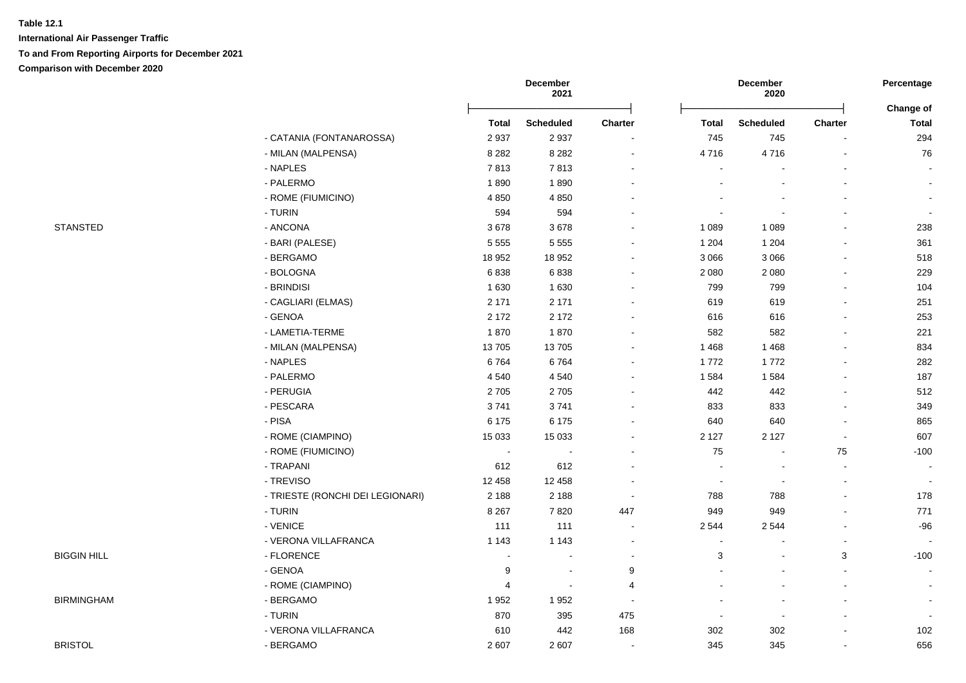|                    |                                  |         | December<br>2021         |                          |                | December<br>2020 |                | Percentage                |  |
|--------------------|----------------------------------|---------|--------------------------|--------------------------|----------------|------------------|----------------|---------------------------|--|
|                    |                                  | Total   | <b>Scheduled</b>         | Charter                  | Total          | <b>Scheduled</b> | Charter        | Change of<br><b>Total</b> |  |
|                    | - CATANIA (FONTANAROSSA)         | 2937    | 2937                     | $\blacksquare$           | 745            | 745              |                | 294                       |  |
|                    | - MILAN (MALPENSA)               | 8 2 8 2 | 8 2 8 2                  | $\blacksquare$           | 4716           | 4716             |                | 76                        |  |
|                    | - NAPLES                         | 7813    | 7813                     | $\overline{\phantom{a}}$ |                |                  |                |                           |  |
|                    | - PALERMO                        | 1890    | 1890                     |                          |                |                  |                | $\sim$                    |  |
|                    | - ROME (FIUMICINO)               | 4 8 5 0 | 4 8 5 0                  |                          |                |                  |                | $\sim$                    |  |
|                    | - TURIN                          | 594     | 594                      |                          |                |                  |                |                           |  |
| <b>STANSTED</b>    | - ANCONA                         | 3678    | 3678                     |                          | 1 0 8 9        | 1 0 8 9          |                | 238                       |  |
|                    | - BARI (PALESE)                  | 5 5 5 5 | 5 5 5 5                  |                          | 1 2 0 4        | 1 2 0 4          |                | 361                       |  |
|                    | - BERGAMO                        |         |                          |                          |                | 3 0 6 6          |                |                           |  |
|                    | - BOLOGNA                        | 18 952  | 18 952<br>6838           | $\overline{\phantom{a}}$ | 3 0 6 6        |                  |                | 518<br>229                |  |
|                    |                                  | 6838    |                          | $\blacksquare$           | 2 0 8 0        | 2 0 8 0          |                |                           |  |
|                    | - BRINDISI                       | 1630    | 1 6 3 0                  | $\overline{\phantom{a}}$ | 799            | 799              |                | 104                       |  |
|                    | - CAGLIARI (ELMAS)               | 2 1 7 1 | 2 1 7 1                  | $\blacksquare$           | 619            | 619              |                | 251                       |  |
|                    | - GENOA                          | 2 1 7 2 | 2 1 7 2                  | $\blacksquare$           | 616            | 616              |                | 253                       |  |
|                    | - LAMETIA-TERME                  | 1870    | 1870                     |                          | 582            | 582              |                | 221                       |  |
|                    | - MILAN (MALPENSA)               | 13705   | 13705                    |                          | 1 4 6 8        | 1 4 6 8          |                | 834                       |  |
|                    | - NAPLES                         | 6764    | 6764                     |                          | 1772           | 1772             |                | 282                       |  |
|                    | - PALERMO                        | 4 5 4 0 | 4 5 4 0                  |                          | 1 5 8 4        | 1584             |                | 187                       |  |
|                    | - PERUGIA                        | 2705    | 2705                     | $\overline{\phantom{a}}$ | 442            | 442              |                | 512                       |  |
|                    | - PESCARA                        | 3741    | 3741                     | $\blacksquare$           | 833            | 833              |                | 349                       |  |
|                    | - PISA                           | 6 175   | 6 1 7 5                  | $\blacksquare$           | 640            | 640              |                | 865                       |  |
|                    | - ROME (CIAMPINO)                | 15 0 33 | 15 0 33                  |                          | 2 1 2 7        | 2 1 2 7          | $\blacksquare$ | 607                       |  |
|                    | - ROME (FIUMICINO)               | $\sim$  | $\overline{\phantom{a}}$ |                          | 75             | $\blacksquare$   | 75             | $-100$                    |  |
|                    | - TRAPANI                        | 612     | 612                      |                          |                |                  | $\blacksquare$ |                           |  |
|                    | - TREVISO                        | 12 4 58 | 12 4 5 8                 |                          |                |                  |                |                           |  |
|                    | - TRIESTE (RONCHI DEI LEGIONARI) | 2 1 8 8 | 2 1 8 8                  | $\overline{\phantom{a}}$ | 788            | 788              |                | 178                       |  |
|                    | - TURIN                          | 8 2 6 7 | 7820                     | 447                      | 949            | 949              |                | 771                       |  |
|                    | - VENICE                         | 111     | 111                      | $\blacksquare$           | 2 5 4 4        | 2544             |                | $-96$                     |  |
|                    | - VERONA VILLAFRANCA             | 1 1 4 3 | 1 1 4 3                  | $\overline{\phantom{a}}$ | $\blacksquare$ |                  |                |                           |  |
| <b>BIGGIN HILL</b> | - FLORENCE                       |         | $\overline{a}$           | $\overline{\phantom{a}}$ | 3              |                  | 3              | $-100$                    |  |
|                    | - GENOA                          | 9       | $\blacksquare$           | $9\,$                    |                |                  |                | $\blacksquare$            |  |
|                    | - ROME (CIAMPINO)                | 4       | $\overline{a}$           | $\overline{4}$           |                |                  |                | $\blacksquare$            |  |
| <b>BIRMINGHAM</b>  | - BERGAMO                        | 1952    | 1952                     |                          |                |                  |                | $\blacksquare$            |  |
|                    | - TURIN                          | 870     | 395                      | 475                      |                |                  |                |                           |  |
|                    | - VERONA VILLAFRANCA             | 610     | 442                      | 168                      | 302            | 302              |                | 102                       |  |
| <b>BRISTOL</b>     | - BERGAMO                        | 2 607   | 2 607                    | $\overline{\phantom{a}}$ | 345            | 345              |                | 656                       |  |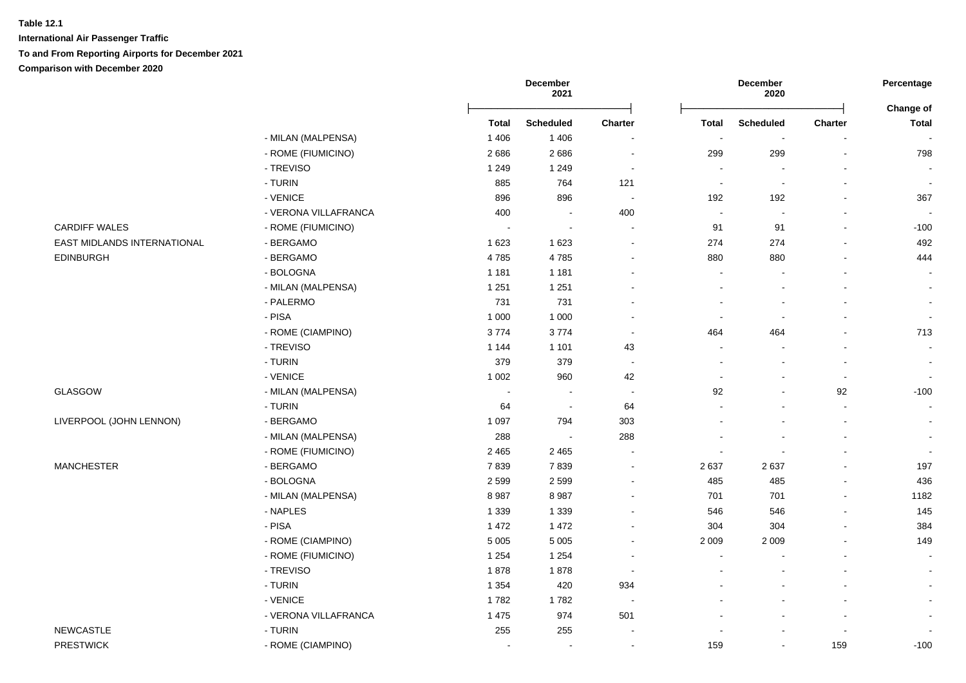|                             |                      |              | December<br>2021         |                          |                | December<br>2020         |                | Percentage<br>Change of |  |
|-----------------------------|----------------------|--------------|--------------------------|--------------------------|----------------|--------------------------|----------------|-------------------------|--|
|                             |                      | <b>Total</b> | <b>Scheduled</b>         | Charter                  | <b>Total</b>   | <b>Scheduled</b>         | <b>Charter</b> | Total                   |  |
|                             | - MILAN (MALPENSA)   | 1 4 0 6      | 1 4 0 6                  |                          | $\sim$         | $\overline{\phantom{a}}$ |                |                         |  |
|                             | - ROME (FIUMICINO)   | 2686         | 2686                     | $\sim$                   | 299            | 299                      | $\sim$         | 798                     |  |
|                             | - TREVISO            | 1 2 4 9      | 1 2 4 9                  | $\sim$                   | $\sim$         | $\overline{a}$           | $\blacksquare$ | $\sim$                  |  |
|                             | - TURIN              | 885          | 764                      | 121                      | $\sim$         | $\blacksquare$           |                | $\sim$                  |  |
|                             | - VENICE             | 896          | 896                      | $\sim$                   | 192            | 192                      | $\blacksquare$ | 367                     |  |
|                             | - VERONA VILLAFRANCA | 400          | $\blacksquare$           | 400                      | $\sim$         | $\blacksquare$           | $\blacksquare$ |                         |  |
| <b>CARDIFF WALES</b>        | - ROME (FIUMICINO)   | $\sim$       | $\overline{\phantom{a}}$ | $\sim$                   | 91             | 91                       | L.             | $-100$                  |  |
| EAST MIDLANDS INTERNATIONAL | - BERGAMO            | 1623         | 1 6 2 3                  | $\blacksquare$           | 274            | 274                      | $\blacksquare$ | 492                     |  |
| <b>EDINBURGH</b>            | - BERGAMO            | 4785         | 4785                     | $\blacksquare$           | 880            | 880                      |                | 444                     |  |
|                             | - BOLOGNA            | 1 1 8 1      | 1 1 8 1                  | ۰                        | $\overline{a}$ |                          | $\overline{a}$ |                         |  |
|                             | - MILAN (MALPENSA)   | 1 2 5 1      | 1 2 5 1                  |                          |                |                          |                | $\blacksquare$          |  |
|                             | - PALERMO            | 731          | 731                      |                          |                |                          |                |                         |  |
|                             | - PISA               | 1 0 0 0      | 1 0 0 0                  | $\overline{\phantom{a}}$ |                |                          |                |                         |  |
|                             | - ROME (CIAMPINO)    | 3774         | 3774                     | $\sim$                   | 464            | 464                      |                | 713                     |  |
|                             | - TREVISO            | 1 1 4 4      | 1 1 0 1                  | 43                       |                |                          |                | $\sim$                  |  |
|                             | - TURIN              | 379          | 379                      | $\sim$                   | $\overline{a}$ |                          |                | $\sim$                  |  |
|                             | - VENICE             | 1 0 0 2      | 960                      | 42                       |                |                          | ä,             | $\sim$                  |  |
| GLASGOW                     | - MILAN (MALPENSA)   | $\sim$       | $\blacksquare$           | $\sim$                   | 92             |                          | 92             | $-100$                  |  |
|                             | - TURIN              | 64           | $\sim$                   | 64                       |                | $\sim$                   | $\sim$         | $\sim$                  |  |
| LIVERPOOL (JOHN LENNON)     | - BERGAMO            | 1 0 9 7      | 794                      | 303                      |                |                          | $\blacksquare$ |                         |  |
|                             | - MILAN (MALPENSA)   | 288          | $\blacksquare$           | 288                      |                |                          |                |                         |  |
|                             | - ROME (FIUMICINO)   | 2 4 6 5      | 2 4 6 5                  | $\overline{\phantom{a}}$ |                |                          |                |                         |  |
| <b>MANCHESTER</b>           | - BERGAMO            | 7839         | 7839                     | $\blacksquare$           | 2637           | 2637                     |                | 197                     |  |
|                             | - BOLOGNA            | 2 5 9 9      | 2599                     | $\blacksquare$           | 485            | 485                      | $\blacksquare$ | 436                     |  |
|                             | - MILAN (MALPENSA)   | 8987         | 8987                     | $\blacksquare$           | 701            | 701                      | $\blacksquare$ | 1182                    |  |
|                             | - NAPLES             | 1 3 3 9      | 1 3 3 9                  | ä,                       | 546            | 546                      |                | 145                     |  |
|                             | - PISA               | 1 4 7 2      | 1 4 7 2                  | ۰                        | 304            | 304                      | $\blacksquare$ | 384                     |  |
|                             | - ROME (CIAMPINO)    | 5 0 0 5      | 5 0 0 5                  | $\blacksquare$           | 2 0 0 9        | 2 0 0 9                  |                | 149                     |  |
|                             | - ROME (FIUMICINO)   | 1 2 5 4      | 1 2 5 4                  | $\sim$                   |                |                          |                | $\sim$                  |  |
|                             | - TREVISO            | 1878         | 1878                     | $\overline{\phantom{a}}$ |                |                          |                | $\sim$                  |  |
|                             | - TURIN              | 1 3 5 4      | 420                      | 934                      |                |                          |                |                         |  |
|                             | - VENICE             | 1782         | 1782                     | $\overline{\phantom{a}}$ |                |                          |                |                         |  |
|                             | - VERONA VILLAFRANCA | 1 4 7 5      | 974                      | 501                      |                |                          |                |                         |  |
| <b>NEWCASTLE</b>            | - TURIN              | 255          | 255                      | $\overline{\phantom{a}}$ |                |                          |                |                         |  |
| <b>PRESTWICK</b>            | - ROME (CIAMPINO)    | $\sim$       | $\sim$                   | $\blacksquare$           | 159            | $\blacksquare$           | 159            | $-100$                  |  |
|                             |                      |              |                          |                          |                |                          |                |                         |  |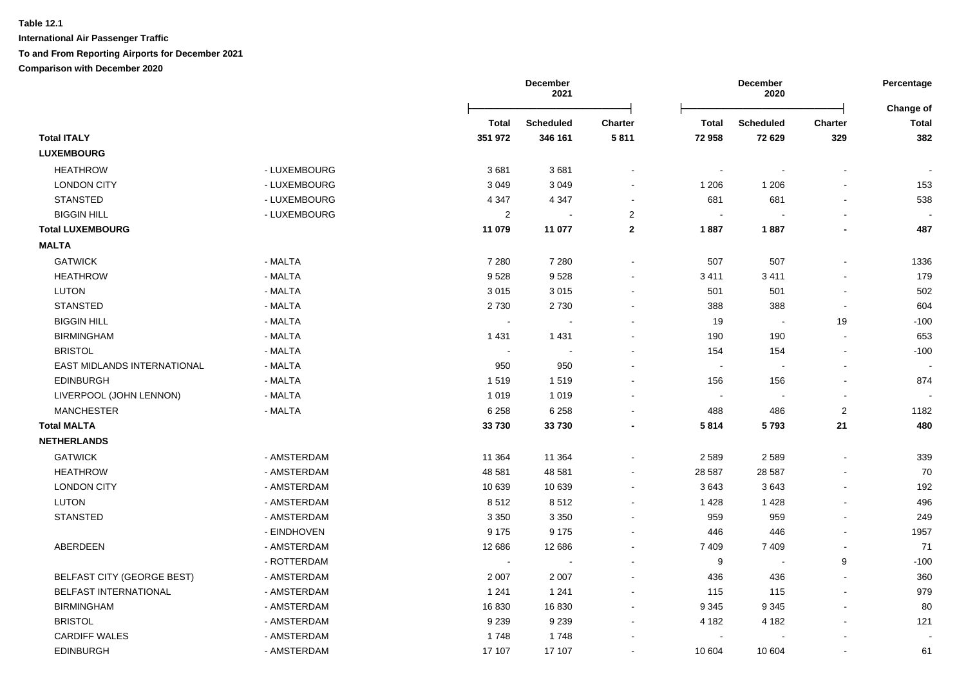|                                   |              |              | <b>December</b><br>2021 |                |                          | <b>December</b><br>2020 |                | Percentage<br>Change of |  |
|-----------------------------------|--------------|--------------|-------------------------|----------------|--------------------------|-------------------------|----------------|-------------------------|--|
|                                   |              | <b>Total</b> | <b>Scheduled</b>        | <b>Charter</b> | <b>Total</b>             | Scheduled               | <b>Charter</b> | Total                   |  |
| <b>Total ITALY</b>                |              | 351 972      | 346 161                 | 5811           | 72 958                   | 72 629                  | 329            | 382                     |  |
| <b>LUXEMBOURG</b>                 |              |              |                         |                |                          |                         |                |                         |  |
| <b>HEATHROW</b>                   | - LUXEMBOURG | 3681         | 3681                    |                |                          |                         |                |                         |  |
| <b>LONDON CITY</b>                | - LUXEMBOURG | 3 0 4 9      | 3 0 4 9                 |                | 1 206                    | 1 2 0 6                 |                | 153                     |  |
| <b>STANSTED</b>                   | - LUXEMBOURG | 4 3 4 7      | 4 3 4 7                 | $\sim$         | 681                      | 681                     |                | 538                     |  |
| <b>BIGGIN HILL</b>                | - LUXEMBOURG | $\sqrt{2}$   | $\sim$                  | $\overline{2}$ | $\blacksquare$           |                         |                |                         |  |
| <b>Total LUXEMBOURG</b>           |              | 11 079       | 11 077                  | $\mathbf{2}$   | 1887                     | 1887                    |                | 487                     |  |
| <b>MALTA</b>                      |              |              |                         |                |                          |                         |                |                         |  |
| <b>GATWICK</b>                    | - MALTA      | 7 2 8 0      | 7 2 8 0                 |                | 507                      | 507                     | $\mathbf{r}$   | 1336                    |  |
| <b>HEATHROW</b>                   | - MALTA      | 9528         | 9528                    |                | 3411                     | 3411                    |                | 179                     |  |
| <b>LUTON</b>                      | - MALTA      | 3015         | 3015                    | $\blacksquare$ | 501                      | 501                     | $\sim$         | 502                     |  |
| <b>STANSTED</b>                   | - MALTA      | 2730         | 2730                    |                | 388                      | 388                     |                | 604                     |  |
| <b>BIGGIN HILL</b>                | - MALTA      |              |                         |                | 19                       | $\sim$                  | 19             | $-100$                  |  |
| <b>BIRMINGHAM</b>                 | - MALTA      | 1 4 3 1      | 1431                    |                | 190                      | 190                     |                | 653                     |  |
| <b>BRISTOL</b>                    | - MALTA      |              |                         |                | 154                      | 154                     | $\sim$         | $-100$                  |  |
| EAST MIDLANDS INTERNATIONAL       | - MALTA      | 950          | 950                     |                | $\overline{\phantom{a}}$ |                         |                |                         |  |
| <b>EDINBURGH</b>                  | - MALTA      | 1519         | 1519                    |                | 156                      | 156                     |                | 874                     |  |
| LIVERPOOL (JOHN LENNON)           | - MALTA      | 1 0 1 9      | 1 0 1 9                 |                |                          |                         |                |                         |  |
| <b>MANCHESTER</b>                 | - MALTA      | 6 2 5 8      | 6 2 5 8                 |                | 488                      | 486                     | $\overline{c}$ | 1182                    |  |
| <b>Total MALTA</b>                |              | 33730        | 33 730                  |                | 5814                     | 5793                    | 21             | 480                     |  |
| <b>NETHERLANDS</b>                |              |              |                         |                |                          |                         |                |                         |  |
| <b>GATWICK</b>                    | - AMSTERDAM  | 11 3 64      | 11 3 64                 |                | 2 5 8 9                  | 2589                    |                | 339                     |  |
| <b>HEATHROW</b>                   | - AMSTERDAM  | 48 581       | 48 581                  |                | 28 587                   | 28 5 87                 |                | 70                      |  |
| <b>LONDON CITY</b>                | - AMSTERDAM  | 10 639       | 10 639                  |                | 3643                     | 3643                    |                | 192                     |  |
| LUTON                             | - AMSTERDAM  | 8512         | 8512                    |                | 1 4 2 8                  | 1 4 2 8                 |                | 496                     |  |
| <b>STANSTED</b>                   | - AMSTERDAM  | 3 3 5 0      | 3 3 5 0                 | $\sim$         | 959                      | 959                     |                | 249                     |  |
|                                   | - EINDHOVEN  | 9 1 7 5      | 9 1 7 5                 |                | 446                      | 446                     |                | 1957                    |  |
| ABERDEEN                          | - AMSTERDAM  | 12 686       | 12 686                  |                | 7 4 0 9                  | 7 4 0 9                 |                | 71                      |  |
|                                   | - ROTTERDAM  | $\sim$       |                         |                | 9                        | $\blacksquare$          | 9              | $-100$                  |  |
| <b>BELFAST CITY (GEORGE BEST)</b> | - AMSTERDAM  | 2 0 0 7      | 2 0 0 7                 |                | 436                      | 436                     |                | 360                     |  |
| BELFAST INTERNATIONAL             | - AMSTERDAM  | 1 2 4 1      | 1 2 4 1                 |                | 115                      | 115                     |                | 979                     |  |
| <b>BIRMINGHAM</b>                 | - AMSTERDAM  | 16830        | 16830                   |                | 9 3 4 5                  | 9 3 4 5                 |                | 80                      |  |
| <b>BRISTOL</b>                    | - AMSTERDAM  | 9 2 3 9      | 9 2 3 9                 |                | 4 1 8 2                  | 4 1 8 2                 |                | 121                     |  |
| <b>CARDIFF WALES</b>              | - AMSTERDAM  | 1748         | 1748                    |                |                          |                         |                |                         |  |
| <b>EDINBURGH</b>                  | - AMSTERDAM  | 17 107       | 17 107                  |                | 10 604                   | 10 604                  |                | 61                      |  |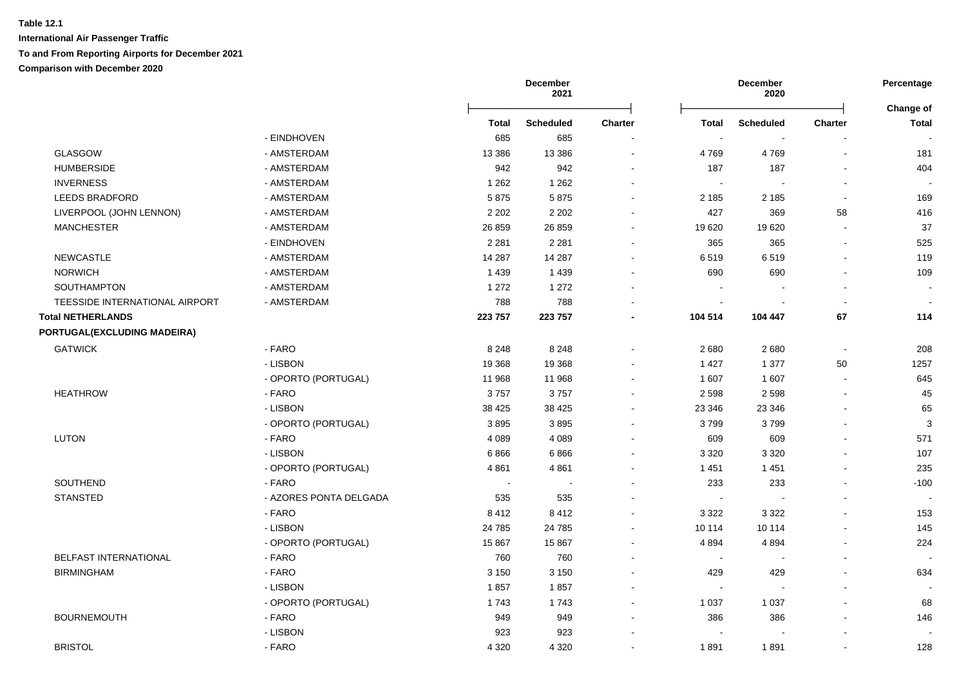|                                |                        | <b>December</b><br>2021 |                  |                | <b>December</b><br>2020  |                  |                          |                           |
|--------------------------------|------------------------|-------------------------|------------------|----------------|--------------------------|------------------|--------------------------|---------------------------|
|                                |                        | Total                   | <b>Scheduled</b> | <b>Charter</b> | <b>Total</b>             | <b>Scheduled</b> | <b>Charter</b>           | Change of<br><b>Total</b> |
|                                | - EINDHOVEN            | 685                     | 685              |                | $\overline{\phantom{a}}$ |                  |                          |                           |
| <b>GLASGOW</b>                 | - AMSTERDAM            | 13 386                  | 13 3 8 6         | $\sim$         | 4769                     | 4769             |                          | 181                       |
| <b>HUMBERSIDE</b>              | - AMSTERDAM            | 942                     | 942              |                | 187                      | 187              |                          | 404                       |
| <b>INVERNESS</b>               | - AMSTERDAM            | 1 2 6 2                 | 1 2 6 2          |                | $\blacksquare$           |                  |                          |                           |
| <b>LEEDS BRADFORD</b>          | - AMSTERDAM            | 5875                    | 5875             |                | 2 1 8 5                  | 2 1 8 5          |                          | 169                       |
| LIVERPOOL (JOHN LENNON)        | - AMSTERDAM            | 2 2 0 2                 | 2 2 0 2          |                | 427                      | 369              | 58                       | 416                       |
| <b>MANCHESTER</b>              | - AMSTERDAM            | 26 859                  | 26 859           |                | 19 620                   | 19620            |                          | 37                        |
|                                | - EINDHOVEN            | 2 2 8 1                 | 2 2 8 1          |                | 365                      | 365              |                          | 525                       |
| NEWCASTLE                      | - AMSTERDAM            | 14 287                  | 14 287           |                | 6519                     | 6519             |                          | 119                       |
| <b>NORWICH</b>                 | - AMSTERDAM            | 1 4 3 9                 | 1 4 3 9          |                | 690                      | 690              |                          | 109                       |
| SOUTHAMPTON                    | - AMSTERDAM            | 1 2 7 2                 | 1 2 7 2          |                |                          |                  |                          | $\blacksquare$            |
| TEESSIDE INTERNATIONAL AIRPORT | - AMSTERDAM            | 788                     | 788              |                | $\sim$                   |                  |                          |                           |
| <b>Total NETHERLANDS</b>       |                        | 223 757                 | 223 757          |                | 104 514                  | 104 447          | 67                       | 114                       |
| PORTUGAL(EXCLUDING MADEIRA)    |                        |                         |                  |                |                          |                  |                          |                           |
| <b>GATWICK</b>                 | - FARO                 | 8 2 4 8                 | 8 2 4 8          |                | 2680                     | 2680             | $\overline{\phantom{a}}$ | 208                       |
|                                | - LISBON               | 19 3 68                 | 19 3 68          |                | 1 4 2 7                  | 1 3 7 7          | 50                       | 1257                      |
|                                | - OPORTO (PORTUGAL)    | 11 968                  | 11 968           |                | 1 607                    | 1 607            | $\sim$                   | 645                       |
| <b>HEATHROW</b>                | - FARO                 | 3757                    | 3757             |                | 2 5 9 8                  | 2 5 9 8          |                          | 45                        |
|                                | - LISBON               | 38 4 25                 | 38 4 25          | $\sim$         | 23 346                   | 23 346           |                          | 65                        |
|                                | - OPORTO (PORTUGAL)    | 3895                    | 3895             | $\sim$         | 3799                     | 3799             |                          | $\mathbf{3}$              |
| LUTON                          | - FARO                 | 4 0 8 9                 | 4 0 8 9          |                | 609                      | 609              |                          | 571                       |
|                                | - LISBON               | 6866                    | 6866             |                | 3 3 2 0                  | 3 3 2 0          |                          | 107                       |
|                                | - OPORTO (PORTUGAL)    | 4861                    | 4861             |                | 1 4 5 1                  | 1451             |                          | 235                       |
| SOUTHEND                       | - FARO                 | $\sim$                  | $\overline{a}$   |                | 233                      | 233              |                          | $-100$                    |
| <b>STANSTED</b>                | - AZORES PONTA DELGADA | 535                     | 535              |                | $\sim$                   |                  |                          |                           |
|                                | - FARO                 | 8412                    | 8412             |                | 3 3 2 2                  | 3 3 2 2          |                          | 153                       |
|                                | - LISBON               | 24 7 8 5                | 24 785           |                | 10 114                   | 10 114           |                          | 145                       |
|                                | - OPORTO (PORTUGAL)    | 15 867                  | 15 867           |                | 4894                     | 4894             |                          | 224                       |
| <b>BELFAST INTERNATIONAL</b>   | - FARO                 | 760                     | 760              |                | $\overline{\phantom{a}}$ |                  |                          |                           |
| <b>BIRMINGHAM</b>              | - FARO                 | 3 1 5 0                 | 3 1 5 0          |                | 429                      | 429              |                          | 634                       |
|                                | - LISBON               | 1857                    | 1857             |                | $\sim$                   | $\sim$           |                          |                           |
|                                | - OPORTO (PORTUGAL)    | 1743                    | 1743             |                | 1 0 3 7                  | 1 0 3 7          |                          | 68                        |
| <b>BOURNEMOUTH</b>             | - FARO                 | 949                     | 949              |                | 386                      | 386              |                          | 146                       |
|                                | - LISBON               | 923                     | 923              |                |                          |                  |                          |                           |
| <b>BRISTOL</b>                 | - FARO                 | 4 3 2 0                 | 4 3 2 0          | $\sim$         | 1891                     | 1891             |                          | 128                       |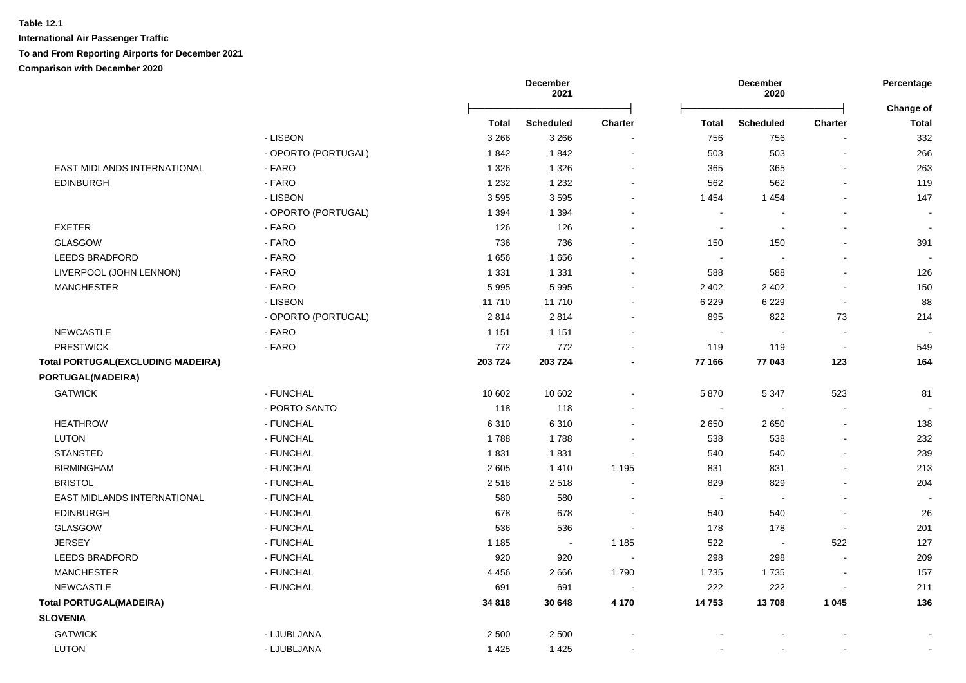|                                          |                     |              | <b>December</b><br>2021 |                |                | <b>December</b><br>2020 |                | Percentage                |  |
|------------------------------------------|---------------------|--------------|-------------------------|----------------|----------------|-------------------------|----------------|---------------------------|--|
|                                          |                     | <b>Total</b> | <b>Scheduled</b>        | <b>Charter</b> | <b>Total</b>   | <b>Scheduled</b>        | <b>Charter</b> | Change of<br><b>Total</b> |  |
|                                          | - LISBON            | 3 2 6 6      | 3 2 6 6                 |                | 756            | 756                     |                | 332                       |  |
|                                          | - OPORTO (PORTUGAL) | 1842         | 1842                    | $\sim$         | 503            | 503                     | $\sim$         | 266                       |  |
| EAST MIDLANDS INTERNATIONAL              | - FARO              | 1 3 2 6      | 1 3 2 6                 | $\sim$         | 365            | 365                     | $\blacksquare$ | 263                       |  |
| <b>EDINBURGH</b>                         | - FARO              | 1 2 3 2      | 1 2 3 2                 | $\sim$         | 562            | 562                     | $\blacksquare$ | 119                       |  |
|                                          | - LISBON            | 3595         | 3595                    |                | 1 4 5 4        | 1454                    |                | 147                       |  |
|                                          | - OPORTO (PORTUGAL) | 1 3 9 4      | 1 3 9 4                 |                |                |                         |                |                           |  |
| <b>EXETER</b>                            | - FARO              | 126          | 126                     |                | $\sim$         |                         |                |                           |  |
| <b>GLASGOW</b>                           | - FARO              | 736          | 736                     |                | 150            | 150                     | $\overline{a}$ | 391                       |  |
| <b>LEEDS BRADFORD</b>                    | - FARO              | 1656         | 1656                    |                | $\blacksquare$ | $\overline{a}$          | $\overline{a}$ |                           |  |
| LIVERPOOL (JOHN LENNON)                  | $-FARO$             | 1 3 3 1      | 1 3 3 1                 |                | 588            | 588                     | L.             | 126                       |  |
| <b>MANCHESTER</b>                        | - FARO              | 5995         | 5995                    |                | 2 4 0 2        | 2 4 0 2                 | $\blacksquare$ | 150                       |  |
|                                          | - LISBON            | 11710        | 11710                   |                | 6 2 2 9        | 6 2 2 9                 | $\sim$         | 88                        |  |
|                                          | - OPORTO (PORTUGAL) | 2814         | 2814                    | $\sim$         | 895            | 822                     | 73             | 214                       |  |
| <b>NEWCASTLE</b>                         | - FARO              | 1 1 5 1      | 1 1 5 1                 | $\sim$         | $\sim$         |                         | $\sim$         |                           |  |
| <b>PRESTWICK</b>                         | - FARO              | 772          | 772                     | $\blacksquare$ | 119            | 119                     | $\sim$         | 549                       |  |
| <b>Total PORTUGAL(EXCLUDING MADEIRA)</b> |                     | 203 724      | 203 724                 |                | 77 166         | 77 043                  | 123            | 164                       |  |
| PORTUGAL(MADEIRA)                        |                     |              |                         |                |                |                         |                |                           |  |
| <b>GATWICK</b>                           | - FUNCHAL           | 10 602       | 10 602                  | $\sim$         | 5870           | 5 3 4 7                 | 523            | 81                        |  |
|                                          | - PORTO SANTO       | 118          | 118                     |                | $\sim$         |                         | $\sim$         |                           |  |
| <b>HEATHROW</b>                          | - FUNCHAL           | 6310         | 6310                    |                | 2650           | 2650                    | $\blacksquare$ | 138                       |  |
| <b>LUTON</b>                             | - FUNCHAL           | 1788         | 1788                    |                | 538            | 538                     | $\overline{a}$ | 232                       |  |
| <b>STANSTED</b>                          | - FUNCHAL           | 1831         | 1831                    |                | 540            | 540                     | $\blacksquare$ | 239                       |  |
| <b>BIRMINGHAM</b>                        | - FUNCHAL           | 2 6 0 5      | 1410                    | 1 1 9 5        | 831            | 831                     |                | 213                       |  |
| <b>BRISTOL</b>                           | - FUNCHAL           | 2518         | 2518                    |                | 829            | 829                     |                | 204                       |  |
| EAST MIDLANDS INTERNATIONAL              | - FUNCHAL           | 580          | 580                     |                | $\sim$         |                         |                |                           |  |
| <b>EDINBURGH</b>                         | - FUNCHAL           | 678          | 678                     |                | 540            | 540                     |                | 26                        |  |
| <b>GLASGOW</b>                           | - FUNCHAL           | 536          | 536                     |                | 178            | 178                     | $\blacksquare$ | 201                       |  |
| <b>JERSEY</b>                            | - FUNCHAL           | 1 1 8 5      | $\sim$                  | 1 1 8 5        | 522            | $\sim$                  | 522            | 127                       |  |
| <b>LEEDS BRADFORD</b>                    | - FUNCHAL           | 920          | 920                     |                | 298            | 298                     | $\sim$         | 209                       |  |
| <b>MANCHESTER</b>                        | - FUNCHAL           | 4 4 5 6      | 2666                    | 1790           | 1735           | 1735                    | $\blacksquare$ | 157                       |  |
| NEWCASTLE                                | - FUNCHAL           | 691          | 691                     |                | 222            | 222                     | $\blacksquare$ | 211                       |  |
| <b>Total PORTUGAL(MADEIRA)</b>           |                     | 34 818       | 30 648                  | 4 170          | 14753          | 13708                   | 1 0 4 5        | 136                       |  |
| <b>SLOVENIA</b>                          |                     |              |                         |                |                |                         |                |                           |  |
| <b>GATWICK</b>                           | - LJUBLJANA         | 2 5 0 0      | 2 5 0 0                 |                |                |                         |                |                           |  |
| <b>LUTON</b>                             | - LJUBLJANA         | 1 4 2 5      | 1425                    |                |                |                         |                |                           |  |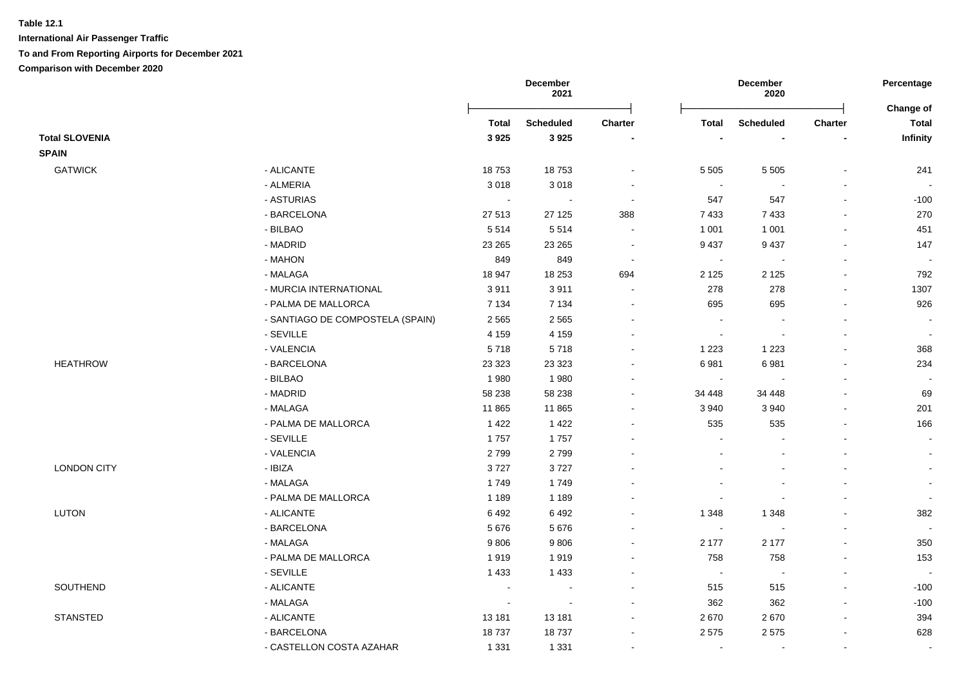|                       |                                  |              | December<br>2021 |                |                          | December<br>2020 |                          | Percentage                |
|-----------------------|----------------------------------|--------------|------------------|----------------|--------------------------|------------------|--------------------------|---------------------------|
|                       |                                  | <b>Total</b> | <b>Scheduled</b> | Charter        | <b>Total</b>             | <b>Scheduled</b> | Charter                  | Change of<br><b>Total</b> |
| <b>Total SLOVENIA</b> |                                  | 3925         | 3925             |                |                          |                  |                          | Infinity                  |
| <b>SPAIN</b>          |                                  |              |                  |                |                          |                  |                          |                           |
| <b>GATWICK</b>        | - ALICANTE                       | 18753        | 18753            |                | 5 5 0 5                  | 5 5 0 5          |                          | 241                       |
|                       | - ALMERIA                        | 3018         | 3018             | $\blacksquare$ | $\sim$                   |                  |                          | $\overline{\phantom{a}}$  |
|                       | - ASTURIAS                       | $\sim$       | $\sim$           | $\sim$         | 547                      | 547              |                          | $-100$                    |
|                       | - BARCELONA                      | 27 513       | 27 1 25          | 388            | 7 4 3 3                  | 7433             |                          | 270                       |
|                       | - BILBAO                         | 5514         | 5514             | $\blacksquare$ | 1 0 0 1                  | 1 0 0 1          |                          | 451                       |
|                       | - MADRID                         | 23 26 5      | 23 265           | $\sim$         | 9 4 3 7                  | 9 4 3 7          | $\overline{\phantom{a}}$ | 147                       |
|                       | - MAHON                          | 849          | 849              | $\sim$         | $\sim$                   |                  | $\overline{\phantom{a}}$ | $\sim$                    |
|                       | - MALAGA                         | 18 947       | 18 25 3          | 694            | 2 1 2 5                  | 2 1 2 5          |                          | 792                       |
|                       | - MURCIA INTERNATIONAL           | 3911         | 3911             | $\sim$         | 278                      | 278              | $\blacksquare$           | 1307                      |
|                       | - PALMA DE MALLORCA              | 7 1 3 4      | 7 1 3 4          | $\sim$         | 695                      | 695              |                          | 926                       |
|                       | - SANTIAGO DE COMPOSTELA (SPAIN) | 2 5 6 5      | 2 5 6 5          | $\blacksquare$ | $\overline{\phantom{a}}$ |                  |                          | $\blacksquare$            |
|                       | - SEVILLE                        | 4 1 5 9      | 4 1 5 9          |                | $\overline{\phantom{a}}$ |                  |                          | $\sim$                    |
|                       | - VALENCIA                       | 5718         | 5718             |                | 1 2 2 3                  | 1 2 2 3          |                          | 368                       |
| <b>HEATHROW</b>       | - BARCELONA                      | 23 3 23      | 23 3 23          |                | 6981                     | 6981             |                          | 234                       |
|                       | - BILBAO                         | 1980         | 1980             |                |                          |                  |                          |                           |
|                       | - MADRID                         | 58 238       | 58 238           |                | 34 448                   | 34 448           |                          | 69                        |
|                       | - MALAGA                         | 11 865       | 11 865           | $\blacksquare$ | 3 9 4 0                  | 3 9 4 0          |                          | 201                       |
|                       | - PALMA DE MALLORCA              | 1 4 2 2      | 1 4 2 2          |                | 535                      | 535              |                          | 166                       |
|                       | - SEVILLE                        | 1757         | 1757             | ÷.             | $\overline{a}$           |                  |                          | $\blacksquare$            |
|                       | - VALENCIA                       | 2799         | 2799             |                |                          |                  |                          | $\sim$                    |
| <b>LONDON CITY</b>    | - IBIZA                          | 3727         | 3727             |                |                          |                  |                          | $\blacksquare$            |
|                       | - MALAGA                         | 1749         | 1749             |                |                          |                  |                          | $\blacksquare$            |
|                       | - PALMA DE MALLORCA              | 1 1 8 9      | 1 1 8 9          |                |                          |                  |                          | $\sim$                    |
| LUTON                 | - ALICANTE                       | 6492         | 6492             | $\blacksquare$ | 1 3 4 8                  | 1 3 4 8          |                          | 382                       |
|                       | - BARCELONA                      | 5676         | 5676             |                | $\sim$                   |                  |                          | $\sim$                    |
|                       | - MALAGA                         | 9806         | 9806             |                | 2 177                    | 2 1 7 7          |                          | 350                       |
|                       | - PALMA DE MALLORCA              | 1919         | 1919             |                | 758                      | 758              |                          | 153                       |
|                       | - SEVILLE                        | 1 4 3 3      | 1 4 3 3          |                | $\sim$                   |                  |                          | $\sim$                    |
| SOUTHEND              | - ALICANTE                       | $\sim$       | $\sim$           | $\overline{a}$ | 515                      | 515              |                          | $-100$                    |
|                       | - MALAGA                         | $\sim$       | $\sim$           | $\overline{a}$ | 362                      | 362              |                          | $-100$                    |
| <b>STANSTED</b>       | - ALICANTE                       | 13 181       | 13 181           | $\blacksquare$ | 2670                     | 2670             |                          | 394                       |
|                       | - BARCELONA                      | 18737        | 18737            | $\blacksquare$ | 2575                     | 2575             |                          | 628                       |
|                       | - CASTELLON COSTA AZAHAR         | 1 3 3 1      | 1 3 3 1          | $\blacksquare$ | $\overline{\phantom{a}}$ | $\blacksquare$   | $\mathbf{r}$             | $\blacksquare$            |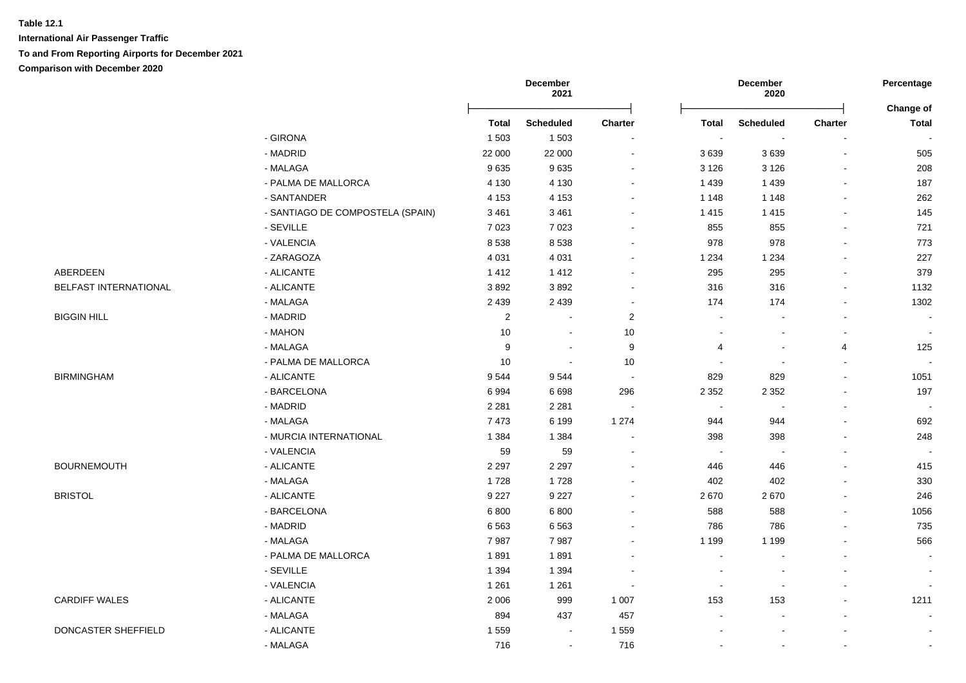**International Air Passenger Traffic**

**To and From Reporting Airports for December 2021**

|                       |                                  | December<br>2021 |                          |                          | December<br>2020 |                          | Percentage |                          |
|-----------------------|----------------------------------|------------------|--------------------------|--------------------------|------------------|--------------------------|------------|--------------------------|
|                       |                                  | Total            | <b>Scheduled</b>         | Charter                  | Total            | <b>Scheduled</b>         | Charter    | Change of<br>Total       |
|                       | - GIRONA                         | 1 5 0 3          | 1 5 0 3                  | $\blacksquare$           | $\blacksquare$   | $\overline{\phantom{a}}$ |            |                          |
|                       | - MADRID                         | 22 000           | 22 000                   | $\blacksquare$           | 3639             | 3639                     |            | 505                      |
|                       | - MALAGA                         | 9635             | 9635                     |                          | 3 1 2 6          | 3 1 2 6                  |            | 208                      |
|                       | - PALMA DE MALLORCA              | 4 1 3 0          | 4 1 3 0                  |                          | 1 4 3 9          | 1 4 3 9                  |            | 187                      |
|                       | - SANTANDER                      | 4 1 5 3          | 4 1 5 3                  |                          | 1 1 4 8          | 1 1 4 8                  |            | 262                      |
|                       | - SANTIAGO DE COMPOSTELA (SPAIN) | 3 4 6 1          | 3 4 6 1                  |                          | 1415             | 1415                     |            | 145                      |
|                       | - SEVILLE                        | 7 0 2 3          | 7 0 23                   |                          | 855              | 855                      |            | 721                      |
|                       | - VALENCIA                       | 8538             | 8538                     | $\overline{\phantom{a}}$ | 978              | 978                      |            | 773                      |
|                       | - ZARAGOZA                       | 4 0 31           | 4 0 3 1                  | $\blacksquare$           | 1 2 3 4          | 1 2 3 4                  |            | 227                      |
| ABERDEEN              | - ALICANTE                       | 1412             | 1412                     | $\blacksquare$           | 295              | 295                      |            | 379                      |
| BELFAST INTERNATIONAL | - ALICANTE                       | 3892             | 3892                     |                          | 316              | 316                      |            | 1132                     |
|                       | - MALAGA                         | 2 4 3 9          | 2 4 3 9                  | $\sim$                   | 174              | 174                      |            | 1302                     |
| <b>BIGGIN HILL</b>    | - MADRID                         | $\overline{2}$   |                          | 2                        |                  |                          |            |                          |
|                       | - MAHON                          | 10               | $\sim$                   | 10                       |                  |                          |            |                          |
|                       | - MALAGA                         | 9                |                          | $9\,$                    | 4                |                          | 4          | 125                      |
|                       | - PALMA DE MALLORCA              | 10               | $\overline{\phantom{a}}$ | 10                       |                  |                          |            |                          |
| <b>BIRMINGHAM</b>     | - ALICANTE                       | 9544             | 9544                     | $\sim$                   | 829              | 829                      |            | 1051                     |
|                       | - BARCELONA                      | 6994             | 6698                     | 296                      | 2 3 5 2          | 2 3 5 2                  |            | 197                      |
|                       | - MADRID                         | 2 2 8 1          | 2 2 8 1                  | $\sim$                   | $\sim$           |                          |            |                          |
|                       | - MALAGA                         | 7473             | 6 1 9 9                  | 1 2 7 4                  | 944              | 944                      |            | 692                      |
|                       | - MURCIA INTERNATIONAL           | 1 3 8 4          | 1 3 8 4                  | $\blacksquare$           | 398              | 398                      |            | 248                      |
|                       | - VALENCIA                       | 59               | 59                       |                          | $\sim$           |                          |            |                          |
| <b>BOURNEMOUTH</b>    | - ALICANTE                       | 2 2 9 7          | 2 2 9 7                  |                          | 446              | 446                      |            | 415                      |
|                       | - MALAGA                         | 1728             | 1728                     |                          | 402              | 402                      |            | 330                      |
| <b>BRISTOL</b>        | - ALICANTE                       | 9 2 2 7          | 9 2 2 7                  |                          | 2670             | 2670                     |            | 246                      |
|                       | - BARCELONA                      | 6800             | 6800                     |                          | 588              | 588                      |            | 1056                     |
|                       | - MADRID                         | 6563             | 6563                     |                          | 786              | 786                      |            | 735                      |
|                       | - MALAGA                         | 7987             | 7987                     |                          | 1 1 9 9          | 1 1 9 9                  |            | 566                      |
|                       | - PALMA DE MALLORCA              | 1891             | 1891                     |                          | $\blacksquare$   |                          |            | $\blacksquare$           |
|                       | - SEVILLE                        | 1 3 9 4          | 1 3 9 4                  |                          |                  |                          |            | $\overline{\phantom{a}}$ |
|                       | - VALENCIA                       | 1 2 6 1          | 1 2 6 1                  |                          |                  |                          |            |                          |
| <b>CARDIFF WALES</b>  | - ALICANTE                       | 2 0 0 6          | 999                      | 1 0 0 7                  | 153              | 153                      |            | 1211                     |
|                       | - MALAGA                         | 894              | 437                      | 457                      |                  |                          |            |                          |
| DONCASTER SHEFFIELD   | - ALICANTE                       | 1559             | $\overline{\phantom{a}}$ | 1 5 5 9                  |                  |                          |            |                          |
|                       | - MALAGA                         | 716              | $\sim$                   | 716                      | ÷                |                          |            | $\overline{a}$           |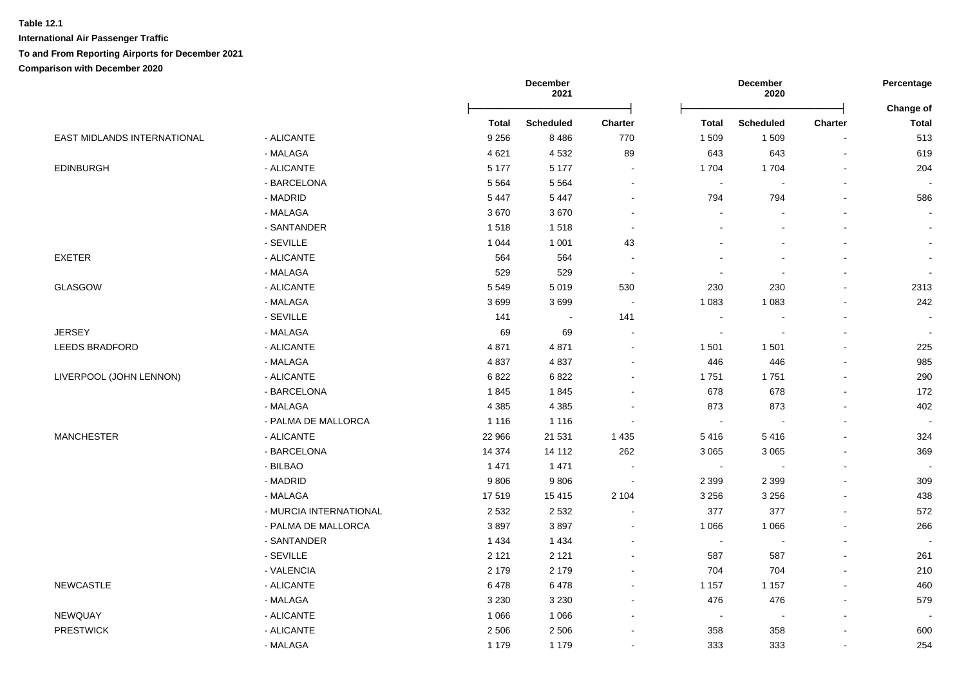**International Air Passenger Traffic To and From Reporting Airports for December 2021**

|                             |                        |              | December<br>2021 |                          | December<br>2020         |                          | Percentage<br>Change of  |                          |
|-----------------------------|------------------------|--------------|------------------|--------------------------|--------------------------|--------------------------|--------------------------|--------------------------|
|                             |                        | <b>Total</b> | <b>Scheduled</b> | <b>Charter</b>           | Total                    | <b>Scheduled</b>         | Charter                  | <b>Total</b>             |
| EAST MIDLANDS INTERNATIONAL | - ALICANTE             | 9 2 5 6      | 8 4 8 6          | 770                      | 1 5 0 9                  | 1509                     |                          | 513                      |
|                             | - MALAGA               | 4621         | 4532             | 89                       | 643                      | 643                      | $\blacksquare$           | 619                      |
| <b>EDINBURGH</b>            | - ALICANTE             | 5 1 7 7      | 5 1 7 7          | $\sim$                   | 1704                     | 1704                     | $\overline{\phantom{a}}$ | 204                      |
|                             | - BARCELONA            | 5 5 6 4      | 5 5 6 4          | $\blacksquare$           | $\sim$                   |                          |                          |                          |
|                             | - MADRID               | 5447         | 5 4 4 7          | $\blacksquare$           | 794                      | 794                      |                          | 586                      |
|                             | - MALAGA               | 3670         | 3670             | $\blacksquare$           | $\overline{\phantom{a}}$ |                          |                          |                          |
|                             | - SANTANDER            | 1518         | 1518             | $\blacksquare$           |                          |                          |                          |                          |
|                             | - SEVILLE              | 1 0 4 4      | 1 0 0 1          | 43                       |                          |                          |                          |                          |
| <b>EXETER</b>               | - ALICANTE             | 564          | 564              | $\sim$                   | $\overline{\phantom{a}}$ |                          |                          | $\sim$                   |
|                             | - MALAGA               | 529          | 529              | $\sim$                   | $\sim$                   | $\blacksquare$           |                          | $\overline{\phantom{a}}$ |
| GLASGOW                     | - ALICANTE             | 5 5 4 9      | 5019             | 530                      | 230                      | 230                      |                          | 2313                     |
|                             | - MALAGA               | 3699         | 3699             | $\sim$                   | 1 0 8 3                  | 1 0 8 3                  |                          | 242                      |
|                             | - SEVILLE              | 141          | $\sim$           | 141                      | $\sim$                   | $\overline{\phantom{a}}$ |                          | $\overline{\phantom{a}}$ |
| <b>JERSEY</b>               | - MALAGA               | 69           | 69               | $\blacksquare$           | $\sim$                   | $\blacksquare$           |                          | $\blacksquare$           |
| <b>LEEDS BRADFORD</b>       | - ALICANTE             | 4871         | 4871             | $\blacksquare$           | 1 501                    | 1 5 0 1                  |                          | 225                      |
|                             | - MALAGA               | 4837         | 4837             | $\blacksquare$           | 446                      | 446                      |                          | 985                      |
| LIVERPOOL (JOHN LENNON)     | - ALICANTE             | 6822         | 6822             | $\blacksquare$           | 1751                     | 1751                     |                          | 290                      |
|                             | - BARCELONA            | 1845         | 1845             | ÷                        | 678                      | 678                      | $\overline{a}$           | 172                      |
|                             | - MALAGA               | 4 3 8 5      | 4 3 8 5          | $\overline{\phantom{a}}$ | 873                      | 873                      |                          | 402                      |
|                             | - PALMA DE MALLORCA    | 1 1 1 6      | 1 1 1 6          | $\overline{\phantom{a}}$ | $\sim$                   |                          | $\blacksquare$           | $\blacksquare$           |
| <b>MANCHESTER</b>           | - ALICANTE             | 22 966       | 21 531           | 1 4 3 5                  | 5416                     | 5416                     |                          | 324                      |
|                             | - BARCELONA            | 14 374       | 14 112           | 262                      | 3 0 6 5                  | 3 0 6 5                  |                          | 369                      |
|                             | - BILBAO               | 1 4 7 1      | 1 4 7 1          |                          | $\sim$                   |                          |                          |                          |
|                             | - MADRID               | 9806         | 9806             | $\overline{\phantom{a}}$ | 2 3 9 9                  | 2 3 9 9                  |                          | 309                      |
|                             | - MALAGA               | 17519        | 15 4 15          | 2 1 0 4                  | 3 2 5 6                  | 3 2 5 6                  |                          | 438                      |
|                             | - MURCIA INTERNATIONAL | 2 5 3 2      | 2 5 3 2          | $\overline{\phantom{a}}$ | 377                      | 377                      | $\overline{\phantom{a}}$ | 572                      |
|                             | - PALMA DE MALLORCA    | 3897         | 3897             | $\blacksquare$           | 1 0 6 6                  | 1 0 6 6                  |                          | 266                      |
|                             | - SANTANDER            | 1 4 3 4      | 1 4 3 4          | $\overline{a}$           | $\sim$                   | $\Delta$                 | $\overline{\phantom{a}}$ |                          |
|                             | - SEVILLE              | 2 1 2 1      | 2 1 2 1          | $\blacksquare$           | 587                      | 587                      |                          | 261                      |
|                             | - VALENCIA             | 2 1 7 9      | 2 1 7 9          | $\blacksquare$           | 704                      | 704                      |                          | 210                      |
| <b>NEWCASTLE</b>            | - ALICANTE             | 6478         | 6478             | $\sim$                   | 1 1 5 7                  | 1 1 5 7                  |                          | 460                      |
|                             | - MALAGA               | 3 2 3 0      | 3 2 3 0          | $\blacksquare$           | 476                      | 476                      |                          | 579                      |
| NEWQUAY                     | - ALICANTE             | 1 0 6 6      | 1 0 6 6          | $\blacksquare$           | $\sim$                   | $\blacksquare$           |                          |                          |
| <b>PRESTWICK</b>            | - ALICANTE             | 2 5 0 6      | 2 5 0 6          | $\blacksquare$           | 358                      | 358                      |                          | 600                      |
|                             | - MALAGA               | 1 1 7 9      | 1 1 7 9          | $\sim$                   | 333                      | 333                      |                          | 254                      |
|                             |                        |              |                  |                          |                          |                          |                          |                          |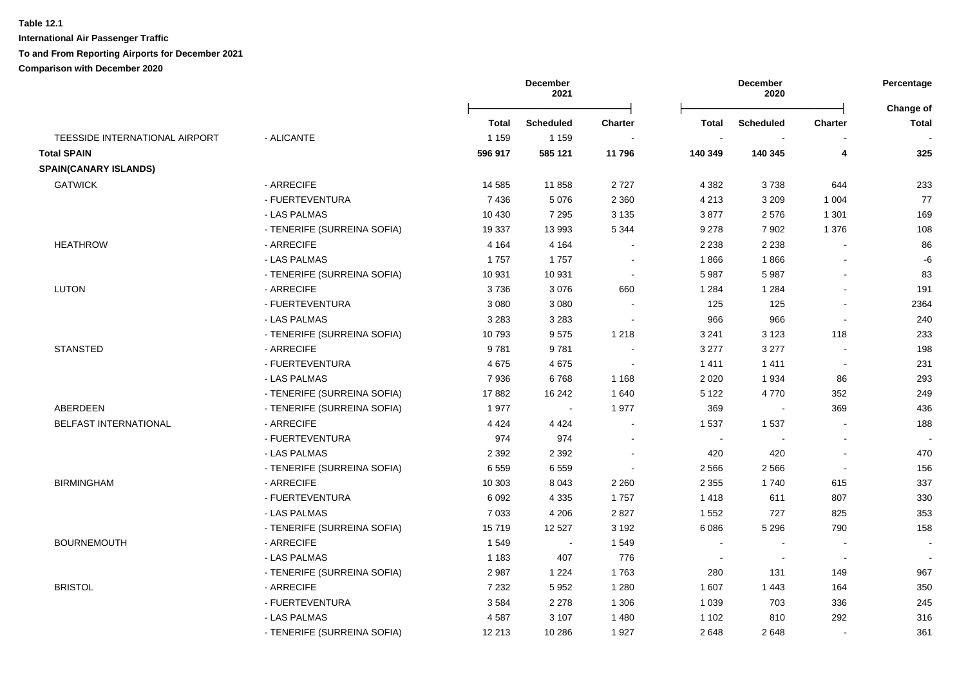**International Air Passenger Traffic**

### **To and From Reporting Airports for December 2021**

|                                |                             | <b>December</b><br>2021 |                  | December<br>2020 |         |                          | Percentage<br>Change of |       |
|--------------------------------|-----------------------------|-------------------------|------------------|------------------|---------|--------------------------|-------------------------|-------|
|                                |                             | Total                   | <b>Scheduled</b> | <b>Charter</b>   | Total   | <b>Scheduled</b>         | <b>Charter</b>          | Total |
| TEESSIDE INTERNATIONAL AIRPORT | - ALICANTE                  | 1 1 5 9                 | 1 1 5 9          |                  | $\sim$  |                          |                         |       |
| <b>Total SPAIN</b>             |                             | 596 917                 | 585 121          | 11796            | 140 349 | 140 345                  | 4                       | 325   |
| <b>SPAIN(CANARY ISLANDS)</b>   |                             |                         |                  |                  |         |                          |                         |       |
| <b>GATWICK</b>                 | - ARRECIFE                  | 14 5 8 5                | 11858            | 2727             | 4 3 8 2 | 3738                     | 644                     | 233   |
|                                | - FUERTEVENTURA             | 7 4 3 6                 | 5 0 7 6          | 2 3 6 0          | 4 2 1 3 | 3 2 0 9                  | 1 0 0 4                 | 77    |
|                                | - LAS PALMAS                | 10 4 30                 | 7 2 9 5          | 3 1 3 5          | 3877    | 2576                     | 1 3 0 1                 | 169   |
|                                | - TENERIFE (SURREINA SOFIA) | 19 3 37                 | 13 993           | 5 3 4 4          | 9 2 7 8 | 7 9 0 2                  | 1 3 7 6                 | 108   |
| <b>HEATHROW</b>                | - ARRECIFE                  | 4 1 6 4                 | 4 1 6 4          |                  | 2 2 3 8 | 2 2 3 8                  |                         | 86    |
|                                | - LAS PALMAS                | 1757                    | 1757             |                  | 1866    | 1866                     |                         | -6    |
|                                | - TENERIFE (SURREINA SOFIA) | 10 931                  | 10 931           | $\sim$           | 5 9 8 7 | 5987                     |                         | 83    |
| <b>LUTON</b>                   | - ARRECIFE                  | 3736                    | 3076             | 660              | 1 2 8 4 | 1 2 8 4                  |                         | 191   |
|                                | - FUERTEVENTURA             | 3 0 8 0                 | 3 0 8 0          |                  | 125     | 125                      | $\blacksquare$          | 2364  |
|                                | - LAS PALMAS                | 3 2 8 3                 | 3 2 8 3          |                  | 966     | 966                      | $\blacksquare$          | 240   |
|                                | - TENERIFE (SURREINA SOFIA) | 10793                   | 9575             | 1 2 1 8          | 3 2 4 1 | 3 1 2 3                  | 118                     | 233   |
| <b>STANSTED</b>                | - ARRECIFE                  | 9781                    | 9781             |                  | 3 2 7 7 | 3 2 7 7                  | $\overline{a}$          | 198   |
|                                | - FUERTEVENTURA             | 4675                    | 4675             | $\sim$           | 1411    | 1411                     | $\sim$                  | 231   |
|                                | - LAS PALMAS                | 7936                    | 6768             | 1 1 6 8          | 2 0 2 0 | 1934                     | 86                      | 293   |
|                                | - TENERIFE (SURREINA SOFIA) | 17882                   | 16 24 2          | 1 640            | 5 1 2 2 | 4770                     | 352                     | 249   |
| ABERDEEN                       | - TENERIFE (SURREINA SOFIA) | 1977                    | $\sim$           | 1977             | 369     | ÷.                       | 369                     | 436   |
| <b>BELFAST INTERNATIONAL</b>   | - ARRECIFE                  | 4 4 2 4                 | 4 4 2 4          |                  | 1 5 3 7 | 1537                     | $\sim$                  | 188   |
|                                | - FUERTEVENTURA             | 974                     | 974              |                  | $\sim$  | $\overline{\phantom{a}}$ | Ē,                      |       |
|                                | - LAS PALMAS                | 2 3 9 2                 | 2 3 9 2          |                  | 420     | 420                      | $\sim$                  | 470   |
|                                | - TENERIFE (SURREINA SOFIA) | 6559                    | 6559             |                  | 2 5 6 6 | 2566                     | $\blacksquare$          | 156   |
| <b>BIRMINGHAM</b>              | - ARRECIFE                  | 10 303                  | 8 0 4 3          | 2 2 6 0          | 2 3 5 5 | 1740                     | 615                     | 337   |
|                                | - FUERTEVENTURA             | 6 0 9 2                 | 4 3 3 5          | 1757             | 1418    | 611                      | 807                     | 330   |
|                                | - LAS PALMAS                | 7 0 3 3                 | 4 2 0 6          | 2 8 2 7          | 1 5 5 2 | 727                      | 825                     | 353   |
|                                | - TENERIFE (SURREINA SOFIA) | 15719                   | 12 5 27          | 3 1 9 2          | 6 0 8 6 | 5 2 9 6                  | 790                     | 158   |
| <b>BOURNEMOUTH</b>             | - ARRECIFE                  | 1549                    | $\blacksquare$   | 1 5 4 9          | $\sim$  | $\blacksquare$           |                         |       |
|                                | - LAS PALMAS                | 1 1 8 3                 | 407              | 776              | $\sim$  | $\blacksquare$           | $\sim$                  |       |
|                                | - TENERIFE (SURREINA SOFIA) | 2987                    | 1 2 2 4          | 1763             | 280     | 131                      | 149                     | 967   |
| <b>BRISTOL</b>                 | - ARRECIFE                  | 7 2 3 2                 | 5 9 5 2          | 1 2 8 0          | 1 607   | 1443                     | 164                     | 350   |
|                                | - FUERTEVENTURA             | 3584                    | 2 2 7 8          | 1 3 0 6          | 1 0 3 9 | 703                      | 336                     | 245   |
|                                | - LAS PALMAS                | 4587                    | 3 1 0 7          | 1 4 8 0          | 1 1 0 2 | 810                      | 292                     | 316   |
|                                | - TENERIFE (SURREINA SOFIA) | 12 213                  | 10 286           | 1927             | 2648    | 2648                     | $\blacksquare$          | 361   |
|                                |                             |                         |                  |                  |         |                          |                         |       |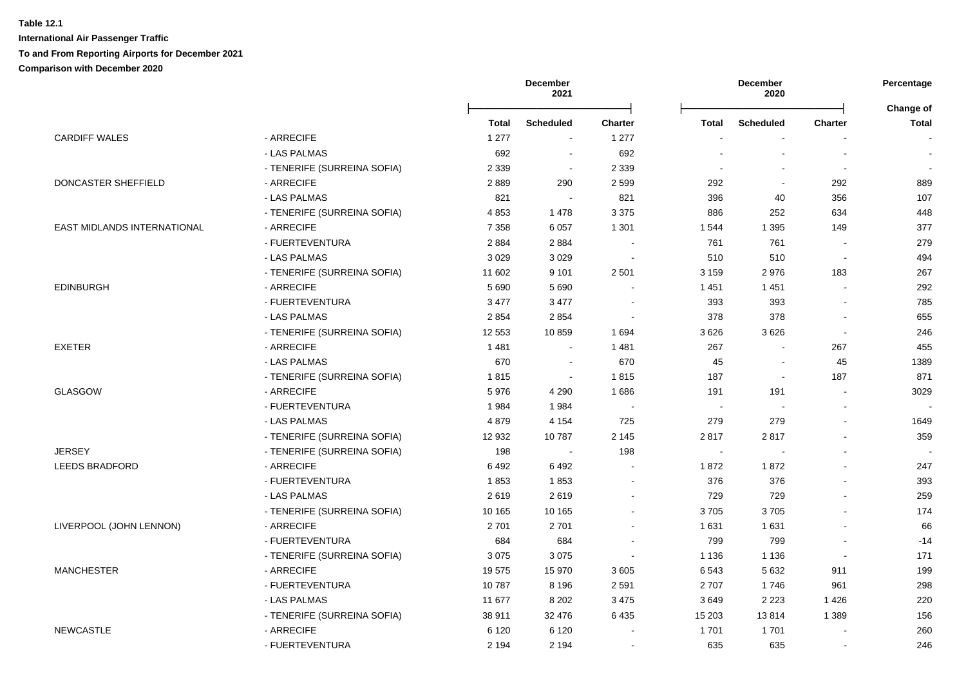|                             |                             |         | December<br>2021 |                | December<br>2020 |                       | Percentage<br>Change of  |              |
|-----------------------------|-----------------------------|---------|------------------|----------------|------------------|-----------------------|--------------------------|--------------|
|                             |                             | Total   | <b>Scheduled</b> | <b>Charter</b> | <b>Total</b>     | <b>Scheduled</b>      | <b>Charter</b>           | <b>Total</b> |
| <b>CARDIFF WALES</b>        | - ARRECIFE                  | 1 277   | $\sim$           | 1 277          |                  | $\overline{a}$        |                          |              |
|                             | - LAS PALMAS                | 692     | $\blacksquare$   | 692            |                  |                       | $\sim$                   |              |
|                             | - TENERIFE (SURREINA SOFIA) | 2 3 3 9 | $\blacksquare$   | 2 3 3 9        |                  |                       | $\overline{\phantom{a}}$ |              |
| <b>DONCASTER SHEFFIELD</b>  | - ARRECIFE                  | 2889    | 290              | 2 5 9 9        | 292              | $\sim$                | 292                      | 889          |
|                             | - LAS PALMAS                | 821     | $\sim$           | 821            | 396              | 40                    | 356                      | 107          |
|                             | - TENERIFE (SURREINA SOFIA) | 4853    | 1478             | 3 3 7 5        | 886              | 252                   | 634                      | 448          |
| EAST MIDLANDS INTERNATIONAL | - ARRECIFE                  | 7 3 5 8 | 6 0 5 7          | 1 3 0 1        | 1 544            | 1 3 9 5               | 149                      | 377          |
|                             | - FUERTEVENTURA             | 2884    | 2884             |                | 761              | 761                   |                          | 279          |
|                             | - LAS PALMAS                | 3029    | 3029             |                | 510              | 510                   | $\blacksquare$           | 494          |
|                             | - TENERIFE (SURREINA SOFIA) | 11 602  | 9 1 0 1          | 2 5 0 1        | 3 1 5 9          | 2976                  | 183                      | 267          |
| <b>EDINBURGH</b>            | - ARRECIFE                  | 5 6 9 0 | 5690             |                | 1 4 5 1          | 1 4 5 1               |                          | 292          |
|                             | - FUERTEVENTURA             | 3 4 7 7 | 3 4 7 7          |                | 393              | 393                   |                          | 785          |
|                             | - LAS PALMAS                | 2 8 5 4 | 2854             | $\sim$         | 378              | 378                   | $\overline{a}$           | 655          |
|                             | - TENERIFE (SURREINA SOFIA) | 12 5 53 | 10859            | 1 6 9 4        | 3626             | 3626                  | L.                       | 246          |
| <b>EXETER</b>               | - ARRECIFE                  | 1481    | $\sim$           | 1 4 8 1        | 267              | $\sim$                | 267                      | 455          |
|                             | - LAS PALMAS                | 670     | $\sim$           | 670            | 45               | $\sim$                | 45                       | 1389         |
|                             | - TENERIFE (SURREINA SOFIA) | 1815    | $\blacksquare$   | 1815           | 187              | $\tilde{\phantom{a}}$ | 187                      | 871          |
| <b>GLASGOW</b>              | - ARRECIFE                  | 5976    | 4 2 9 0          | 1686           | 191              | 191                   | $\sim$                   | 3029         |
|                             | - FUERTEVENTURA             | 1984    | 1984             |                | $\sim$           | $\sim$                | $\sim$                   |              |
|                             | - LAS PALMAS                | 4879    | 4 1 5 4          | 725            | 279              | 279                   |                          | 1649         |
|                             | - TENERIFE (SURREINA SOFIA) | 12 932  | 10787            | 2 1 4 5        | 2817             | 2817                  |                          | 359          |
| <b>JERSEY</b>               | - TENERIFE (SURREINA SOFIA) | 198     | $\sim$           | 198            | $\sim$           | $\blacksquare$        | $\blacksquare$           |              |
| <b>LEEDS BRADFORD</b>       | - ARRECIFE                  | 6492    | 6492             |                | 1872             | 1872                  |                          | 247          |
|                             | - FUERTEVENTURA             | 1853    | 1853             |                | 376              | 376                   |                          | 393          |
|                             | - LAS PALMAS                | 2619    | 2619             |                | 729              | 729                   |                          | 259          |
|                             | - TENERIFE (SURREINA SOFIA) | 10 165  | 10 165           |                | 3705             | 3705                  |                          | 174          |
| LIVERPOOL (JOHN LENNON)     | - ARRECIFE                  | 2701    | 2701             |                | 1631             | 1 6 3 1               |                          | 66           |
|                             | - FUERTEVENTURA             | 684     | 684              |                | 799              | 799                   |                          | $-14$        |
|                             | - TENERIFE (SURREINA SOFIA) | 3075    | 3075             |                | 1 1 3 6          | 1 1 3 6               | L.                       | 171          |
| <b>MANCHESTER</b>           | - ARRECIFE                  | 19575   | 15 970           | 3 6 0 5        | 6543             | 5 6 3 2               | 911                      | 199          |
|                             | - FUERTEVENTURA             | 10787   | 8 1 9 6          | 2 5 9 1        | 2707             | 1746                  | 961                      | 298          |
|                             | - LAS PALMAS                | 11 677  | 8 2 0 2          | 3 4 7 5        | 3649             | 2 2 2 3               | 1426                     | 220          |
|                             | - TENERIFE (SURREINA SOFIA) | 38 911  | 32 476           | 6 4 3 5        | 15 203           | 13814                 | 1 3 8 9                  | 156          |
| <b>NEWCASTLE</b>            | - ARRECIFE                  | 6 1 2 0 | 6 1 2 0          |                | 1701             | 1701                  |                          | 260          |
|                             | - FUERTEVENTURA             | 2 1 9 4 | 2 1 9 4          |                | 635              | 635                   | $\overline{a}$           | 246          |
|                             |                             |         |                  |                |                  |                       |                          |              |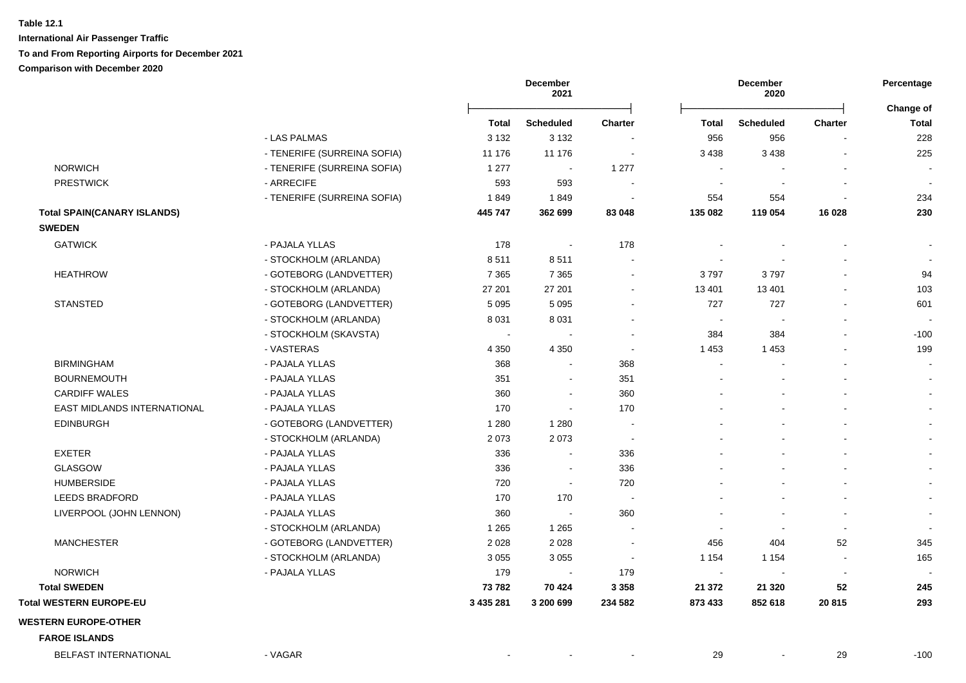|                                    |                             |              | December<br>2021 |                | <b>December</b><br>2020  |                  | Percentage<br><b>Change of</b> |                          |
|------------------------------------|-----------------------------|--------------|------------------|----------------|--------------------------|------------------|--------------------------------|--------------------------|
|                                    |                             | <b>Total</b> | <b>Scheduled</b> | <b>Charter</b> | <b>Total</b>             | <b>Scheduled</b> | Charter                        | <b>Total</b>             |
|                                    | - LAS PALMAS                | 3 1 3 2      | 3 1 3 2          |                | 956                      | 956              |                                | 228                      |
|                                    | - TENERIFE (SURREINA SOFIA) | 11 176       | 11 176           | $\blacksquare$ | 3 4 3 8                  | 3 4 3 8          |                                | 225                      |
| <b>NORWICH</b>                     | - TENERIFE (SURREINA SOFIA) | 1 2 7 7      | $\blacksquare$   | 1 277          | $\overline{\phantom{a}}$ |                  |                                |                          |
| <b>PRESTWICK</b>                   | - ARRECIFE                  | 593          | 593              | $\blacksquare$ | $\sim$                   |                  |                                | $\blacksquare$           |
|                                    | - TENERIFE (SURREINA SOFIA) | 1849         | 1849             |                | 554                      | 554              |                                | 234                      |
| <b>Total SPAIN(CANARY ISLANDS)</b> |                             | 445 747      | 362 699          | 83 048         | 135 082                  | 119 054          | 16 0 28                        | 230                      |
| <b>SWEDEN</b>                      |                             |              |                  |                |                          |                  |                                |                          |
| <b>GATWICK</b>                     | - PAJALA YLLAS              | 178          | $\sim$           | 178            |                          |                  |                                | $\blacksquare$           |
|                                    | - STOCKHOLM (ARLANDA)       | 8511         | 8511             |                |                          |                  |                                | $\blacksquare$           |
| <b>HEATHROW</b>                    | - GOTEBORG (LANDVETTER)     | 7 3 6 5      | 7 3 6 5          |                | 3797                     | 3797             |                                | 94                       |
|                                    | - STOCKHOLM (ARLANDA)       | 27 201       | 27 201           | $\sim$         | 13 4 01                  | 13 4 01          |                                | 103                      |
| <b>STANSTED</b>                    | - GOTEBORG (LANDVETTER)     | 5 0 9 5      | 5 0 9 5          |                | 727                      | 727              |                                | 601                      |
|                                    | - STOCKHOLM (ARLANDA)       | 8 0 3 1      | 8 0 3 1          |                | $\sim$                   |                  |                                |                          |
|                                    | - STOCKHOLM (SKAVSTA)       |              |                  |                | 384                      | 384              |                                | $-100$                   |
|                                    | - VASTERAS                  | 4 3 5 0      | 4 3 5 0          | $\sim$         | 1 4 5 3                  | 1 4 5 3          |                                | 199                      |
| <b>BIRMINGHAM</b>                  | - PAJALA YLLAS              | 368          |                  | 368            | $\sim$                   |                  |                                | $\sim$                   |
| <b>BOURNEMOUTH</b>                 | - PAJALA YLLAS              | 351          |                  | 351            |                          |                  |                                | $\sim$                   |
| <b>CARDIFF WALES</b>               | - PAJALA YLLAS              | 360          | $\blacksquare$   | 360            |                          |                  |                                |                          |
| EAST MIDLANDS INTERNATIONAL        | - PAJALA YLLAS              | 170          | $\blacksquare$   | 170            |                          |                  |                                | $\blacksquare$           |
| <b>EDINBURGH</b>                   | - GOTEBORG (LANDVETTER)     | 1 2 8 0      | 1 2 8 0          | $\sim$         |                          |                  |                                | $\blacksquare$           |
|                                    | - STOCKHOLM (ARLANDA)       | 2073         | 2073             | $\sim$         |                          |                  |                                | $\blacksquare$           |
| <b>EXETER</b>                      | - PAJALA YLLAS              | 336          | $\blacksquare$   | 336            |                          |                  |                                | $\sim$                   |
| <b>GLASGOW</b>                     | - PAJALA YLLAS              | 336          | $\blacksquare$   | 336            |                          |                  |                                | $\sim$                   |
| <b>HUMBERSIDE</b>                  | - PAJALA YLLAS              | 720          | $\blacksquare$   | 720            |                          |                  |                                | $\sim$                   |
| <b>LEEDS BRADFORD</b>              | - PAJALA YLLAS              | 170          | 170              |                |                          |                  |                                | $\blacksquare$           |
| LIVERPOOL (JOHN LENNON)            | - PAJALA YLLAS              | 360          | $\blacksquare$   | 360            |                          |                  |                                | $\blacksquare$           |
|                                    | - STOCKHOLM (ARLANDA)       | 1 2 6 5      | 1 2 6 5          |                | $\blacksquare$           |                  |                                | $\overline{\phantom{a}}$ |
| <b>MANCHESTER</b>                  | - GOTEBORG (LANDVETTER)     | 2028         | 2028             | $\sim$         | 456                      | 404              | 52                             | 345                      |
|                                    | - STOCKHOLM (ARLANDA)       | 3 0 5 5      | 3 0 5 5          | $\sim$         | 1 1 5 4                  | 1 1 5 4          | $\sim$                         | 165                      |
| <b>NORWICH</b>                     | - PAJALA YLLAS              | 179          | $\blacksquare$   | 179            | $\sim$                   | $\blacksquare$   | $\overline{\phantom{a}}$       |                          |
| <b>Total SWEDEN</b>                |                             | 73782        | 70 424           | 3 3 5 8        | 21 372                   | 21 3 20          | 52                             | 245                      |
| <b>Total WESTERN EUROPE-EU</b>     |                             | 3 435 281    | 3 200 699        | 234 582        | 873 433                  | 852 618          | 20 815                         | 293                      |
| <b>WESTERN EUROPE-OTHER</b>        |                             |              |                  |                |                          |                  |                                |                          |
| <b>FAROE ISLANDS</b>               |                             |              |                  |                |                          |                  |                                |                          |
| <b>BELFAST INTERNATIONAL</b>       | - VAGAR                     |              |                  |                | 29                       |                  | 29                             | $-100$                   |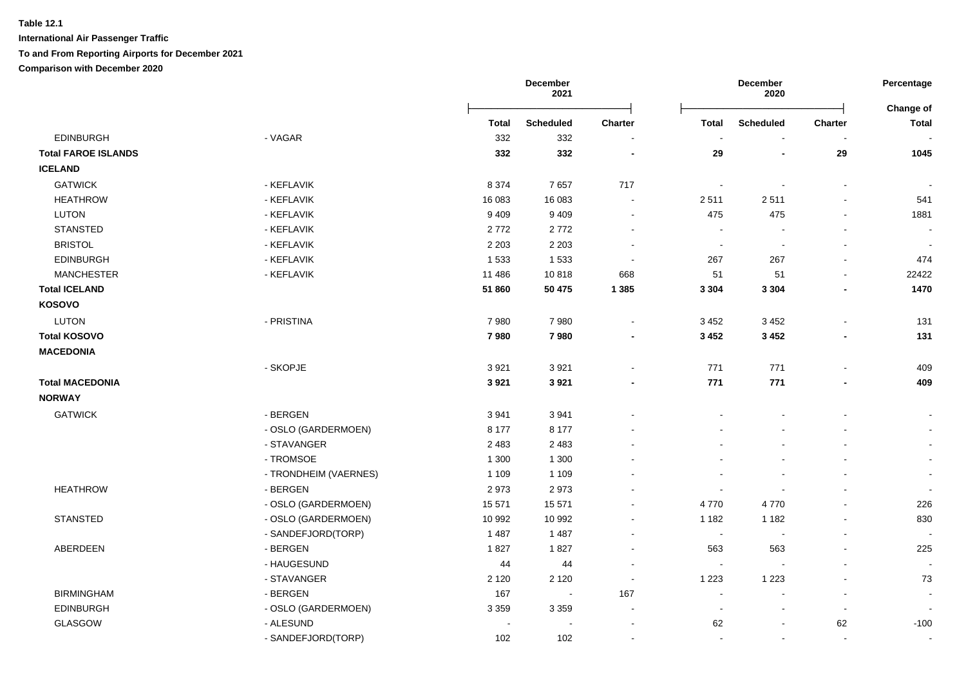**International Air Passenger Traffic**

**To and From Reporting Airports for December 2021**

|                            |                       |         | December<br>2021         |                          |                          | December<br>2020         |                | Percentage<br>Change of  |
|----------------------------|-----------------------|---------|--------------------------|--------------------------|--------------------------|--------------------------|----------------|--------------------------|
|                            |                       | Total   | <b>Scheduled</b>         | <b>Charter</b>           | <b>Total</b>             | <b>Scheduled</b>         | Charter        | <b>Total</b>             |
| <b>EDINBURGH</b>           | - VAGAR               | 332     | 332                      |                          |                          |                          |                |                          |
| <b>Total FAROE ISLANDS</b> |                       | 332     | 332                      | $\overline{\phantom{a}}$ | 29                       | $\overline{\phantom{0}}$ | 29             | 1045                     |
| <b>ICELAND</b>             |                       |         |                          |                          |                          |                          |                |                          |
| <b>GATWICK</b>             | - KEFLAVIK            | 8 3 7 4 | 7657                     | 717                      | $\overline{\phantom{a}}$ |                          | $\overline{a}$ |                          |
| <b>HEATHROW</b>            | - KEFLAVIK            | 16 083  | 16 083                   |                          | 2511                     | 2511                     | $\overline{a}$ | 541                      |
| <b>LUTON</b>               | - KEFLAVIK            | 9 4 0 9 | 9 4 0 9                  |                          | 475                      | 475                      | $\blacksquare$ | 1881                     |
| <b>STANSTED</b>            | - KEFLAVIK            | 2772    | 2772                     |                          | $\sim$                   |                          | L,             | $\sim$                   |
| <b>BRISTOL</b>             | - KEFLAVIK            | 2 2 0 3 | 2 2 0 3                  | $\sim$                   | $\blacksquare$           | $\overline{\phantom{a}}$ | $\blacksquare$ | $\overline{\phantom{a}}$ |
| <b>EDINBURGH</b>           | - KEFLAVIK            | 1 5 3 3 | 1 5 3 3                  | $\overline{\phantom{a}}$ | 267                      | 267                      | $\blacksquare$ | 474                      |
| <b>MANCHESTER</b>          | - KEFLAVIK            | 11 486  | 10818                    | 668                      | 51                       | 51                       | $\overline{a}$ | 22422                    |
| <b>Total ICELAND</b>       |                       | 51 860  | 50 475                   | 1 3 8 5                  | 3 3 0 4                  | 3 3 0 4                  | $\blacksquare$ | 1470                     |
| KOSOVO                     |                       |         |                          |                          |                          |                          |                |                          |
| <b>LUTON</b>               | - PRISTINA            | 7980    | 7980                     |                          | 3 4 5 2                  | 3 4 5 2                  | $\blacksquare$ | 131                      |
| <b>Total KOSOVO</b>        |                       | 7980    | 7980                     |                          | 3 4 5 2                  | 3 4 5 2                  | $\blacksquare$ | 131                      |
| <b>MACEDONIA</b>           |                       |         |                          |                          |                          |                          |                |                          |
|                            | - SKOPJE              | 3 9 21  | 3921                     |                          | 771                      | 771                      |                | 409                      |
| <b>Total MACEDONIA</b>     |                       | 3921    | 3921                     |                          | 771                      | 771                      |                | 409                      |
| <b>NORWAY</b>              |                       |         |                          |                          |                          |                          |                |                          |
| <b>GATWICK</b>             | - BERGEN              | 3941    | 3941                     |                          |                          |                          | $\blacksquare$ | $\blacksquare$           |
|                            | - OSLO (GARDERMOEN)   | 8 1 7 7 | 8 1 7 7                  |                          |                          |                          |                | $\sim$                   |
|                            | - STAVANGER           | 2 4 8 3 | 2 4 8 3                  |                          |                          |                          | $\blacksquare$ |                          |
|                            | - TROMSOE             | 1 300   | 1 3 0 0                  |                          |                          |                          |                | $\sim$                   |
|                            | - TRONDHEIM (VAERNES) | 1 1 0 9 | 1 1 0 9                  |                          |                          |                          |                | $\sim$                   |
| <b>HEATHROW</b>            | - BERGEN              | 2973    | 2973                     |                          |                          |                          |                | $\overline{\phantom{a}}$ |
|                            | - OSLO (GARDERMOEN)   | 15 571  | 15 571                   |                          | 4770                     | 4770                     |                | 226                      |
| <b>STANSTED</b>            | - OSLO (GARDERMOEN)   | 10 992  | 10 992                   |                          | 1 1 8 2                  | 1 1 8 2                  |                | 830                      |
|                            | - SANDEFJORD(TORP)    | 1 4 8 7 | 1 4 8 7                  |                          | $\overline{\phantom{a}}$ |                          |                |                          |
| ABERDEEN                   | - BERGEN              | 1827    | 1827                     |                          | 563                      | 563                      | ÷.             | 225                      |
|                            | - HAUGESUND           | 44      | 44                       | $\sim$                   | $\sim$                   |                          | ÷.             | $\overline{\phantom{a}}$ |
|                            | - STAVANGER           | 2 1 2 0 | 2 1 2 0                  |                          | 1 2 2 3                  | 1 2 2 3                  |                | 73                       |
| <b>BIRMINGHAM</b>          | - BERGEN              | 167     | $\overline{\phantom{a}}$ | 167                      | $\blacksquare$           | $\sim$                   | $\blacksquare$ | $\overline{\phantom{a}}$ |
| <b>EDINBURGH</b>           | - OSLO (GARDERMOEN)   | 3 3 5 9 | 3 3 5 9                  | $\overline{\phantom{a}}$ | $\overline{\phantom{a}}$ | $\sim$                   | $\blacksquare$ |                          |
| GLASGOW                    | - ALESUND             |         |                          |                          | 62                       | $\sim$                   | 62             | $-100$                   |
|                            | - SANDEFJORD(TORP)    | 102     | 102                      |                          | $\sim$                   | $\sim$                   | $\sim$         | $\overline{\phantom{a}}$ |
|                            |                       |         |                          |                          |                          |                          |                |                          |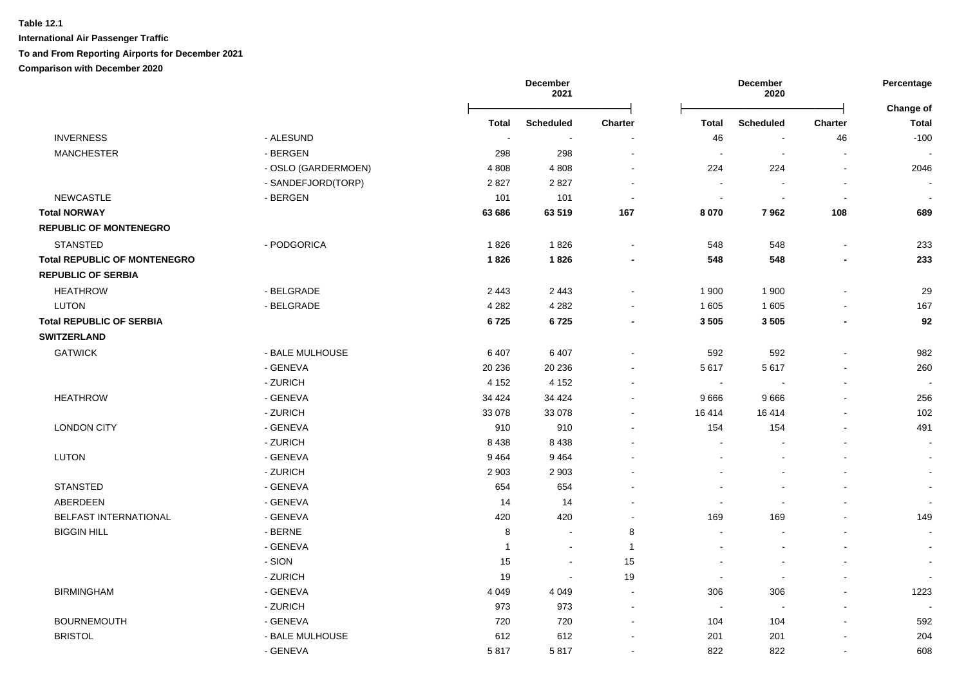|                                     |                     |                | December<br>2021 |                          |                          | December<br>2020         |                | Percentage                |
|-------------------------------------|---------------------|----------------|------------------|--------------------------|--------------------------|--------------------------|----------------|---------------------------|
|                                     |                     | <b>Total</b>   | <b>Scheduled</b> | <b>Charter</b>           | <b>Total</b>             | <b>Scheduled</b>         | <b>Charter</b> | Change of<br><b>Total</b> |
| <b>INVERNESS</b>                    | - ALESUND           | $\sim$         | $\sim$           |                          | 46                       |                          | 46             | $-100$                    |
| <b>MANCHESTER</b>                   | - BERGEN            | 298            | 298              | $\sim$                   | $\sim$                   | $\overline{\phantom{a}}$ | $\sim$         |                           |
|                                     | - OSLO (GARDERMOEN) | 4 8 0 8        | 4808             | $\sim$                   | 224                      | 224                      | $\sim$         | 2046                      |
|                                     | - SANDEFJORD(TORP)  | 2827           | 2827             | $\blacksquare$           | $\sim$                   |                          | $\blacksquare$ |                           |
| <b>NEWCASTLE</b>                    | - BERGEN            | 101            | 101              | $\sim$                   | $\blacksquare$           |                          | $\blacksquare$ |                           |
| <b>Total NORWAY</b>                 |                     | 63 686         | 63 519           | 167                      | 8 0 7 0                  | 7962                     | 108            | 689                       |
| <b>REPUBLIC OF MONTENEGRO</b>       |                     |                |                  |                          |                          |                          |                |                           |
| <b>STANSTED</b>                     | - PODGORICA         | 1826           | 1826             | $\sim$                   | 548                      | 548                      | $\blacksquare$ | 233                       |
| <b>Total REPUBLIC OF MONTENEGRO</b> |                     | 1826           | 1826             |                          | 548                      | 548                      | $\blacksquare$ | 233                       |
| <b>REPUBLIC OF SERBIA</b>           |                     |                |                  |                          |                          |                          |                |                           |
| <b>HEATHROW</b>                     | - BELGRADE          | 2 4 4 3        | 2 4 4 3          | $\blacksquare$           | 1 900                    | 1 900                    | $\blacksquare$ | 29                        |
| <b>LUTON</b>                        | - BELGRADE          | 4 2 8 2        | 4 2 8 2          |                          | 1 605                    | 1 605                    | $\blacksquare$ | 167                       |
| <b>Total REPUBLIC OF SERBIA</b>     |                     | 6725           | 6725             | $\blacksquare$           | 3 5 0 5                  | 3505                     | $\blacksquare$ | 92                        |
| <b>SWITZERLAND</b>                  |                     |                |                  |                          |                          |                          |                |                           |
| <b>GATWICK</b>                      | - BALE MULHOUSE     | 6407           | 6 4 0 7          | $\blacksquare$           | 592                      | 592                      | $\blacksquare$ | 982                       |
|                                     | - GENEVA            | 20 236         | 20 236           |                          | 5617                     | 5617                     | ä,             | 260                       |
|                                     | - ZURICH            | 4 1 5 2        | 4 1 5 2          | $\sim$                   | $\sim$                   |                          | $\blacksquare$ |                           |
| <b>HEATHROW</b>                     | - GENEVA            | 34 4 24        | 34 4 24          | $\sim$                   | 9 6 6 6                  | 9666                     |                | 256                       |
|                                     | - ZURICH            | 33 078         | 33 0 78          | $\sim$                   | 16 4 14                  | 16 4 14                  | $\blacksquare$ | 102                       |
| <b>LONDON CITY</b>                  | - GENEVA            | 910            | 910              | $\overline{\phantom{a}}$ | 154                      | 154                      | $\sim$         | 491                       |
|                                     | - ZURICH            | 8 4 3 8        | 8438             |                          | $\sim$                   |                          | ä,             | $\sim$                    |
| <b>LUTON</b>                        | - GENEVA            | 9464           | 9464             |                          | ÷,                       |                          |                |                           |
|                                     | - ZURICH            | 2 9 0 3        | 2 9 0 3          |                          |                          |                          | $\blacksquare$ |                           |
| <b>STANSTED</b>                     | - GENEVA            | 654            | 654              |                          |                          |                          |                |                           |
| ABERDEEN                            | - GENEVA            | 14             | 14               | $\overline{\phantom{a}}$ | $\sim$                   |                          | $\blacksquare$ |                           |
| <b>BELFAST INTERNATIONAL</b>        | - GENEVA            | 420            | 420              | $\sim$                   | 169                      | 169                      | ä,             | 149                       |
| <b>BIGGIN HILL</b>                  | - BERNE             | 8              | $\sim$           | 8                        | $\sim$                   |                          | $\overline{a}$ | $\sim$                    |
|                                     | - GENEVA            | $\overline{1}$ | $\sim$           | $\overline{1}$           | $\overline{\phantom{a}}$ |                          | $\blacksquare$ | $\sim$                    |
|                                     | - SION              | 15             | $\sim$           | 15                       | $\overline{\phantom{a}}$ |                          | ä,             | $\sim$                    |
|                                     | - ZURICH            | 19             | $\sim$           | 19                       | $\sim$                   | $\blacksquare$           | ä,             |                           |
| <b>BIRMINGHAM</b>                   | - GENEVA            | 4 0 4 9        | 4 0 4 9          | $\sim$                   | 306                      | 306                      | $\blacksquare$ | 1223                      |
|                                     | - ZURICH            | 973            | 973              | $\sim$                   | $\overline{\phantom{a}}$ |                          |                |                           |
| <b>BOURNEMOUTH</b>                  | - GENEVA            | 720            | 720              | $\sim$                   | 104                      | 104                      | $\overline{a}$ | 592                       |
| <b>BRISTOL</b>                      | - BALE MULHOUSE     | 612            | 612              |                          | 201                      | 201                      | $\overline{a}$ | 204                       |
|                                     | - GENEVA            | 5817           | 5817             | $\overline{\phantom{a}}$ | 822                      | 822                      | $\overline{a}$ | 608                       |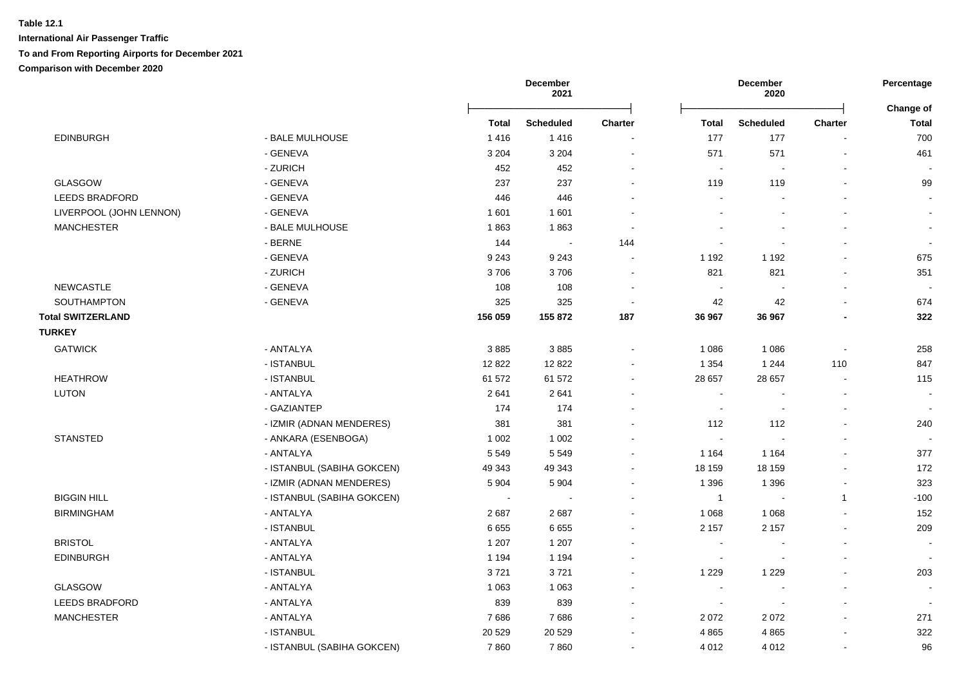|                          |                            |              | December<br>December<br>2021<br>2020 |                | Percentage<br>Change of  |                          |                          |                          |
|--------------------------|----------------------------|--------------|--------------------------------------|----------------|--------------------------|--------------------------|--------------------------|--------------------------|
|                          |                            | <b>Total</b> | <b>Scheduled</b>                     | <b>Charter</b> | <b>Total</b>             | <b>Scheduled</b>         | <b>Charter</b>           | <b>Total</b>             |
| <b>EDINBURGH</b>         | - BALE MULHOUSE            | 1416         | 1416                                 |                | 177                      | 177                      |                          | 700                      |
|                          | - GENEVA                   | 3 2 0 4      | 3 2 0 4                              | $\blacksquare$ | 571                      | 571                      |                          | 461                      |
|                          | - ZURICH                   | 452          | 452                                  |                | $\sim$                   | $\blacksquare$           |                          |                          |
| <b>GLASGOW</b>           | - GENEVA                   | 237          | 237                                  | $\overline{a}$ | 119                      | 119                      |                          | 99                       |
| <b>LEEDS BRADFORD</b>    | - GENEVA                   | 446          | 446                                  |                | $\sim$                   |                          |                          | $\blacksquare$           |
| LIVERPOOL (JOHN LENNON)  | - GENEVA                   | 1601         | 1 601                                |                |                          |                          |                          | $\sim$                   |
| <b>MANCHESTER</b>        | - BALE MULHOUSE            | 1863         | 1863                                 | $\blacksquare$ |                          |                          |                          | $\blacksquare$           |
|                          | - BERNE                    | 144          | $\sim$                               | 144            | $\overline{a}$           |                          |                          | $\blacksquare$           |
|                          | - GENEVA                   | 9 2 4 3      | 9 2 4 3                              |                | 1 1 9 2                  | 1 1 9 2                  |                          | 675                      |
|                          | - ZURICH                   | 3706         | 3706                                 |                | 821                      | 821                      |                          | 351                      |
| <b>NEWCASTLE</b>         | - GENEVA                   | 108          | 108                                  | $\blacksquare$ | $\sim$                   |                          |                          |                          |
| SOUTHAMPTON              | - GENEVA                   | 325          | 325                                  | $\sim$         | 42                       | 42                       |                          | 674                      |
| <b>Total SWITZERLAND</b> |                            | 156 059      | 155 872                              | 187            | 36 967                   | 36 967                   |                          | 322                      |
| <b>TURKEY</b>            |                            |              |                                      |                |                          |                          |                          |                          |
| <b>GATWICK</b>           | - ANTALYA                  | 3885         | 3885                                 | $\overline{a}$ | 1 0 8 6                  | 1 0 8 6                  | $\overline{a}$           | 258                      |
|                          | - ISTANBUL                 | 12 822       | 12822                                |                | 1 3 5 4                  | 1 2 4 4                  | 110                      | 847                      |
| <b>HEATHROW</b>          | - ISTANBUL                 | 61 572       | 61 572                               | $\blacksquare$ | 28 657                   | 28 657                   | $\sim$                   | 115                      |
| <b>LUTON</b>             | - ANTALYA                  | 2641         | 2641                                 |                | $\sim$                   | $\blacksquare$           |                          | $\sim$                   |
|                          | - GAZIANTEP                | 174          | 174                                  | $\blacksquare$ | $\sim$                   | $\sim$                   |                          | $\overline{a}$           |
|                          | - IZMIR (ADNAN MENDERES)   | 381          | 381                                  |                | 112                      | 112                      |                          | 240                      |
| <b>STANSTED</b>          | - ANKARA (ESENBOGA)        | 1 0 0 2      | 1 0 0 2                              |                | $\sim$                   |                          |                          |                          |
|                          | - ANTALYA                  | 5 5 4 9      | 5 5 4 9                              | $\mathbf{r}$   | 1 1 6 4                  | 1 1 6 4                  |                          | 377                      |
|                          | - ISTANBUL (SABIHA GOKCEN) | 49 343       | 49 343                               | $\overline{a}$ | 18 159                   | 18 159                   |                          | 172                      |
|                          | - IZMIR (ADNAN MENDERES)   | 5 9 0 4      | 5 9 0 4                              | $\blacksquare$ | 1 3 9 6                  | 1 3 9 6                  | $\overline{\phantom{a}}$ | 323                      |
| <b>BIGGIN HILL</b>       | - ISTANBUL (SABIHA GOKCEN) | $\sim$       | $\sim$                               |                | $\mathbf{1}$             |                          | $\mathbf{1}$             | $-100$                   |
| <b>BIRMINGHAM</b>        | - ANTALYA                  | 2687         | 2687                                 | $\mathbf{r}$   | 1 0 6 8                  | 1 0 6 8                  |                          | 152                      |
|                          | - ISTANBUL                 | 6655         | 6655                                 | $\blacksquare$ | 2 1 5 7                  | 2 1 5 7                  |                          | 209                      |
| <b>BRISTOL</b>           | - ANTALYA                  | 1 2 0 7      | 1 2 0 7                              |                |                          |                          |                          |                          |
| <b>EDINBURGH</b>         | - ANTALYA                  | 1 1 9 4      | 1 1 9 4                              |                | $\overline{\phantom{a}}$ |                          |                          | $\overline{\phantom{a}}$ |
|                          | - ISTANBUL                 | 3721         | 3721                                 |                | 1 2 2 9                  | 1 2 2 9                  |                          | 203                      |
| <b>GLASGOW</b>           | - ANTALYA                  | 1 0 6 3      | 1 0 6 3                              |                | $\sim$                   | $\overline{a}$           |                          | $\sim$                   |
| LEEDS BRADFORD           | - ANTALYA                  | 839          | 839                                  |                | $\sim$                   | $\overline{\phantom{a}}$ |                          |                          |
| <b>MANCHESTER</b>        | - ANTALYA                  | 7686         | 7686                                 | $\blacksquare$ | 2 0 7 2                  | 2072                     |                          | 271                      |
|                          | - ISTANBUL                 | 20 5 29      | 20 5 29                              | $\blacksquare$ | 4 8 6 5                  | 4865                     |                          | 322                      |
|                          | - ISTANBUL (SABIHA GOKCEN) | 7860         | 7860                                 | $\blacksquare$ | 4 0 1 2                  | 4 0 1 2                  |                          | 96                       |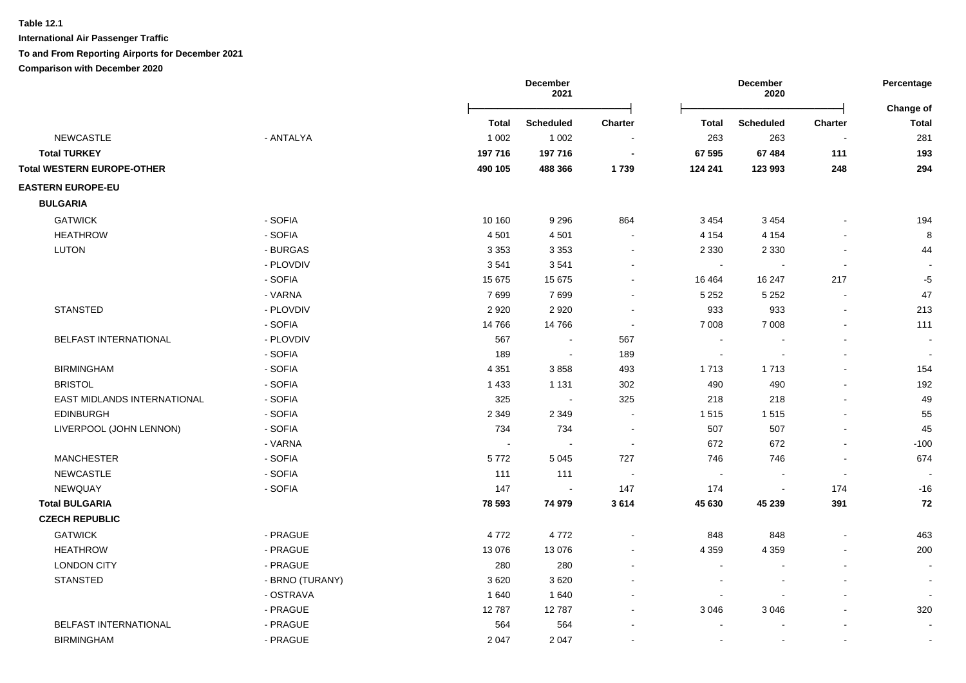**International Air Passenger Traffic**

### **To and From Reporting Airports for December 2021**

|                                   |                 |         | December<br><b>December</b><br>2021<br>2020 |                |                          | Percentage               |                          |                                  |
|-----------------------------------|-----------------|---------|---------------------------------------------|----------------|--------------------------|--------------------------|--------------------------|----------------------------------|
|                                   |                 | Total   | <b>Scheduled</b>                            | <b>Charter</b> | Total                    | <b>Scheduled</b>         | Charter                  | <b>Change of</b><br><b>Total</b> |
| <b>NEWCASTLE</b>                  | - ANTALYA       | 1 0 0 2 | 1 0 0 2                                     |                | 263                      | 263                      |                          | 281                              |
| <b>Total TURKEY</b>               |                 | 197 716 | 197 716                                     | $\blacksquare$ | 67 595                   | 67 484                   | 111                      | 193                              |
| <b>Total WESTERN EUROPE-OTHER</b> |                 | 490 105 | 488 366                                     | 1739           | 124 241                  | 123 993                  | 248                      | 294                              |
| <b>EASTERN EUROPE-EU</b>          |                 |         |                                             |                |                          |                          |                          |                                  |
| <b>BULGARIA</b>                   |                 |         |                                             |                |                          |                          |                          |                                  |
| <b>GATWICK</b>                    | - SOFIA         | 10 160  | 9 2 9 6                                     | 864            | 3 4 5 4                  | 3 4 5 4                  |                          | 194                              |
| <b>HEATHROW</b>                   | - SOFIA         | 4501    | 4 5 0 1                                     |                | 4 1 5 4                  | 4 1 5 4                  |                          | $\bf 8$                          |
| <b>LUTON</b>                      | - BURGAS        | 3 3 5 3 | 3 3 5 3                                     | $\sim$         | 2 3 3 0                  | 2 3 3 0                  |                          | 44                               |
|                                   | - PLOVDIV       | 3541    | 3541                                        |                | $\sim$                   |                          |                          |                                  |
|                                   | - SOFIA         | 15 675  | 15 675                                      |                | 16 4 64                  | 16 247                   | 217                      | $-5$                             |
|                                   | - VARNA         | 7699    | 7699                                        |                | 5 2 5 2                  | 5 2 5 2                  |                          | 47                               |
| <b>STANSTED</b>                   | - PLOVDIV       | 2920    | 2920                                        |                | 933                      | 933                      | $\overline{\phantom{a}}$ | 213                              |
|                                   | - SOFIA         | 14766   | 14766                                       |                | 7 0 0 8                  | 7 0 0 8                  |                          | 111                              |
| BELFAST INTERNATIONAL             | - PLOVDIV       | 567     | $\blacksquare$                              | 567            | $\blacksquare$           |                          |                          |                                  |
|                                   | - SOFIA         | 189     | $\sim$                                      | 189            | $\blacksquare$           |                          |                          |                                  |
| <b>BIRMINGHAM</b>                 | - SOFIA         | 4 3 5 1 | 3858                                        | 493            | 1 7 1 3                  | 1713                     |                          | 154                              |
| <b>BRISTOL</b>                    | - SOFIA         | 1 4 3 3 | 1 1 3 1                                     | 302            | 490                      | 490                      |                          | 192                              |
| EAST MIDLANDS INTERNATIONAL       | - SOFIA         | 325     | $\sim$                                      | 325            | 218                      | 218                      |                          | 49                               |
| <b>EDINBURGH</b>                  | - SOFIA         | 2 3 4 9 | 2 3 4 9                                     |                | 1515                     | 1515                     |                          | 55                               |
| LIVERPOOL (JOHN LENNON)           | - SOFIA         | 734     | 734                                         |                | 507                      | 507                      |                          | 45                               |
|                                   | - VARNA         |         | $\blacksquare$                              | ÷              | 672                      | 672                      |                          | $-100$                           |
| <b>MANCHESTER</b>                 | - SOFIA         | 5772    | 5 0 4 5                                     | 727            | 746                      | 746                      |                          | 674                              |
| <b>NEWCASTLE</b>                  | - SOFIA         | 111     | 111                                         |                | $\sim$                   | $\sim$                   |                          |                                  |
| NEWQUAY                           | - SOFIA         | 147     | $\mathbf{r}$                                | 147            | 174                      | $\overline{\phantom{a}}$ | 174                      | $-16$                            |
| <b>Total BULGARIA</b>             |                 | 78 593  | 74 979                                      | 3614           | 45 630                   | 45 239                   | 391                      | 72                               |
| <b>CZECH REPUBLIC</b>             |                 |         |                                             |                |                          |                          |                          |                                  |
| <b>GATWICK</b>                    | - PRAGUE        | 4772    | 4772                                        |                | 848                      | 848                      |                          | 463                              |
| <b>HEATHROW</b>                   | - PRAGUE        | 13 0 76 | 13 0 76                                     |                | 4 3 5 9                  | 4 3 5 9                  |                          | 200                              |
| <b>LONDON CITY</b>                | - PRAGUE        | 280     | 280                                         |                | $\overline{a}$           |                          |                          |                                  |
| <b>STANSTED</b>                   | - BRNO (TURANY) | 3620    | 3620                                        |                | $\sim$                   |                          |                          |                                  |
|                                   | - OSTRAVA       | 1640    | 1640                                        |                | $\overline{\phantom{a}}$ |                          |                          |                                  |
|                                   | - PRAGUE        | 12787   | 12787                                       |                | 3 0 4 6                  | 3 0 4 6                  |                          | 320                              |
| BELFAST INTERNATIONAL             | - PRAGUE        | 564     | 564                                         |                |                          |                          |                          |                                  |
| <b>BIRMINGHAM</b>                 | - PRAGUE        | 2047    | 2 0 4 7                                     |                |                          |                          |                          |                                  |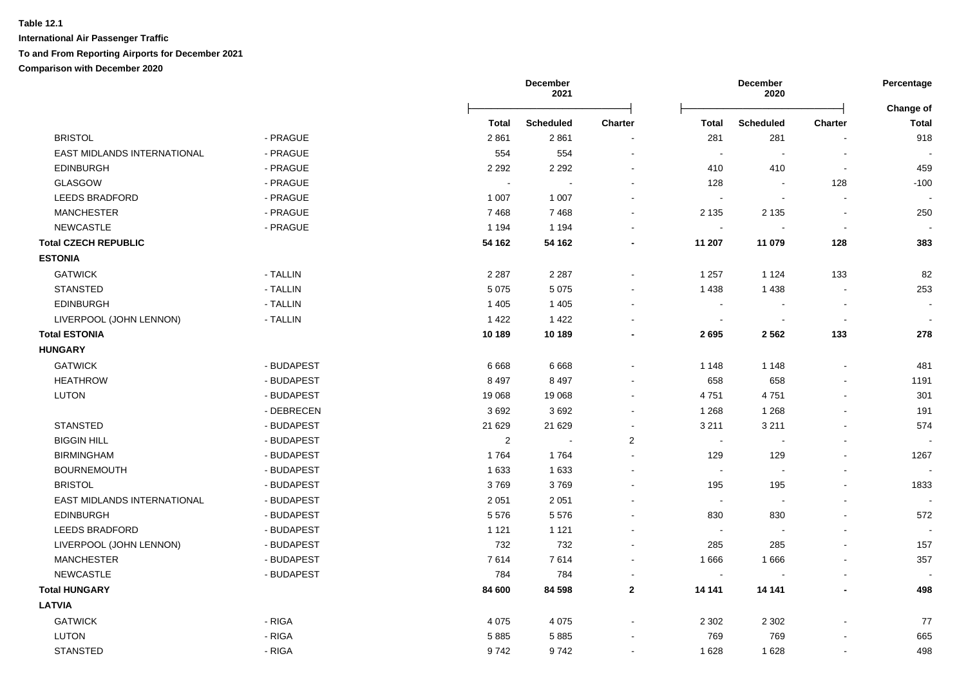|                             |            |            | December<br>2021 |                |                            | December<br>2020         |                          | Percentage                |
|-----------------------------|------------|------------|------------------|----------------|----------------------------|--------------------------|--------------------------|---------------------------|
|                             |            | Total      | <b>Scheduled</b> | <b>Charter</b> | <b>Total</b>               | <b>Scheduled</b>         | <b>Charter</b>           | Change of<br><b>Total</b> |
| <b>BRISTOL</b>              | - PRAGUE   | 2861       | 2861             |                | 281                        | 281                      |                          | 918                       |
| EAST MIDLANDS INTERNATIONAL | - PRAGUE   | 554        | 554              | $\overline{a}$ | $\sim$                     | $\blacksquare$           |                          |                           |
| <b>EDINBURGH</b>            | - PRAGUE   | 2 2 9 2    | 2 2 9 2          |                | 410                        | 410                      | $\blacksquare$           | 459                       |
| <b>GLASGOW</b>              | - PRAGUE   |            |                  |                | 128                        | $\overline{\phantom{a}}$ | 128                      | $-100$                    |
| <b>LEEDS BRADFORD</b>       | - PRAGUE   | 1 0 0 7    | 1 0 0 7          | $\overline{a}$ | $\sim$                     | $\sim$                   | $\sim$                   |                           |
| <b>MANCHESTER</b>           | - PRAGUE   | 7468       | 7468             | $\sim$         | 2 1 3 5                    | 2 1 3 5                  |                          | 250                       |
| <b>NEWCASTLE</b>            | - PRAGUE   | 1 1 9 4    | 1 1 9 4          |                | $\mathcal{L}_{\mathbf{r}}$ |                          | $\overline{\phantom{a}}$ |                           |
| <b>Total CZECH REPUBLIC</b> |            | 54 162     | 54 162           |                | 11 207                     | 11 079                   | 128                      | 383                       |
| <b>ESTONIA</b>              |            |            |                  |                |                            |                          |                          |                           |
| <b>GATWICK</b>              | - TALLIN   | 2 2 8 7    | 2 2 8 7          | $\blacksquare$ | 1 2 5 7                    | 1 1 2 4                  | 133                      | 82                        |
| <b>STANSTED</b>             | - TALLIN   | 5 0 7 5    | 5 0 7 5          |                | 1 4 3 8                    | 1438                     |                          | 253                       |
| <b>EDINBURGH</b>            | - TALLIN   | 1 4 0 5    | 1 4 0 5          | $\blacksquare$ | $\sim$                     |                          |                          | $\sim$                    |
| LIVERPOOL (JOHN LENNON)     | - TALLIN   | 1422       | 1 4 2 2          |                | $\overline{\phantom{a}}$   |                          |                          |                           |
| <b>Total ESTONIA</b>        |            | 10 189     | 10 189           |                | 2695                       | 2 5 6 2                  | 133                      | 278                       |
| <b>HUNGARY</b>              |            |            |                  |                |                            |                          |                          |                           |
| <b>GATWICK</b>              | - BUDAPEST | 6668       | 6668             | $\blacksquare$ | 1 1 4 8                    | 1 1 4 8                  |                          | 481                       |
| <b>HEATHROW</b>             | - BUDAPEST | 8 4 9 7    | 8 4 9 7          |                | 658                        | 658                      |                          | 1191                      |
| <b>LUTON</b>                | - BUDAPEST | 19 068     | 19 068           |                | 4751                       | 4751                     |                          | 301                       |
|                             | - DEBRECEN | 3692       | 3692             | $\overline{a}$ | 1 2 6 8                    | 1 2 6 8                  |                          | 191                       |
| <b>STANSTED</b>             | - BUDAPEST | 21 629     | 21 6 29          |                | 3 2 1 1                    | 3 2 1 1                  |                          | 574                       |
| <b>BIGGIN HILL</b>          | - BUDAPEST | $\sqrt{2}$ | $\sim$           | $\overline{2}$ | $\sim$                     | $\sim$                   |                          |                           |
| <b>BIRMINGHAM</b>           | - BUDAPEST | 1764       | 1764             | $\overline{a}$ | 129                        | 129                      |                          | 1267                      |
| <b>BOURNEMOUTH</b>          | - BUDAPEST | 1633       | 1633             | $\overline{a}$ | $\sim$                     | $\overline{\phantom{a}}$ |                          | $\sim$                    |
| <b>BRISTOL</b>              | - BUDAPEST | 3769       | 3769             |                | 195                        | 195                      |                          | 1833                      |
| EAST MIDLANDS INTERNATIONAL | - BUDAPEST | 2 0 5 1    | 2 0 5 1          |                | $\sim$                     | $\sim$                   |                          | $\mathbf{r}$              |
| <b>EDINBURGH</b>            | - BUDAPEST | 5576       | 5576             |                | 830                        | 830                      |                          | 572                       |
| <b>LEEDS BRADFORD</b>       | - BUDAPEST | 1 1 2 1    | 1 1 2 1          |                | $\sim$                     | $\blacksquare$           |                          | $\blacksquare$            |
| LIVERPOOL (JOHN LENNON)     | - BUDAPEST | 732        | 732              | $\blacksquare$ | 285                        | 285                      |                          | 157                       |
| <b>MANCHESTER</b>           | - BUDAPEST | 7614       | 7614             |                | 1666                       | 1666                     |                          | 357                       |
| <b>NEWCASTLE</b>            | - BUDAPEST | 784        | 784              |                | $\sim$                     |                          |                          |                           |
| <b>Total HUNGARY</b>        |            | 84 600     | 84 598           | $\mathbf{2}$   | 14 14 1                    | 14 14 1                  |                          | 498                       |
| <b>LATVIA</b>               |            |            |                  |                |                            |                          |                          |                           |
| <b>GATWICK</b>              | - RIGA     | 4 0 7 5    | 4 0 7 5          |                | 2 3 0 2                    | 2 3 0 2                  |                          | 77                        |
| <b>LUTON</b>                | - RIGA     | 5885       | 5885             |                | 769                        | 769                      |                          | 665                       |
| <b>STANSTED</b>             | - RIGA     | 9742       | 9742             |                | 1628                       | 1628                     |                          | 498                       |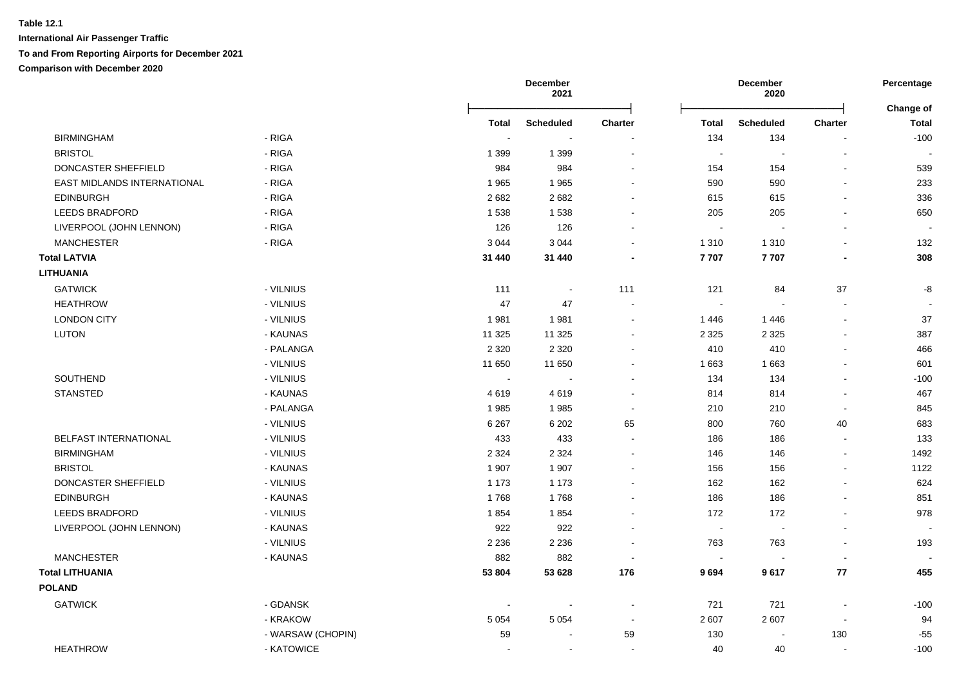|                              |                               |              | December<br>2021         |                          |                          | December<br>2020         |                          | Percentage                |
|------------------------------|-------------------------------|--------------|--------------------------|--------------------------|--------------------------|--------------------------|--------------------------|---------------------------|
|                              |                               | <b>Total</b> | <b>Scheduled</b>         | <b>Charter</b>           | <b>Total</b>             | <b>Scheduled</b>         | Charter                  | Change of<br><b>Total</b> |
| <b>BIRMINGHAM</b>            | - RIGA                        |              | $\overline{\phantom{a}}$ |                          | 134                      | 134                      |                          | $-100$                    |
| <b>BRISTOL</b>               | - RIGA                        | 1 3 9 9      | 1 3 9 9                  | $\overline{a}$           | $\sim$                   | $\blacksquare$           |                          |                           |
| DONCASTER SHEFFIELD          | - RIGA                        | 984          | 984                      | $\blacksquare$           | 154                      | 154                      |                          | 539                       |
| EAST MIDLANDS INTERNATIONAL  | - RIGA                        | 1965         | 1965                     | $\blacksquare$           | 590                      | 590                      |                          | 233                       |
| <b>EDINBURGH</b>             | - RIGA                        | 2682         | 2682                     |                          | 615                      | 615                      |                          | 336                       |
| <b>LEEDS BRADFORD</b>        | - RIGA                        | 1538         | 1538                     |                          | 205                      | 205                      |                          | 650                       |
| LIVERPOOL (JOHN LENNON)      | $\overline{\phantom{a}}$ RIGA | 126          | 126                      | $\blacksquare$           | $\sim$                   |                          |                          |                           |
| <b>MANCHESTER</b>            | - RIGA                        | 3 0 4 4      | 3 0 4 4                  |                          | 1 3 1 0                  | 1 3 1 0                  |                          | 132                       |
| <b>Total LATVIA</b>          |                               | 31 440       | 31 440                   |                          | 7707                     | 7707                     |                          | 308                       |
| <b>LITHUANIA</b>             |                               |              |                          |                          |                          |                          |                          |                           |
| <b>GATWICK</b>               | - VILNIUS                     | 111          | $\blacksquare$           | 111                      | 121                      | 84                       | 37                       | -8                        |
| <b>HEATHROW</b>              | - VILNIUS                     | 47           | 47                       |                          | $\sim$                   |                          |                          |                           |
| <b>LONDON CITY</b>           | - VILNIUS                     | 1981         | 1981                     |                          | 1446                     | 1446                     |                          | 37                        |
| LUTON                        | - KAUNAS                      | 11 3 25      | 11 3 25                  |                          | 2 3 2 5                  | 2 3 2 5                  |                          | 387                       |
|                              | - PALANGA                     | 2 3 2 0      | 2 3 2 0                  | $\overline{a}$           | 410                      | 410                      |                          | 466                       |
|                              | - VILNIUS                     | 11 650       | 11 650                   |                          | 1 6 6 3                  | 1 6 6 3                  |                          | 601                       |
| SOUTHEND                     | - VILNIUS                     | $\sim$       | $\sim$                   |                          | 134                      | 134                      |                          | $-100$                    |
| <b>STANSTED</b>              | - KAUNAS                      | 4619         | 4619                     | $\overline{a}$           | 814                      | 814                      |                          | 467                       |
|                              | - PALANGA                     | 1985         | 1985                     | $\overline{\phantom{a}}$ | 210                      | 210                      | $\blacksquare$           | 845                       |
|                              | - VILNIUS                     | 6 2 6 7      | 6 2 0 2                  | 65                       | 800                      | 760                      | 40                       | 683                       |
| <b>BELFAST INTERNATIONAL</b> | - VILNIUS                     | 433          | 433                      | $\blacksquare$           | 186                      | 186                      | $\sim$                   | 133                       |
| <b>BIRMINGHAM</b>            | - VILNIUS                     | 2 3 2 4      | 2 3 2 4                  | $\overline{a}$           | 146                      | 146                      | $\sim$                   | 1492                      |
| <b>BRISTOL</b>               | - KAUNAS                      | 1 907        | 1 907                    |                          | 156                      | 156                      | $\sim$                   | 1122                      |
| DONCASTER SHEFFIELD          | - VILNIUS                     | 1 1 7 3      | 1 1 7 3                  |                          | 162                      | 162                      |                          | 624                       |
| <b>EDINBURGH</b>             | - KAUNAS                      | 1768         | 1768                     |                          | 186                      | 186                      |                          | 851                       |
| LEEDS BRADFORD               | - VILNIUS                     | 1854         | 1854                     |                          | 172                      | 172                      |                          | 978                       |
| LIVERPOOL (JOHN LENNON)      | - KAUNAS                      | 922          | 922                      |                          | $\sim$                   | ÷,                       |                          |                           |
|                              | - VILNIUS                     | 2 2 3 6      | 2 2 3 6                  |                          | 763                      | 763                      |                          | 193                       |
| <b>MANCHESTER</b>            | - KAUNAS                      | 882          | 882                      |                          | $\overline{\phantom{a}}$ | $\overline{\phantom{a}}$ | $\overline{\phantom{a}}$ |                           |
| <b>Total LITHUANIA</b>       |                               | 53 804       | 53 628                   | 176                      | 9694                     | 9617                     | ${\bf 77}$               | 455                       |
| <b>POLAND</b>                |                               |              |                          |                          |                          |                          |                          |                           |
| <b>GATWICK</b>               | - GDANSK                      |              | $\overline{\phantom{a}}$ |                          | 721                      | 721                      |                          | $-100$                    |
|                              | - KRAKOW                      | 5 0 5 4      | 5 0 5 4                  | $\sim$                   | 2 607                    | 2 607                    | $\sim$                   | 94                        |
|                              | - WARSAW (CHOPIN)             | 59           | $\overline{\phantom{a}}$ | 59                       | 130                      | $\blacksquare$           | 130                      | $-55$                     |
| <b>HEATHROW</b>              | - KATOWICE                    |              | $\overline{a}$           |                          | 40                       | 40                       | $\sim$                   | $-100$                    |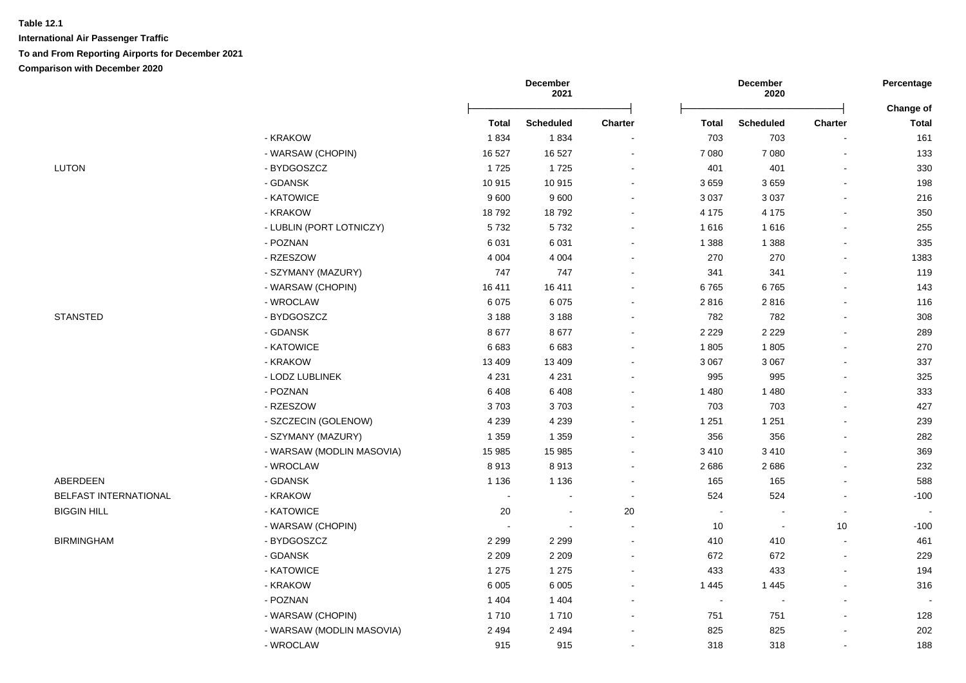| <b>Charter</b>           | Change of<br>Total       |
|--------------------------|--------------------------|
|                          |                          |
|                          | 161                      |
| $\blacksquare$           | 133                      |
| $\blacksquare$           | 330                      |
| $\sim$                   | 198                      |
| $\overline{a}$           | 216                      |
| $\blacksquare$           | 350                      |
| $\blacksquare$           | 255                      |
| $\overline{\phantom{a}}$ | 335                      |
| $\blacksquare$           | 1383                     |
| $\blacksquare$           | 119                      |
|                          | 143                      |
| ä,                       | 116                      |
| $\blacksquare$           | 308                      |
| $\sim$                   | 289                      |
| $\blacksquare$           | 270                      |
| $\blacksquare$           | 337                      |
| $\blacksquare$           | 325                      |
|                          | 333                      |
| $\blacksquare$           | 427                      |
| ä,                       | 239                      |
| $\blacksquare$           | 282                      |
| $\overline{a}$           | 369                      |
| $\blacksquare$           | 232                      |
| $\blacksquare$           | 588                      |
| $\blacksquare$           | $-100$                   |
| $\overline{\phantom{a}}$ | $\blacksquare$           |
| 10                       | $-100$                   |
| $\blacksquare$           | 461                      |
| $\sim$                   | 229                      |
| $\sim$                   | 194                      |
| $\sim$                   | 316                      |
| $\blacksquare$           | $\overline{\phantom{a}}$ |
|                          | 128                      |
|                          |                          |
| $\sim$                   | 202                      |
|                          | $\blacksquare$           |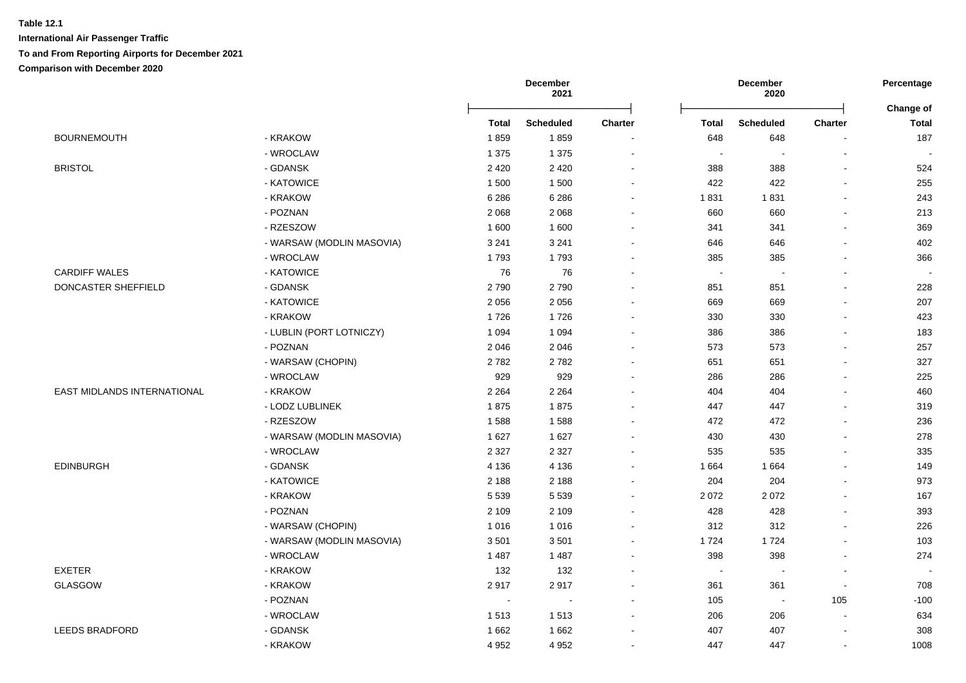|                             |                           |              | December<br>2021 |                |         | December<br>2020         |                | Percentage         |
|-----------------------------|---------------------------|--------------|------------------|----------------|---------|--------------------------|----------------|--------------------|
|                             |                           | <b>Total</b> | <b>Scheduled</b> | <b>Charter</b> | Total   | <b>Scheduled</b>         | <b>Charter</b> | Change of<br>Total |
| <b>BOURNEMOUTH</b>          | - KRAKOW                  | 1859         | 1859             |                | 648     | 648                      | $\blacksquare$ | 187                |
|                             | - WROCLAW                 | 1 3 7 5      | 1 3 7 5          |                | $\sim$  |                          | $\blacksquare$ |                    |
| <b>BRISTOL</b>              | - GDANSK                  | 2 4 2 0      | 2 4 2 0          |                | 388     | 388                      | $\blacksquare$ | 524                |
|                             | - KATOWICE                | 1 500        | 1500             |                | 422     | 422                      | $\sim$         | 255                |
|                             | - KRAKOW                  | 6 2 8 6      | 6 2 8 6          |                | 1831    | 1831                     | $\sim$         | 243                |
|                             | - POZNAN                  | 2 0 6 8      | 2 0 6 8          |                | 660     | 660                      | $\blacksquare$ | 213                |
|                             | - RZESZOW                 | 1600         | 1600             |                | 341     | 341                      | $\blacksquare$ | 369                |
|                             | - WARSAW (MODLIN MASOVIA) | 3 2 4 1      | 3 2 4 1          |                | 646     | 646                      |                | 402                |
|                             | - WROCLAW                 | 1793         | 1793             |                | 385     | 385                      | $\blacksquare$ | 366                |
| <b>CARDIFF WALES</b>        | - KATOWICE                | 76           | 76               |                | $\sim$  | $\sim$                   | $\blacksquare$ |                    |
| DONCASTER SHEFFIELD         | - GDANSK                  | 2790         | 2790             |                | 851     | 851                      | $\blacksquare$ | 228                |
|                             | - KATOWICE                | 2 0 5 6      | 2056             |                | 669     | 669                      | $\sim$         | 207                |
|                             | - KRAKOW                  | 1726         | 1726             |                | 330     | 330                      | L.             | 423                |
|                             | - LUBLIN (PORT LOTNICZY)  | 1 0 9 4      | 1 0 9 4          |                | 386     | 386                      | $\blacksquare$ | 183                |
|                             | - POZNAN                  | 2 0 4 6      | 2046             |                | 573     | 573                      | ä,             | 257                |
|                             | - WARSAW (CHOPIN)         | 2782         | 2782             |                | 651     | 651                      | $\sim$         | 327                |
|                             | - WROCLAW                 | 929          | 929              |                | 286     | 286                      | ä,             | 225                |
| EAST MIDLANDS INTERNATIONAL | - KRAKOW                  | 2 2 6 4      | 2 2 6 4          |                | 404     | 404                      | $\blacksquare$ | 460                |
|                             | - LODZ LUBLINEK           | 1875         | 1875             |                | 447     | 447                      | $\sim$         | 319                |
|                             | - RZESZOW                 | 1588         | 1588             |                | 472     | 472                      | $\blacksquare$ | 236                |
|                             | - WARSAW (MODLIN MASOVIA) | 1627         | 1627             |                | 430     | 430                      | $\blacksquare$ | 278                |
|                             | - WROCLAW                 | 2 3 2 7      | 2 3 2 7          |                | 535     | 535                      | $\blacksquare$ | 335                |
| <b>EDINBURGH</b>            | - GDANSK                  | 4 1 3 6      | 4 1 3 6          |                | 1 6 6 4 | 1 6 6 4                  | ä,             | 149                |
|                             | - KATOWICE                | 2 1 8 8      | 2 1 8 8          |                | 204     | 204                      | $\overline{a}$ | 973                |
|                             | - KRAKOW                  | 5 5 3 9      | 5 5 3 9          |                | 2 0 7 2 | 2072                     |                | 167                |
|                             | - POZNAN                  | 2 1 0 9      | 2 1 0 9          |                | 428     | 428                      | ä,             | 393                |
|                             | - WARSAW (CHOPIN)         | 1 0 1 6      | 1 0 1 6          |                | 312     | 312                      | $\overline{a}$ | 226                |
|                             | - WARSAW (MODLIN MASOVIA) | 3501         | 3501             |                | 1724    | 1724                     | $\blacksquare$ | 103                |
|                             | - WROCLAW                 | 1 4 8 7      | 1 4 8 7          | $\sim$         | 398     | 398                      | $\blacksquare$ | 274                |
| <b>EXETER</b>               | - KRAKOW                  | 132          | 132              | $\sim$         | $\sim$  |                          | $\blacksquare$ | $\blacksquare$     |
| GLASGOW                     | - KRAKOW                  | 2917         | 2917             |                | 361     | 361                      | $\sim$         | 708                |
|                             | - POZNAN                  | $\sim$       | $\sim$           |                | 105     | $\overline{\phantom{a}}$ | 105            | $-100$             |
|                             | - WROCLAW                 | 1513         | 1513             | $\sim$         | 206     | 206                      | $\blacksquare$ | 634                |
| <b>LEEDS BRADFORD</b>       | - GDANSK                  | 1662         | 1662             |                | 407     | 407                      | $\blacksquare$ | 308                |
|                             | - KRAKOW                  | 4 9 5 2      | 4 9 5 2          |                | 447     | 447                      | $\blacksquare$ | 1008               |
|                             |                           |              |                  |                |         |                          |                |                    |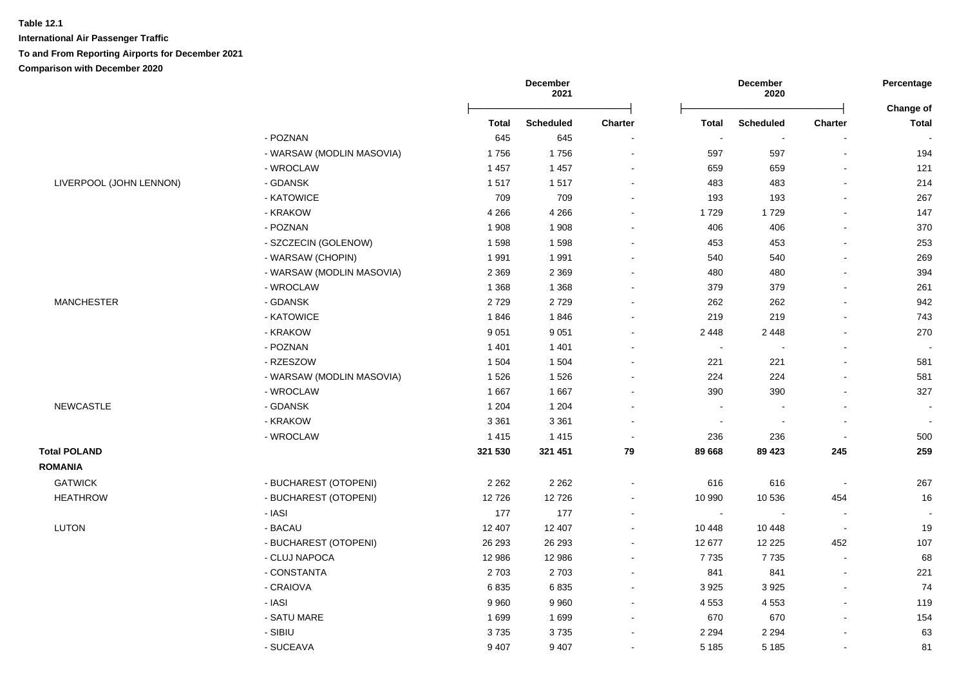|                         |                           | December<br>2021 |                  |                | December<br>2020 |                          |                          |                           |
|-------------------------|---------------------------|------------------|------------------|----------------|------------------|--------------------------|--------------------------|---------------------------|
|                         |                           | <b>Total</b>     | <b>Scheduled</b> | <b>Charter</b> | <b>Total</b>     | <b>Scheduled</b>         | <b>Charter</b>           | Change of<br><b>Total</b> |
|                         | - POZNAN                  | 645              | 645              | $\sim$         |                  | $\sim$                   |                          |                           |
|                         | - WARSAW (MODLIN MASOVIA) | 1756             | 1756             | $\sim$         | 597              | 597                      | $\blacksquare$           | 194                       |
|                         | - WROCLAW                 | 1 4 5 7          | 1 4 5 7          | $\sim$         | 659              | 659                      | $\blacksquare$           | 121                       |
| LIVERPOOL (JOHN LENNON) | - GDANSK                  | 1517             | 1517             | $\sim$         | 483              | 483                      |                          | 214                       |
|                         | - KATOWICE                | 709              | 709              | $\blacksquare$ | 193              | 193                      |                          | 267                       |
|                         | - KRAKOW                  | 4 2 6 6          | 4 2 6 6          | $\sim$         | 1729             | 1729                     |                          | 147                       |
|                         | - POZNAN                  | 1 9 0 8          | 1 9 0 8          | $\blacksquare$ | 406              | 406                      |                          | 370                       |
|                         | - SZCZECIN (GOLENOW)      | 1598             | 1598             | $\sim$         | 453              | 453                      |                          | 253                       |
|                         | - WARSAW (CHOPIN)         | 1991             | 1991             | $\sim$         | 540              | 540                      | $\mathbf{r}$             | 269                       |
|                         | - WARSAW (MODLIN MASOVIA) | 2 3 6 9          | 2 3 6 9          | $\overline{a}$ | 480              | 480                      | $\blacksquare$           | 394                       |
|                         | - WROCLAW                 | 1 3 6 8          | 1 3 6 8          | $\sim$         | 379              | 379                      | $\overline{a}$           | 261                       |
| <b>MANCHESTER</b>       | - GDANSK                  | 2729             | 2729             | $\blacksquare$ | 262              | 262                      | $\blacksquare$           | 942                       |
|                         | - KATOWICE                | 1846             | 1846             | $\sim$         | 219              | 219                      | L.                       | 743                       |
|                         | - KRAKOW                  | 9 0 5 1          | 9 0 5 1          | $\blacksquare$ | 2 4 4 8          | 2 4 4 8                  | $\blacksquare$           | 270                       |
|                         | - POZNAN                  | 1 4 0 1          | 1 4 0 1          | $\blacksquare$ | $\sim$           |                          | ä,                       |                           |
|                         | - RZESZOW                 | 1 504            | 1 504            | $\sim$         | 221              | 221                      | $\blacksquare$           | 581                       |
|                         | - WARSAW (MODLIN MASOVIA) | 1526             | 1526             | $\blacksquare$ | 224              | 224                      | L.                       | 581                       |
|                         | - WROCLAW                 | 1667             | 1667             | $\blacksquare$ | 390              | 390                      |                          | 327                       |
| <b>NEWCASTLE</b>        | - GDANSK                  | 1 2 0 4          | 1 2 0 4          | $\sim$         | $\sim$           |                          | $\overline{a}$           | $\overline{\phantom{a}}$  |
|                         | - KRAKOW                  | 3 3 6 1          | 3 3 6 1          | $\sim$         | $\sim$           | $\overline{\phantom{a}}$ | $\sim$                   | $\sim$                    |
|                         | - WROCLAW                 | 1415             | 1415             | $\sim$         | 236              | 236                      | $\blacksquare$           | 500                       |
| <b>Total POLAND</b>     |                           | 321 530          | 321 451          | 79             | 89 668           | 89 4 23                  | 245                      | 259                       |
| <b>ROMANIA</b>          |                           |                  |                  |                |                  |                          |                          |                           |
| <b>GATWICK</b>          | - BUCHAREST (OTOPENI)     | 2 2 6 2          | 2 2 6 2          | $\blacksquare$ | 616              | 616                      | $\overline{\phantom{a}}$ | 267                       |
| <b>HEATHROW</b>         | - BUCHAREST (OTOPENI)     | 12726            | 12726            | $\sim$         | 10 990           | 10 536                   | 454                      | 16                        |
|                         | - IASI                    | 177              | 177              | $\blacksquare$ | $\sim$           |                          | $\blacksquare$           |                           |
| <b>LUTON</b>            | - BACAU                   | 12 407           | 12 407           | $\sim$         | 10 448           | 10 448                   | $\sim$                   | 19                        |
|                         | - BUCHAREST (OTOPENI)     | 26 293           | 26 29 3          | $\sim$         | 12 677           | 12 2 2 5                 | 452                      | 107                       |
|                         | - CLUJ NAPOCA             | 12 986           | 12 986           | $\sim$         | 7735             | 7735                     | $\overline{\phantom{a}}$ | 68                        |
|                         | - CONSTANTA               | 2703             | 2703             | $\sim$         | 841              | 841                      | $\blacksquare$           | 221                       |
|                         | - CRAIOVA                 | 6835             | 6835             | $\sim$         | 3 9 2 5          | 3925                     | $\blacksquare$           | 74                        |
|                         | - IASI                    | 9960             | 9960             | $\sim$         | 4 5 5 3          | 4 5 5 3                  | $\sim$                   | 119                       |
|                         | - SATU MARE               | 1699             | 1699             |                | 670              | 670                      |                          | 154                       |
|                         | - SIBIU                   | 3735             | 3735             | ÷              | 2 2 9 4          | 2 2 9 4                  |                          | 63                        |
|                         |                           |                  |                  |                |                  |                          |                          |                           |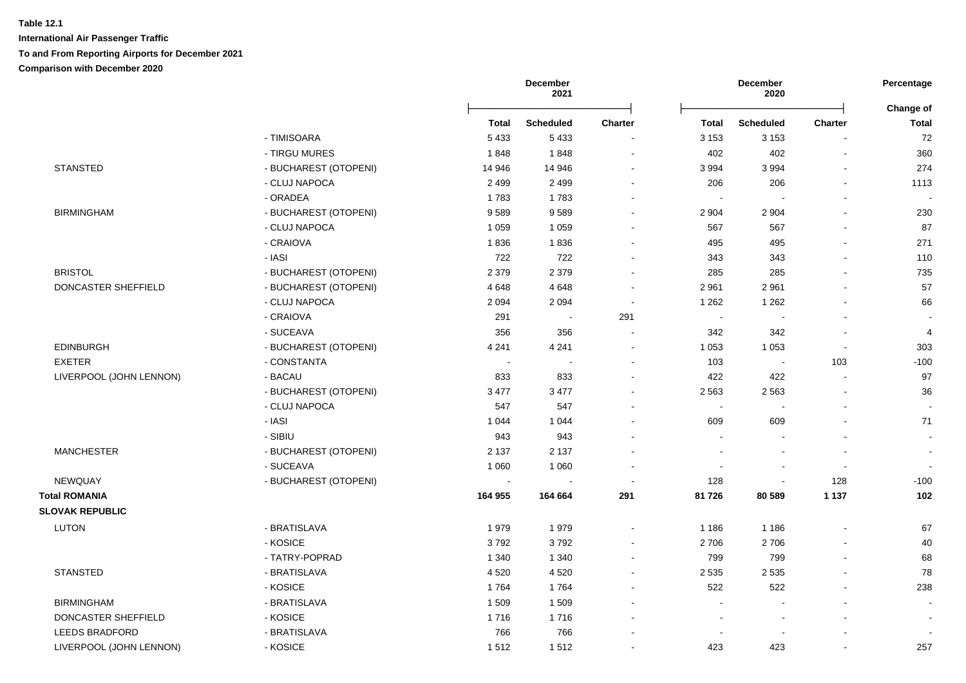|                         |                       |                | December<br>2021 |                          |                          | December<br>2020         |         | Percentage                |
|-------------------------|-----------------------|----------------|------------------|--------------------------|--------------------------|--------------------------|---------|---------------------------|
|                         |                       | Total          | <b>Scheduled</b> | Charter                  | <b>Total</b>             | <b>Scheduled</b>         | Charter | Change of<br><b>Total</b> |
|                         | - TIMISOARA           | 5 4 3 3        | 5 4 3 3          |                          | 3 1 5 3                  | 3 1 5 3                  |         | 72                        |
|                         | - TIRGU MURES         | 1848           | 1848             | $\blacksquare$           | 402                      | 402                      |         | 360                       |
| <b>STANSTED</b>         | - BUCHAREST (OTOPENI) | 14 946         | 14 946           | $\sim$                   | 3 9 9 4                  | 3994                     |         | 274                       |
|                         | - CLUJ NAPOCA         | 2 4 9 9        | 2 4 9 9          | $\overline{\phantom{a}}$ | 206                      | 206                      |         | 1113                      |
|                         | - ORADEA              | 1783           | 1783             | $\blacksquare$           | $\overline{\phantom{a}}$ |                          |         |                           |
| <b>BIRMINGHAM</b>       | - BUCHAREST (OTOPENI) | 9589           | 9589             | $\overline{\phantom{a}}$ | 2 9 0 4                  | 2 9 0 4                  |         | 230                       |
|                         | - CLUJ NAPOCA         | 1 0 5 9        | 1 0 5 9          |                          | 567                      | 567                      |         | 87                        |
|                         | - CRAIOVA             | 1836           | 1836             |                          | 495                      | 495                      |         | 271                       |
|                         | - IASI                | 722            | 722              |                          | 343                      | 343                      |         | 110                       |
| <b>BRISTOL</b>          | - BUCHAREST (OTOPENI) | 2 3 7 9        | 2 3 7 9          |                          | 285                      | 285                      |         | 735                       |
| DONCASTER SHEFFIELD     | - BUCHAREST (OTOPENI) | 4648           | 4648             |                          | 2 9 6 1                  | 2961                     |         | 57                        |
|                         | - CLUJ NAPOCA         | 2 0 9 4        | 2 0 9 4          | $\sim$                   | 1 2 6 2                  | 1 2 6 2                  |         | 66                        |
|                         | - CRAIOVA             | 291            | $\sim$           | 291                      | $\sim$                   | $\overline{\phantom{a}}$ |         |                           |
|                         | - SUCEAVA             | 356            | 356              | $\overline{\phantom{a}}$ | 342                      | 342                      |         | $\overline{4}$            |
| EDINBURGH               | - BUCHAREST (OTOPENI) | 4 2 4 1        | 4 2 4 1          | $\overline{\phantom{a}}$ | 1 0 5 3                  | 1 0 5 3                  | $\sim$  | 303                       |
| <b>EXETER</b>           | - CONSTANTA           | $\blacksquare$ |                  | $\overline{\phantom{a}}$ | 103                      | $\blacksquare$           | 103     | $-100$                    |
| LIVERPOOL (JOHN LENNON) | - BACAU               | 833            | 833              | $\overline{\phantom{a}}$ | 422                      | 422                      | $\sim$  | 97                        |
|                         | - BUCHAREST (OTOPENI) | 3 4 7 7        | 3 4 7 7          |                          | 2 5 6 3                  | 2 5 6 3                  |         | 36                        |
|                         | - CLUJ NAPOCA         | 547            | 547              | $\overline{a}$           | $\overline{\phantom{a}}$ | $\overline{\phantom{a}}$ |         |                           |
|                         | - IASI                | 1 0 4 4        | 1 0 4 4          |                          | 609                      | 609                      |         | 71                        |
|                         | - SIBIU               | 943            | 943              |                          |                          |                          |         |                           |
| <b>MANCHESTER</b>       | - BUCHAREST (OTOPENI) | 2 1 3 7        | 2 1 3 7          |                          |                          |                          |         |                           |
|                         | - SUCEAVA             | 1 0 6 0        | 1 0 6 0          |                          |                          |                          |         |                           |
| NEWQUAY                 | - BUCHAREST (OTOPENI) |                |                  |                          | 128                      | $\blacksquare$           | 128     | $-100$                    |
| <b>Total ROMANIA</b>    |                       | 164 955        | 164 664          | 291                      | 81 726                   | 80 589                   | 1 1 3 7 | 102                       |
| <b>SLOVAK REPUBLIC</b>  |                       |                |                  |                          |                          |                          |         |                           |
| <b>LUTON</b>            | - BRATISLAVA          | 1979           | 1979             | $\overline{a}$           | 1 1 8 6                  | 1 1 8 6                  |         | 67                        |
|                         | - KOSICE              | 3792           | 3792             |                          | 2706                     | 2706                     |         | 40                        |
|                         | - TATRY-POPRAD        | 1 3 4 0        | 1 3 4 0          |                          | 799                      | 799                      |         | 68                        |
| <b>STANSTED</b>         | - BRATISLAVA          | 4520           | 4 5 20           | $\blacksquare$           | 2 5 3 5                  | 2 5 3 5                  |         | 78                        |
|                         | - KOSICE              | 1764           | 1764             | $\overline{a}$           | 522                      | 522                      |         | 238                       |
| <b>BIRMINGHAM</b>       | - BRATISLAVA          | 1509           | 1509             | $\blacksquare$           | $\sim$                   | $\sim$                   |         |                           |
| DONCASTER SHEFFIELD     | - KOSICE              | 1716           | 1716             |                          | $\blacksquare$           | $\blacksquare$           |         |                           |
| <b>LEEDS BRADFORD</b>   | - BRATISLAVA          | 766            | 766              |                          |                          | $\overline{\phantom{a}}$ |         |                           |
| LIVERPOOL (JOHN LENNON) | - KOSICE              | 1512           | 1512             |                          | 423                      | 423                      |         | 257                       |
|                         |                       |                |                  |                          |                          |                          |         |                           |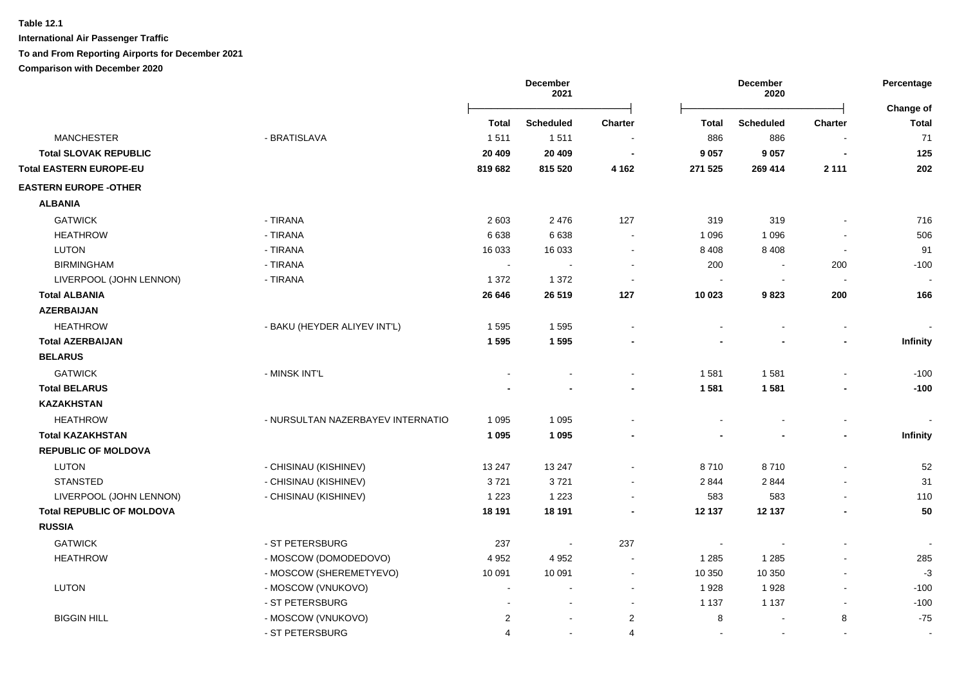**International Air Passenger Traffic**

### **To and From Reporting Airports for December 2021**

|                                  |                                   | <b>December</b><br>2021 |                  |                | Percentage   |                  |                |                           |
|----------------------------------|-----------------------------------|-------------------------|------------------|----------------|--------------|------------------|----------------|---------------------------|
|                                  |                                   | <b>Total</b>            | <b>Scheduled</b> | <b>Charter</b> | <b>Total</b> | <b>Scheduled</b> | <b>Charter</b> | Change of<br><b>Total</b> |
| <b>MANCHESTER</b>                | - BRATISLAVA                      | 1511                    | 1511             |                | 886          | 886              |                | 71                        |
| <b>Total SLOVAK REPUBLIC</b>     |                                   | 20 409                  | 20 409           | $\blacksquare$ | 9 0 5 7      | 9 0 5 7          |                | 125                       |
| <b>Total EASTERN EUROPE-EU</b>   |                                   | 819 682                 | 815 520          | 4 1 6 2        | 271 525      | 269 414          | 2 1 1 1        | 202                       |
| <b>EASTERN EUROPE -OTHER</b>     |                                   |                         |                  |                |              |                  |                |                           |
| <b>ALBANIA</b>                   |                                   |                         |                  |                |              |                  |                |                           |
| <b>GATWICK</b>                   | - TIRANA                          | 2 6 0 3                 | 2 4 7 6          | 127            | 319          | 319              |                | 716                       |
| <b>HEATHROW</b>                  | - TIRANA                          | 6638                    | 6638             |                | 1 0 9 6      | 1 0 9 6          |                | 506                       |
| <b>LUTON</b>                     | - TIRANA                          | 16 033                  | 16 033           |                | 8 4 0 8      | 8 4 0 8          | $\sim$         | 91                        |
| <b>BIRMINGHAM</b>                | - TIRANA                          | $\sim$                  | $\sim$           |                | 200          | $\sim$           | 200            | $-100$                    |
| LIVERPOOL (JOHN LENNON)          | - TIRANA                          | 1 3 7 2                 | 1 3 7 2          |                | $\sim$       | $\sim$           | $\sim$         |                           |
| <b>Total ALBANIA</b>             |                                   | 26 646                  | 26 519           | 127            | 10 023       | 9823             | 200            | 166                       |
| <b>AZERBAIJAN</b>                |                                   |                         |                  |                |              |                  |                |                           |
| <b>HEATHROW</b>                  | - BAKU (HEYDER ALIYEV INT'L)      | 1595                    | 1595             |                |              |                  |                |                           |
| <b>Total AZERBAIJAN</b>          |                                   | 1595                    | 1595             |                |              |                  |                | Infinity                  |
| <b>BELARUS</b>                   |                                   |                         |                  |                |              |                  |                |                           |
| <b>GATWICK</b>                   | - MINSK INT'L                     |                         |                  |                | 1581         | 1581             |                | $-100$                    |
| <b>Total BELARUS</b>             |                                   |                         |                  |                | 1581         | 1581             |                | $-100$                    |
| <b>KAZAKHSTAN</b>                |                                   |                         |                  |                |              |                  |                |                           |
| <b>HEATHROW</b>                  | - NURSULTAN NAZERBAYEV INTERNATIO | 1 0 9 5                 | 1 0 9 5          |                |              |                  |                |                           |
| <b>Total KAZAKHSTAN</b>          |                                   | 1 0 9 5                 | 1 0 9 5          |                |              |                  | $\blacksquare$ | Infinity                  |
| <b>REPUBLIC OF MOLDOVA</b>       |                                   |                         |                  |                |              |                  |                |                           |
| <b>LUTON</b>                     | - CHISINAU (KISHINEV)             | 13 247                  | 13 247           |                | 8710         | 8710             |                | 52                        |
| <b>STANSTED</b>                  | - CHISINAU (KISHINEV)             | 3721                    | 3721             | $\blacksquare$ | 2 8 4 4      | 2844             |                | 31                        |
| LIVERPOOL (JOHN LENNON)          | - CHISINAU (KISHINEV)             | 1 2 2 3                 | 1 2 2 3          |                | 583          | 583              |                | 110                       |
| <b>Total REPUBLIC OF MOLDOVA</b> |                                   | 18 191                  | 18 191           |                | 12 137       | 12 137           |                | 50                        |
| <b>RUSSIA</b>                    |                                   |                         |                  |                |              |                  |                |                           |
| <b>GATWICK</b>                   | - ST PETERSBURG                   | 237                     |                  | 237            |              |                  |                |                           |
| <b>HEATHROW</b>                  | - MOSCOW (DOMODEDOVO)             | 4 9 5 2                 | 4 9 5 2          |                | 1 2 8 5      | 1 2 8 5          |                | 285                       |
|                                  | - MOSCOW (SHEREMETYEVO)           | 10 091                  | 10 091           | $\sim$         | 10 350       | 10 350           |                | $-3$                      |
| <b>LUTON</b>                     | - MOSCOW (VNUKOVO)                |                         | $\overline{a}$   | $\sim$         | 1928         | 1928             | $\sim$         | $-100$                    |
|                                  | - ST PETERSBURG                   |                         | ÷                | $\sim$         | 1 1 3 7      | 1 1 3 7          | $\sim$         | $-100$                    |
| <b>BIGGIN HILL</b>               | - MOSCOW (VNUKOVO)                | $\overline{c}$          | $\blacksquare$   | $\overline{2}$ | 8            |                  | 8              | $-75$                     |
|                                  | - ST PETERSBURG                   | 4                       | $\sim$           | 4              | $\sim$       | $\blacksquare$   |                | $\blacksquare$            |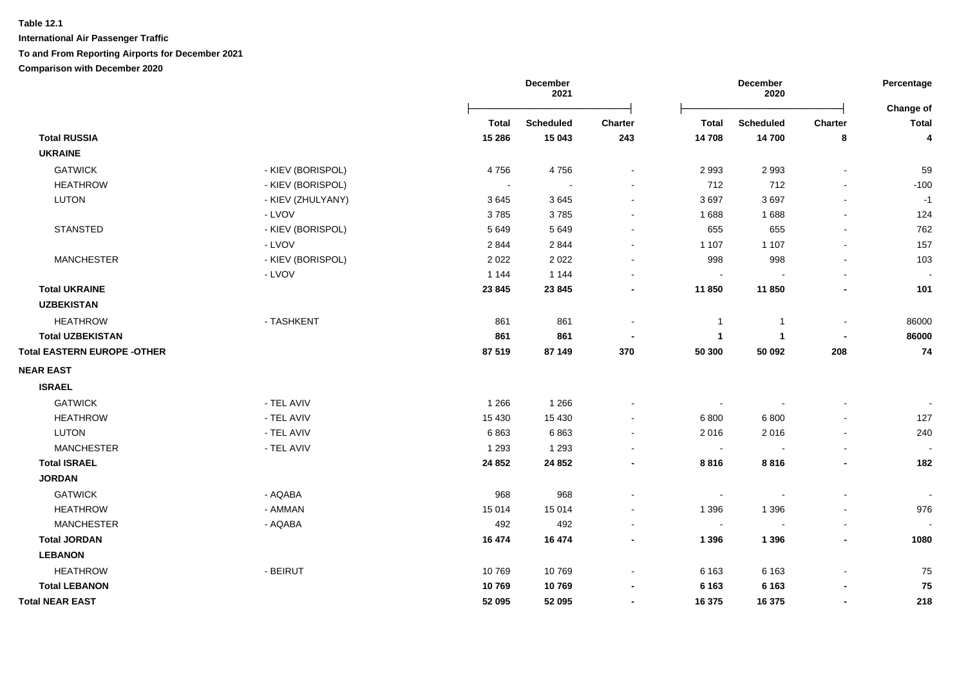|                                    |                   | <b>December</b><br>2021 |                  |                | Percentage<br>Change of  |                  |                |              |
|------------------------------------|-------------------|-------------------------|------------------|----------------|--------------------------|------------------|----------------|--------------|
|                                    |                   | <b>Total</b>            | <b>Scheduled</b> | Charter        | <b>Total</b>             | <b>Scheduled</b> | Charter        | <b>Total</b> |
| <b>Total RUSSIA</b>                |                   | 15 28 6                 | 15 043           | 243            | 14 708                   | 14700            | 8              | 4            |
| <b>UKRAINE</b>                     |                   |                         |                  |                |                          |                  |                |              |
| <b>GATWICK</b>                     | - KIEV (BORISPOL) | 4756                    | 4756             | $\sim$         | 2 9 9 3                  | 2993             | $\blacksquare$ | 59           |
| <b>HEATHROW</b>                    | - KIEV (BORISPOL) | $\blacksquare$          | $\blacksquare$   |                | 712                      | 712              |                | $-100$       |
| <b>LUTON</b>                       | - KIEV (ZHULYANY) | 3645                    | 3645             |                | 3697                     | 3697             |                | $-1$         |
|                                    | - LVOV            | 3785                    | 3785             |                | 1688                     | 1688             |                | 124          |
| <b>STANSTED</b>                    | - KIEV (BORISPOL) | 5 6 4 9                 | 5 6 4 9          |                | 655                      | 655              |                | 762          |
|                                    | - LVOV            | 2844                    | 2844             |                | 1 107                    | 1 1 0 7          |                | 157          |
| <b>MANCHESTER</b>                  | - KIEV (BORISPOL) | 2 0 2 2                 | 2 0 2 2          | $\sim$         | 998                      | 998              | $\blacksquare$ | 103          |
|                                    | - LVOV            | 1 1 4 4                 | 1 1 4 4          |                | $\blacksquare$           |                  |                |              |
| <b>Total UKRAINE</b>               |                   | 23 845                  | 23 845           | $\blacksquare$ | 11 850                   | 11850            | $\blacksquare$ | 101          |
| <b>UZBEKISTAN</b>                  |                   |                         |                  |                |                          |                  |                |              |
| <b>HEATHROW</b>                    | - TASHKENT        | 861                     | 861              |                | $\overline{1}$           | $\overline{1}$   | $\blacksquare$ | 86000        |
| <b>Total UZBEKISTAN</b>            |                   | 861                     | 861              |                | $\mathbf{1}$             | $\mathbf{1}$     |                | 86000        |
| <b>Total EASTERN EUROPE -OTHER</b> |                   | 87 519                  | 87 149           | 370            | 50 300                   | 50 092           | 208            | 74           |
| <b>NEAR EAST</b>                   |                   |                         |                  |                |                          |                  |                |              |
| <b>ISRAEL</b>                      |                   |                         |                  |                |                          |                  |                |              |
| <b>GATWICK</b>                     | - TEL AVIV        | 1 2 6 6                 | 1 2 6 6          |                | $\overline{\phantom{a}}$ |                  |                |              |
| <b>HEATHROW</b>                    | - TEL AVIV        | 15 4 30                 | 15 4 30          |                | 6 800                    | 6800             |                | 127          |
| <b>LUTON</b>                       | - TEL AVIV        | 6863                    | 6863             | $\sim$         | 2016                     | 2016             | $\sim$         | 240          |
| <b>MANCHESTER</b>                  | - TEL AVIV        | 1 2 9 3                 | 1 2 9 3          |                | $\sim$                   |                  |                |              |
| <b>Total ISRAEL</b>                |                   | 24 852                  | 24 852           |                | 8816                     | 8816             |                | 182          |
| <b>JORDAN</b>                      |                   |                         |                  |                |                          |                  |                |              |
| <b>GATWICK</b>                     | - AQABA           | 968                     | 968              |                | $\blacksquare$           |                  | $\blacksquare$ |              |
| <b>HEATHROW</b>                    | - AMMAN           | 15 0 14                 | 15 0 14          |                | 1 3 9 6                  | 1 3 9 6          | $\blacksquare$ | 976          |
| <b>MANCHESTER</b>                  | - AQABA           | 492                     | 492              |                | $\sim$                   | $\sim$           | $\blacksquare$ |              |
| <b>Total JORDAN</b>                |                   | 16 474                  | 16 474           |                | 1 3 9 6                  | 1 3 9 6          |                | 1080         |
| <b>LEBANON</b>                     |                   |                         |                  |                |                          |                  |                |              |
| <b>HEATHROW</b>                    | - BEIRUT          | 10769                   | 10769            |                | 6 1 6 3                  | 6 1 6 3          |                | 75           |
| <b>Total LEBANON</b>               |                   | 10769                   | 10769            |                | 6 1 6 3                  | 6 1 6 3          |                | 75           |
| <b>Total NEAR EAST</b>             |                   | 52 095                  | 52 095           |                | 16 375                   | 16 375           |                | 218          |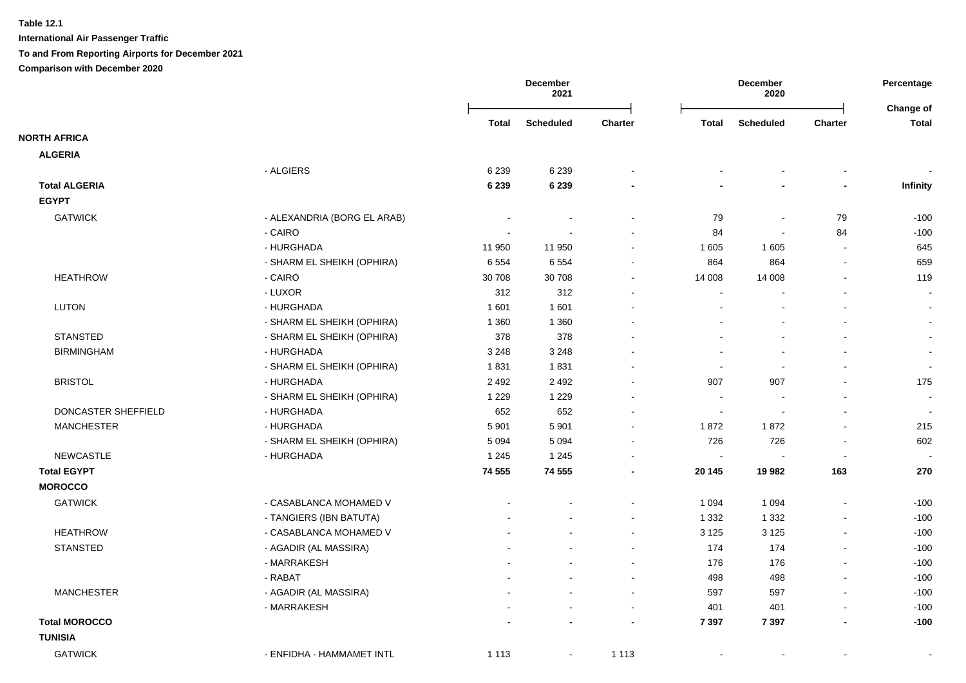**International Air Passenger Traffic To and From Reporting Airports for December 2021**

|                      |                             |         | <b>December</b><br>2021 |                |                | December<br>2020 |                          | Percentage<br>Change of |
|----------------------|-----------------------------|---------|-------------------------|----------------|----------------|------------------|--------------------------|-------------------------|
|                      |                             | Total   | <b>Scheduled</b>        | <b>Charter</b> | <b>Total</b>   | <b>Scheduled</b> | <b>Charter</b>           | <b>Total</b>            |
| <b>NORTH AFRICA</b>  |                             |         |                         |                |                |                  |                          |                         |
| <b>ALGERIA</b>       |                             |         |                         |                |                |                  |                          |                         |
|                      | - ALGIERS                   | 6 2 3 9 | 6 2 3 9                 |                |                |                  |                          |                         |
| <b>Total ALGERIA</b> |                             | 6 2 3 9 | 6 2 3 9                 |                |                |                  | $\overline{\phantom{0}}$ | <b>Infinity</b>         |
| <b>EGYPT</b>         |                             |         |                         |                |                |                  |                          |                         |
| <b>GATWICK</b>       | - ALEXANDRIA (BORG EL ARAB) |         |                         |                | 79             | $\blacksquare$   | 79                       | $-100$                  |
|                      | - CAIRO                     |         |                         |                | 84             | $\blacksquare$   | 84                       | $-100$                  |
|                      | - HURGHADA                  | 11 950  | 11 950                  | $\overline{a}$ | 1 605          | 1 605            | $\sim$                   | 645                     |
|                      | - SHARM EL SHEIKH (OPHIRA)  | 6554    | 6554                    |                | 864            | 864              | $\blacksquare$           | 659                     |
| <b>HEATHROW</b>      | - CAIRO                     | 30 708  | 30 708                  |                | 14 008         | 14 008           |                          | 119                     |
|                      | - LUXOR                     | 312     | 312                     |                |                |                  |                          | $\sim$                  |
| <b>LUTON</b>         | - HURGHADA                  | 1 601   | 1 601                   |                |                |                  |                          |                         |
|                      | - SHARM EL SHEIKH (OPHIRA)  | 1 3 6 0 | 1 3 6 0                 |                |                |                  |                          | $\blacksquare$          |
| <b>STANSTED</b>      | - SHARM EL SHEIKH (OPHIRA)  | 378     | 378                     |                |                |                  |                          | $\blacksquare$          |
| <b>BIRMINGHAM</b>    | - HURGHADA                  | 3 2 4 8 | 3 2 4 8                 |                |                |                  |                          | $\blacksquare$          |
|                      | - SHARM EL SHEIKH (OPHIRA)  | 1831    | 1831                    |                | $\sim$         | $\sim$           |                          | $\sim$                  |
| <b>BRISTOL</b>       | - HURGHADA                  | 2 4 9 2 | 2 4 9 2                 |                | 907            | 907              |                          | 175                     |
|                      | - SHARM EL SHEIKH (OPHIRA)  | 1 2 2 9 | 1 2 2 9                 |                | $\sim$         |                  |                          | $\blacksquare$          |
| DONCASTER SHEFFIELD  | - HURGHADA                  | 652     | 652                     |                | $\sim$         | $\blacksquare$   | $\blacksquare$           | $\sim$                  |
| <b>MANCHESTER</b>    | - HURGHADA                  | 5 9 0 1 | 5 9 0 1                 | $\blacksquare$ | 1872           | 1872             | $\overline{\phantom{a}}$ | 215                     |
|                      | - SHARM EL SHEIKH (OPHIRA)  | 5 0 9 4 | 5 0 9 4                 | $\overline{a}$ | 726            | 726              |                          | 602                     |
| <b>NEWCASTLE</b>     | - HURGHADA                  | 1 2 4 5 | 1 2 4 5                 |                | $\sim$         |                  |                          |                         |
| <b>Total EGYPT</b>   |                             | 74 555  | 74 555                  |                | 20 145         | 19 982           | 163                      | 270                     |
| <b>MOROCCO</b>       |                             |         |                         |                |                |                  |                          |                         |
| <b>GATWICK</b>       | - CASABLANCA MOHAMED V      |         |                         |                | 1 0 9 4        | 1 0 9 4          |                          | $-100$                  |
|                      | - TANGIERS (IBN BATUTA)     |         |                         |                | 1 3 3 2        | 1 3 3 2          | $\overline{a}$           | $-100$                  |
| <b>HEATHROW</b>      | - CASABLANCA MOHAMED V      |         |                         |                | 3 1 2 5        | 3 1 2 5          | $\sim$                   | $-100$                  |
| <b>STANSTED</b>      | - AGADIR (AL MASSIRA)       |         |                         |                | 174            | 174              | $\blacksquare$           | $-100$                  |
|                      | - MARRAKESH                 |         |                         | $\blacksquare$ | 176            | 176              | $\blacksquare$           | $-100$                  |
|                      | - RABAT                     |         |                         | $\blacksquare$ | 498            | 498              | $\blacksquare$           | $-100$                  |
| <b>MANCHESTER</b>    | - AGADIR (AL MASSIRA)       |         |                         | $\blacksquare$ | 597            | 597              |                          | $-100$                  |
|                      | - MARRAKESH                 |         |                         | $\blacksquare$ | 401            | 401              | $\overline{\phantom{a}}$ | $-100$                  |
| <b>Total MOROCCO</b> |                             |         |                         |                | 7 3 9 7        | 7 3 9 7          | ٠                        | $-100$                  |
| <b>TUNISIA</b>       |                             |         |                         |                |                |                  |                          |                         |
| <b>GATWICK</b>       | - ENFIDHA - HAMMAMET INTL   | 1 1 1 3 | $\sim$                  | 1 1 1 3        | $\blacksquare$ | $\blacksquare$   |                          | $\blacksquare$          |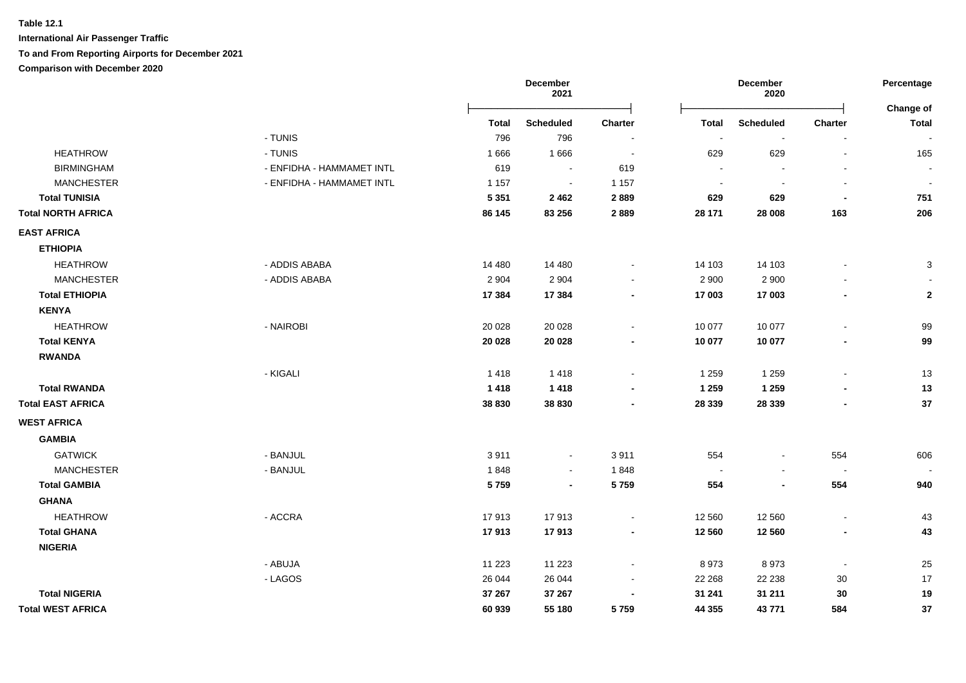|                           |                           |         | December<br>2021         |                          | December<br>2020         |                  |                          | Percentage<br><b>Change of</b> |
|---------------------------|---------------------------|---------|--------------------------|--------------------------|--------------------------|------------------|--------------------------|--------------------------------|
|                           |                           | Total   | <b>Scheduled</b>         | <b>Charter</b>           | Total                    | <b>Scheduled</b> | Charter                  | <b>Total</b>                   |
|                           | - TUNIS                   | 796     | 796                      |                          |                          |                  |                          |                                |
| <b>HEATHROW</b>           | - TUNIS                   | 1666    | 1666                     | $\overline{\phantom{a}}$ | 629                      | 629              |                          | 165                            |
| <b>BIRMINGHAM</b>         | - ENFIDHA - HAMMAMET INTL | 619     |                          | 619                      | $\overline{\phantom{a}}$ |                  |                          |                                |
| <b>MANCHESTER</b>         | - ENFIDHA - HAMMAMET INTL | 1 1 5 7 | $\blacksquare$           | 1 1 5 7                  | $\overline{\phantom{a}}$ |                  |                          | $\overline{\phantom{a}}$       |
| <b>Total TUNISIA</b>      |                           | 5 3 5 1 | 2462                     | 2889                     | 629                      | 629              |                          | 751                            |
| <b>Total NORTH AFRICA</b> |                           | 86 145  | 83 256                   | 2889                     | 28 171                   | 28 008           | 163                      | 206                            |
| <b>EAST AFRICA</b>        |                           |         |                          |                          |                          |                  |                          |                                |
| <b>ETHIOPIA</b>           |                           |         |                          |                          |                          |                  |                          |                                |
| <b>HEATHROW</b>           | - ADDIS ABABA             | 14 480  | 14 4 8 0                 |                          | 14 103                   | 14 103           |                          | 3                              |
| <b>MANCHESTER</b>         | - ADDIS ABABA             | 2 9 0 4 | 2 9 0 4                  |                          | 2 9 0 0                  | 2 9 0 0          |                          |                                |
| <b>Total ETHIOPIA</b>     |                           | 17 384  | 17 384                   |                          | 17 003                   | 17 003           |                          | $\mathbf 2$                    |
| <b>KENYA</b>              |                           |         |                          |                          |                          |                  |                          |                                |
| <b>HEATHROW</b>           | - NAIROBI                 | 20 0 28 | 20 0 28                  |                          | 10 077                   | 10 077           |                          | 99                             |
| <b>Total KENYA</b>        |                           | 20 0 28 | 20 0 28                  |                          | 10 077                   | 10 077           |                          | 99                             |
| <b>RWANDA</b>             |                           |         |                          |                          |                          |                  |                          |                                |
|                           | - KIGALI                  | 1418    | 1418                     |                          | 1 2 5 9                  | 1 2 5 9          | $\blacksquare$           | 13                             |
| <b>Total RWANDA</b>       |                           | 1418    | 1418                     |                          | 1 2 5 9                  | 1 2 5 9          |                          | 13                             |
| <b>Total EAST AFRICA</b>  |                           | 38 830  | 38 830                   |                          | 28 339                   | 28 3 39          |                          | 37                             |
| <b>WEST AFRICA</b>        |                           |         |                          |                          |                          |                  |                          |                                |
| <b>GAMBIA</b>             |                           |         |                          |                          |                          |                  |                          |                                |
| <b>GATWICK</b>            | - BANJUL                  | 3911    | $\blacksquare$           | 3911                     | 554                      |                  | 554                      | 606                            |
| <b>MANCHESTER</b>         | - BANJUL                  | 1848    | $\overline{\phantom{a}}$ | 1848                     | $\sim$                   |                  | $\blacksquare$           |                                |
| <b>Total GAMBIA</b>       |                           | 5759    | $\blacksquare$           | 5759                     | 554                      |                  | 554                      | 940                            |
| <b>GHANA</b>              |                           |         |                          |                          |                          |                  |                          |                                |
| <b>HEATHROW</b>           | - ACCRA                   | 17913   | 17913                    |                          | 12 560                   | 12 560           | $\overline{\phantom{a}}$ | 43                             |
| <b>Total GHANA</b>        |                           | 17913   | 17913                    |                          | 12 560                   | 12 560           | $\blacksquare$           | 43                             |
| <b>NIGERIA</b>            |                           |         |                          |                          |                          |                  |                          |                                |
|                           | - ABUJA                   | 11 2 23 | 11 2 23                  |                          | 8973                     | 8973             |                          | 25                             |
|                           | - LAGOS                   | 26 044  | 26 044                   |                          | 22 268                   | 22 2 38          | $30\,$                   | 17                             |
| <b>Total NIGERIA</b>      |                           | 37 267  | 37 267                   |                          | 31 241                   | 31 211           | 30                       | 19                             |
| <b>Total WEST AFRICA</b>  |                           | 60 939  | 55 180                   | 5759                     | 44 355                   | 43 771           | 584                      | 37                             |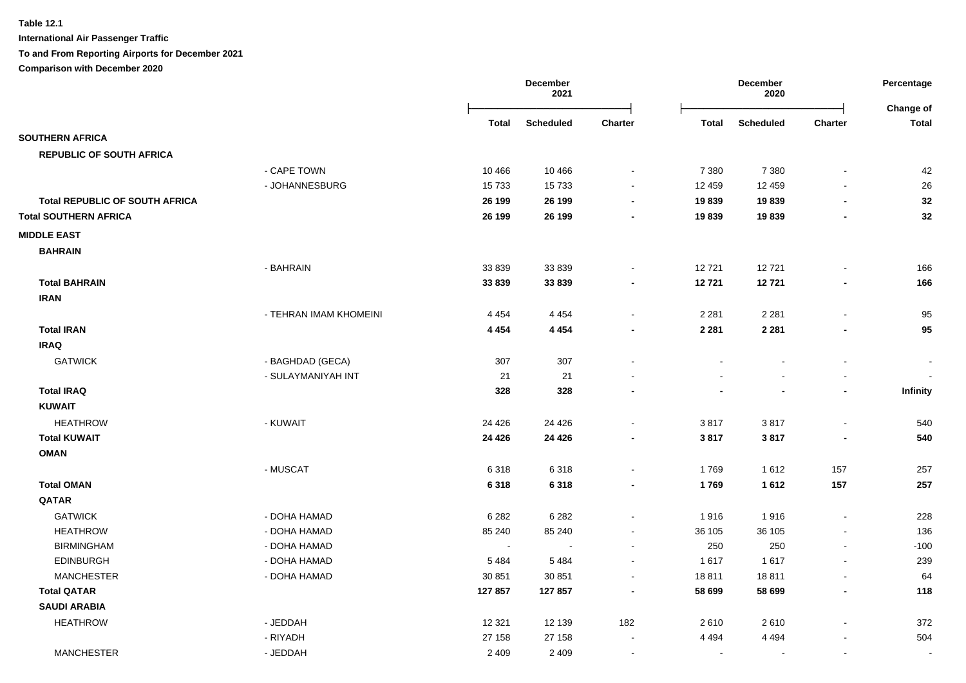|                                       |                        | December<br>2021 |                  |                          | December<br>2020 |                  |                          | Percentage<br>Change of |
|---------------------------------------|------------------------|------------------|------------------|--------------------------|------------------|------------------|--------------------------|-------------------------|
|                                       |                        | Total            | <b>Scheduled</b> | <b>Charter</b>           | <b>Total</b>     | <b>Scheduled</b> | <b>Charter</b>           | <b>Total</b>            |
| <b>SOUTHERN AFRICA</b>                |                        |                  |                  |                          |                  |                  |                          |                         |
| <b>REPUBLIC OF SOUTH AFRICA</b>       |                        |                  |                  |                          |                  |                  |                          |                         |
|                                       | - CAPE TOWN            | 10 4 66          | 10 4 66          |                          | 7 3 8 0          | 7 3 8 0          |                          | 42                      |
|                                       | - JOHANNESBURG         | 15733            | 15733            | $\blacksquare$           | 12 459           | 12 459           |                          | 26                      |
| <b>Total REPUBLIC OF SOUTH AFRICA</b> |                        | 26 199           | 26 199           | $\blacksquare$           | 19839            | 19839            | $\blacksquare$           | 32                      |
| <b>Total SOUTHERN AFRICA</b>          |                        | 26 199           | 26 199           | $\overline{\phantom{a}}$ | 19839            | 19839            | $\blacksquare$           | 32                      |
| <b>MIDDLE EAST</b>                    |                        |                  |                  |                          |                  |                  |                          |                         |
| <b>BAHRAIN</b>                        |                        |                  |                  |                          |                  |                  |                          |                         |
|                                       | - BAHRAIN              | 33 839           | 33 839           |                          | 12721            | 12721            |                          | 166                     |
| <b>Total BAHRAIN</b>                  |                        | 33839            | 33839            |                          | 12721            | 12721            |                          | 166                     |
| <b>IRAN</b>                           |                        |                  |                  |                          |                  |                  |                          |                         |
|                                       | - TEHRAN IMAM KHOMEINI | 4 4 5 4          | 4 4 5 4          | $\blacksquare$           | 2 2 8 1          | 2 2 8 1          | $\blacksquare$           | 95                      |
| <b>Total IRAN</b>                     |                        | 4 4 5 4          | 4 4 5 4          |                          | 2 2 8 1          | 2 2 8 1          |                          | 95                      |
| <b>IRAQ</b>                           |                        |                  |                  |                          |                  |                  |                          |                         |
| <b>GATWICK</b>                        | - BAGHDAD (GECA)       | 307              | 307              |                          | $\blacksquare$   | $\sim$           | $\blacksquare$           | $\blacksquare$          |
|                                       | - SULAYMANIYAH INT     | 21               | 21               |                          |                  |                  |                          |                         |
| <b>Total IRAQ</b>                     |                        | 328              | 328              |                          |                  |                  | $\overline{\phantom{0}}$ | Infinity                |
| <b>KUWAIT</b>                         |                        |                  |                  |                          |                  |                  |                          |                         |
| <b>HEATHROW</b>                       | - KUWAIT               | 24 4 26          | 24 4 26          |                          | 3817             | 3817             | $\sim$                   | 540                     |
| <b>Total KUWAIT</b>                   |                        | 24 4 26          | 24 4 26          |                          | 3817             | 3817             |                          | 540                     |
| <b>OMAN</b>                           |                        |                  |                  |                          |                  |                  |                          |                         |
|                                       | - MUSCAT               | 6318             | 6318             | $\sim$                   | 1769             | 1612             | 157                      | 257                     |
| <b>Total OMAN</b>                     |                        | 6318             | 6318             |                          | 1769             | 1612             | 157                      | 257                     |
| QATAR                                 |                        |                  |                  |                          |                  |                  |                          |                         |
| <b>GATWICK</b>                        | - DOHA HAMAD           | 6 2 8 2          | 6 2 8 2          | $\blacksquare$           | 1916             | 1916             | $\blacksquare$           | 228                     |
| <b>HEATHROW</b>                       | - DOHA HAMAD           | 85 240           | 85 240           |                          | 36 105           | 36 105           |                          | 136                     |
| <b>BIRMINGHAM</b>                     | - DOHA HAMAD           | $\sim$           |                  |                          | 250              | 250              | $\sim$                   | $-100$                  |
| <b>EDINBURGH</b>                      | - DOHA HAMAD           | 5484             | 5 4 8 4          |                          | 1 6 1 7          | 1617             |                          | 239                     |
| <b>MANCHESTER</b>                     | - DOHA HAMAD           | 30 851           | 30 851           |                          | 18811            | 18811            |                          | 64                      |
| <b>Total QATAR</b>                    |                        | 127857           | 127 857          |                          | 58 699           | 58 699           |                          | 118                     |
| <b>SAUDI ARABIA</b>                   |                        |                  |                  |                          |                  |                  |                          |                         |
| <b>HEATHROW</b>                       | - JEDDAH               | 12 3 21          | 12 139           | 182                      | 2610             | 2610             |                          | 372                     |
|                                       | - RIYADH               | 27 158           | 27 158           |                          | 4 4 9 4          | 4 4 9 4          |                          | 504                     |
| <b>MANCHESTER</b>                     | - JEDDAH               | 2 4 0 9          | 2 4 0 9          |                          | $\sim$           |                  | $\sim$                   | $\sim$                  |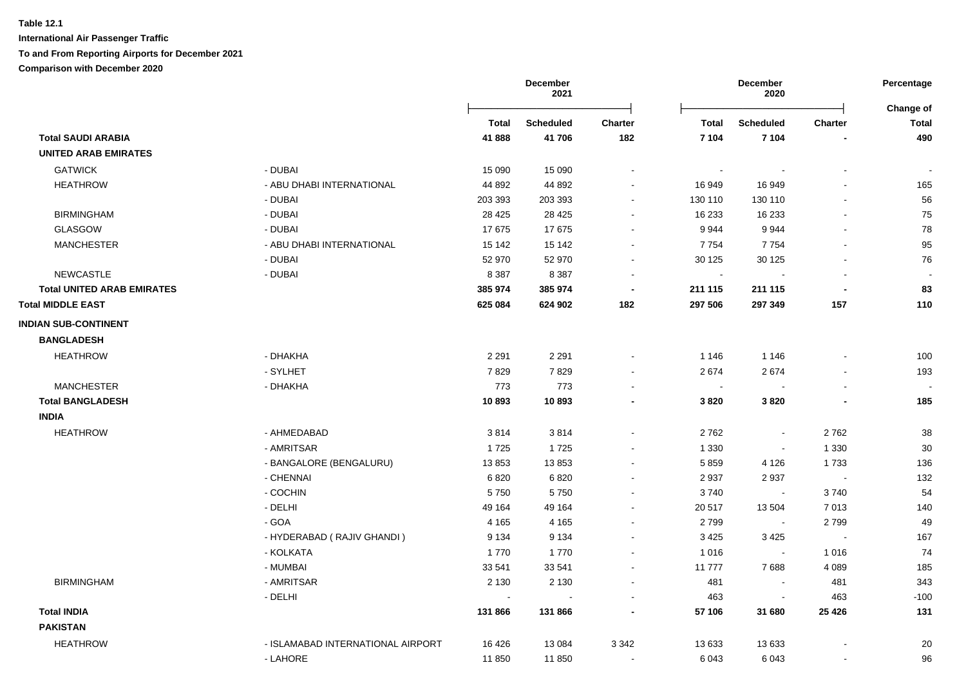|                                   |                                   | <b>December</b><br>2021 |                  | December<br>2020 |              |                          | Percentage<br><b>Change of</b> |                          |
|-----------------------------------|-----------------------------------|-------------------------|------------------|------------------|--------------|--------------------------|--------------------------------|--------------------------|
|                                   |                                   | Total                   | <b>Scheduled</b> | <b>Charter</b>   | <b>Total</b> | <b>Scheduled</b>         | <b>Charter</b>                 | Total                    |
| <b>Total SAUDI ARABIA</b>         |                                   | 41888                   | 41 706           | 182              | 7 104        | 7 104                    |                                | 490                      |
| <b>UNITED ARAB EMIRATES</b>       |                                   |                         |                  |                  |              |                          |                                |                          |
| <b>GATWICK</b>                    | - DUBAI                           | 15 0 90                 | 15 0 90          | $\sim$           | $\sim$       |                          | $\overline{a}$                 | $\sim$                   |
| <b>HEATHROW</b>                   | - ABU DHABI INTERNATIONAL         | 44 892                  | 44 892           | $\sim$           | 16 949       | 16 949                   |                                | 165                      |
|                                   | - DUBAI                           | 203 393                 | 203 393          | $\blacksquare$   | 130 110      | 130 110                  |                                | 56                       |
| <b>BIRMINGHAM</b>                 | - DUBAI                           | 28 4 25                 | 28 4 25          |                  | 16 233       | 16 233                   |                                | 75                       |
| <b>GLASGOW</b>                    | - DUBAI                           | 17675                   | 17675            |                  | 9944         | 9944                     |                                | 78                       |
| <b>MANCHESTER</b>                 | - ABU DHABI INTERNATIONAL         | 15 142                  | 15 142           | $\overline{a}$   | 7754         | 7754                     |                                | 95                       |
|                                   | - DUBAI                           | 52 970                  | 52 970           | $\blacksquare$   | 30 125       | 30 1 25                  |                                | 76                       |
| <b>NEWCASTLE</b>                  | - DUBAI                           | 8 3 8 7                 | 8 3 8 7          | $\blacksquare$   | $\sim$       | $\blacksquare$           | $\blacksquare$                 | $\overline{\phantom{a}}$ |
| <b>Total UNITED ARAB EMIRATES</b> |                                   | 385 974                 | 385 974          | $\blacksquare$   | 211 115      | 211 115                  | $\blacksquare$                 | 83                       |
| <b>Total MIDDLE EAST</b>          |                                   | 625 084                 | 624 902          | 182              | 297 506      | 297 349                  | 157                            | 110                      |
| <b>INDIAN SUB-CONTINENT</b>       |                                   |                         |                  |                  |              |                          |                                |                          |
| <b>BANGLADESH</b>                 |                                   |                         |                  |                  |              |                          |                                |                          |
| <b>HEATHROW</b>                   | - DHAKHA                          | 2 2 9 1                 | 2 2 9 1          |                  | 1 1 4 6      | 1 1 4 6                  |                                | 100                      |
|                                   | - SYLHET                          | 7829                    | 7829             |                  | 2674         | 2674                     |                                | 193                      |
| <b>MANCHESTER</b>                 | - DHAKHA                          | 773                     | 773              | $\sim$           | $\sim$       |                          | $\ddot{\phantom{a}}$           |                          |
| <b>Total BANGLADESH</b>           |                                   | 10893                   | 10893            | $\blacksquare$   | 3820         | 3820                     | $\blacksquare$                 | 185                      |
| <b>INDIA</b>                      |                                   |                         |                  |                  |              |                          |                                |                          |
| <b>HEATHROW</b>                   | - AHMEDABAD                       | 3814                    | 3814             | $\blacksquare$   | 2762         | $\blacksquare$           | 2762                           | 38                       |
|                                   | - AMRITSAR                        | 1725                    | 1725             |                  | 1 3 3 0      | $\sim$                   | 1 3 3 0                        | 30                       |
|                                   | - BANGALORE (BENGALURU)           | 13853                   | 13853            | $\blacksquare$   | 5859         | 4 1 2 6                  | 1733                           | 136                      |
|                                   | - CHENNAI                         | 6 8 20                  | 6820             | $\blacksquare$   | 2937         | 2937                     | $\sim$                         | 132                      |
|                                   | - COCHIN                          | 5750                    | 5750             |                  | 3740         | $\sim$                   | 3740                           | 54                       |
|                                   | - DELHI                           | 49 164                  | 49 164           |                  | 20 517       | 13 504                   | 7013                           | 140                      |
|                                   | - GOA                             | 4 1 6 5                 | 4 1 6 5          | $\sim$           | 2799         | $\sim$                   | 2799                           | 49                       |
|                                   | - HYDERABAD (RAJIV GHANDI)        | 9 1 3 4                 | 9 1 3 4          | $\sim$           | 3 4 2 5      | 3 4 2 5                  | $\sim$                         | 167                      |
|                                   | - KOLKATA                         | 1770                    | 1770             | $\blacksquare$   | 1 0 1 6      | $\blacksquare$           | 1016                           | 74                       |
|                                   | - MUMBAI                          | 33 541                  | 33 541           | $\sim$           | 11 777       | 7688                     | 4 0 8 9                        | 185                      |
| <b>BIRMINGHAM</b>                 | - AMRITSAR                        | 2 1 3 0                 | 2 1 3 0          | $\blacksquare$   | 481          | $\sim$                   | 481                            | 343                      |
|                                   | - DELHI                           |                         |                  | $\sim$           | 463          | $\overline{\phantom{a}}$ | 463                            | $-100$                   |
| <b>Total INDIA</b>                |                                   | 131 866                 | 131 866          | $\blacksquare$   | 57 106       | 31 680                   | 25 4 26                        | 131                      |
| <b>PAKISTAN</b>                   |                                   |                         |                  |                  |              |                          |                                |                          |
| <b>HEATHROW</b>                   | - ISLAMABAD INTERNATIONAL AIRPORT | 16 4 26                 | 13 0 84          | 3 3 4 2          | 13 633       | 13 633                   |                                | 20                       |
|                                   | - LAHORE                          | 11 850                  | 11 850           | $\sim$           | 6 0 43       | 6043                     |                                | 96                       |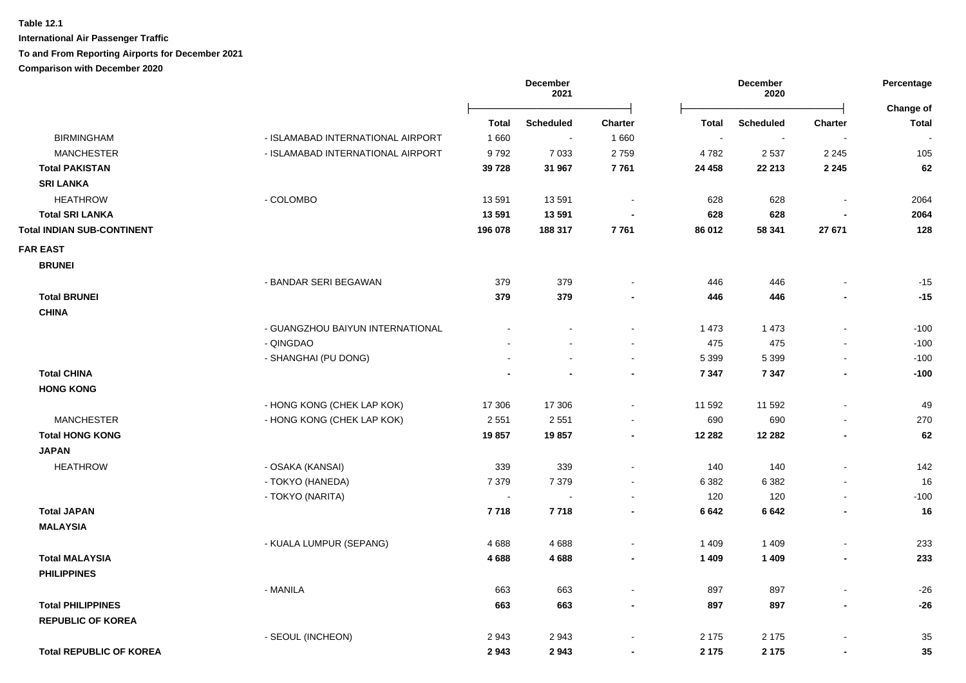**International Air Passenger Traffic**

### **To and From Reporting Airports for December 2021**

|                                   |                                   | December<br>2021 |                  |                          | December<br>2020 |                          |                          | Percentage<br>Change of |
|-----------------------------------|-----------------------------------|------------------|------------------|--------------------------|------------------|--------------------------|--------------------------|-------------------------|
|                                   |                                   | <b>Total</b>     | <b>Scheduled</b> | <b>Charter</b>           | <b>Total</b>     | <b>Scheduled</b>         | <b>Charter</b>           | <b>Total</b>            |
| <b>BIRMINGHAM</b>                 | - ISLAMABAD INTERNATIONAL AIRPORT | 1660             | $\sim$           | 1660                     | $\blacksquare$   | $\overline{\phantom{a}}$ | $\overline{\phantom{a}}$ |                         |
| <b>MANCHESTER</b>                 | - ISLAMABAD INTERNATIONAL AIRPORT | 9792             | 7 0 3 3          | 2759                     | 4782             | 2 5 3 7                  | 2 2 4 5                  | 105                     |
| <b>Total PAKISTAN</b>             |                                   | 39 728           | 31 967           | 7761                     | 24 458           | 22 213                   | 2 2 4 5                  | 62                      |
| <b>SRI LANKA</b>                  |                                   |                  |                  |                          |                  |                          |                          |                         |
| <b>HEATHROW</b>                   | - COLOMBO                         | 13591            | 13591            | $\sim$                   | 628              | 628                      | $\blacksquare$           | 2064                    |
| <b>Total SRI LANKA</b>            |                                   | 13 591           | 13 5 91          |                          | 628              | 628                      |                          | 2064                    |
| <b>Total INDIAN SUB-CONTINENT</b> |                                   | 196 078          | 188 317          | 7761                     | 86 012           | 58 341                   | 27 671                   | 128                     |
| <b>FAR EAST</b>                   |                                   |                  |                  |                          |                  |                          |                          |                         |
| <b>BRUNEI</b>                     |                                   |                  |                  |                          |                  |                          |                          |                         |
|                                   | - BANDAR SERI BEGAWAN             | 379              | 379              |                          | 446              | 446                      |                          | $-15$                   |
| <b>Total BRUNEI</b>               |                                   | 379              | 379              |                          | 446              | 446                      |                          | $-15$                   |
| <b>CHINA</b>                      |                                   |                  |                  |                          |                  |                          |                          |                         |
|                                   | - GUANGZHOU BAIYUN INTERNATIONAL  |                  |                  |                          | 1 4 7 3          | 1 4 7 3                  | L,                       | $-100$                  |
|                                   | - QINGDAO                         |                  |                  |                          | 475              | 475                      | L,                       | $-100$                  |
|                                   | - SHANGHAI (PU DONG)              |                  |                  | $\blacksquare$           | 5 3 9 9          | 5 3 9 9                  | $\overline{\phantom{a}}$ | $-100$                  |
| <b>Total CHINA</b>                |                                   |                  |                  | $\blacksquare$           | 7 3 4 7          | 7 3 4 7                  | $\blacksquare$           | $-100$                  |
| <b>HONG KONG</b>                  |                                   |                  |                  |                          |                  |                          |                          |                         |
|                                   | - HONG KONG (CHEK LAP KOK)        | 17 306           | 17 306           | $\blacksquare$           | 11 592           | 11 592                   | $\overline{a}$           | 49                      |
| <b>MANCHESTER</b>                 | - HONG KONG (CHEK LAP KOK)        | 2 5 5 1          | 2551             | $\blacksquare$           | 690              | 690                      | $\blacksquare$           | 270                     |
| <b>Total HONG KONG</b>            |                                   | 19857            | 19857            | $\blacksquare$           | 12 28 2          | 12 2 8 2                 | $\blacksquare$           | 62                      |
| <b>JAPAN</b>                      |                                   |                  |                  |                          |                  |                          |                          |                         |
| <b>HEATHROW</b>                   | - OSAKA (KANSAI)                  | 339              | 339              | $\blacksquare$           | 140              | 140                      | $\blacksquare$           | 142                     |
|                                   | - TOKYO (HANEDA)                  | 7 3 7 9          | 7 3 7 9          | $\blacksquare$           | 6 3 8 2          | 6 3 8 2                  | $\blacksquare$           | 16                      |
|                                   | - TOKYO (NARITA)                  | $\sim$           | $\sim$           | $\blacksquare$           | 120              | 120                      | $\blacksquare$           | $-100$                  |
| <b>Total JAPAN</b>                |                                   | 7718             | 7718             | $\blacksquare$           | 6642             | 6642                     | $\blacksquare$           | 16                      |
| <b>MALAYSIA</b>                   |                                   |                  |                  |                          |                  |                          |                          |                         |
|                                   | - KUALA LUMPUR (SEPANG)           | 4688             | 4688             | $\blacksquare$           | 1 4 0 9          | 1 4 0 9                  | $\blacksquare$           | 233                     |
| <b>Total MALAYSIA</b>             |                                   | 4688             | 4688             | $\blacksquare$           | 1 4 0 9          | 1 4 0 9                  | $\blacksquare$           | 233                     |
| <b>PHILIPPINES</b>                |                                   |                  |                  |                          |                  |                          |                          |                         |
|                                   | - MANILA                          | 663              | 663              | $\blacksquare$           | 897              | 897                      | $\blacksquare$           | $-26$                   |
| <b>Total PHILIPPINES</b>          |                                   | 663              | 663              | $\blacksquare$           | 897              | 897                      | $\blacksquare$           | $-26$                   |
| <b>REPUBLIC OF KOREA</b>          |                                   |                  |                  |                          |                  |                          |                          |                         |
|                                   | - SEOUL (INCHEON)                 | 2943             | 2943             | $\overline{\phantom{0}}$ | 2 1 7 5          | 2 1 7 5                  |                          | 35                      |
| <b>Total REPUBLIC OF KOREA</b>    |                                   | 2943             | 2943             | $\blacksquare$           | 2 1 7 5          | 2 1 7 5                  | $\blacksquare$           | 35                      |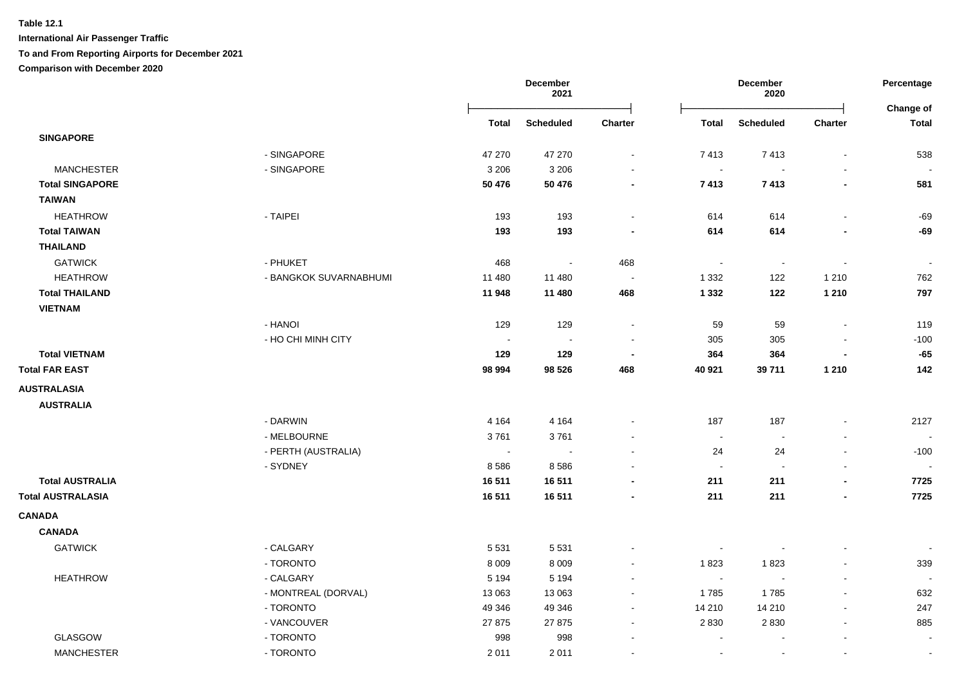|                          |                        |                | December<br>2021 |                          | December<br>2020 |                  |                          | Percentage<br>Change of |
|--------------------------|------------------------|----------------|------------------|--------------------------|------------------|------------------|--------------------------|-------------------------|
|                          |                        | Total          | <b>Scheduled</b> | <b>Charter</b>           | <b>Total</b>     | <b>Scheduled</b> | <b>Charter</b>           | <b>Total</b>            |
| <b>SINGAPORE</b>         |                        |                |                  |                          |                  |                  |                          |                         |
|                          | - SINGAPORE            | 47 270         | 47 270           | $\blacksquare$           | 7413             | 7413             | $\blacksquare$           | 538                     |
| <b>MANCHESTER</b>        | - SINGAPORE            | 3 2 0 6        | 3 2 0 6          | $\sim$                   | $\sim$           | $\sim$           | $\blacksquare$           |                         |
| <b>Total SINGAPORE</b>   |                        | 50 476         | 50 476           | $\blacksquare$           | 7413             | 7413             | $\blacksquare$           | 581                     |
| <b>TAIWAN</b>            |                        |                |                  |                          |                  |                  |                          |                         |
| <b>HEATHROW</b>          | - TAIPEI               | 193            | 193              | $\blacksquare$           | 614              | 614              | $\overline{\phantom{a}}$ | -69                     |
| <b>Total TAIWAN</b>      |                        | 193            | 193              | $\blacksquare$           | 614              | 614              | $\overline{\phantom{a}}$ | $-69$                   |
| <b>THAILAND</b>          |                        |                |                  |                          |                  |                  |                          |                         |
| <b>GATWICK</b>           | - PHUKET               | 468            | $\sim$           | 468                      | $\sim$           | $\sim$           | $\blacksquare$           | $\sim$                  |
| <b>HEATHROW</b>          | - BANGKOK SUVARNABHUMI | 11 480         | 11 480           | $\sim$                   | 1 3 3 2          | 122              | 1 2 1 0                  | 762                     |
| <b>Total THAILAND</b>    |                        | 11 948         | 11 480           | 468                      | 1 3 3 2          | 122              | 1 2 1 0                  | 797                     |
| <b>VIETNAM</b>           |                        |                |                  |                          |                  |                  |                          |                         |
|                          | - HANOI                | 129            | 129              | $\sim$                   | 59               | 59               | $\blacksquare$           | 119                     |
|                          | - HO CHI MINH CITY     | $\sim$         | $\sim$           | $\sim$                   | 305              | 305              | $\blacksquare$           | $-100$                  |
| <b>Total VIETNAM</b>     |                        | 129            | 129              | $\blacksquare$           | 364              | 364              | $\overline{\phantom{a}}$ | $-65$                   |
| <b>Total FAR EAST</b>    |                        | 98 994         | 98 5 26          | 468                      | 40 921           | 39711            | 1 2 1 0                  | 142                     |
| <b>AUSTRALASIA</b>       |                        |                |                  |                          |                  |                  |                          |                         |
| <b>AUSTRALIA</b>         |                        |                |                  |                          |                  |                  |                          |                         |
|                          | - DARWIN               | 4 1 6 4        | 4 1 6 4          | $\blacksquare$           | 187              | 187              |                          | 2127                    |
|                          | - MELBOURNE            | 3761           | 3761             |                          | $\sim$           | $\sim$           |                          |                         |
|                          | - PERTH (AUSTRALIA)    | $\blacksquare$ |                  | $\mathbf{r}$             | 24               | 24               | $\blacksquare$           | $-100$                  |
|                          | - SYDNEY               | 8586           | 8586             | $\sim$                   | $\sim$           | $\sim$           | $\blacksquare$           |                         |
| <b>Total AUSTRALIA</b>   |                        | 16 511         | 16511            | $\blacksquare$           | 211              | 211              | $\blacksquare$           | 7725                    |
| <b>Total AUSTRALASIA</b> |                        | 16511          | 16511            | $\overline{\phantom{a}}$ | 211              | 211              | $\overline{\phantom{a}}$ | 7725                    |
| <b>CANADA</b>            |                        |                |                  |                          |                  |                  |                          |                         |
| <b>CANADA</b>            |                        |                |                  |                          |                  |                  |                          |                         |
| <b>GATWICK</b>           | - CALGARY              | 5 5 3 1        | 5 5 3 1          | $\blacksquare$           |                  | $\sim$           | $\overline{a}$           | $\sim$                  |
|                          | - TORONTO              | 8 0 0 9        | 8 0 0 9          | $\sim$                   | 1823             | 1823             | $\blacksquare$           | 339                     |
| <b>HEATHROW</b>          | - CALGARY              | 5 1 9 4        | 5 1 9 4          | $\blacksquare$           | $\sim$           | $\sim$           | $\blacksquare$           |                         |
|                          | - MONTREAL (DORVAL)    | 13 063         | 13 063           | $\blacksquare$           | 1785             | 1785             | $\blacksquare$           | 632                     |
|                          | - TORONTO              | 49 346         | 49 346           | $\sim$                   | 14 210           | 14 210           | L,                       | 247                     |
|                          | - VANCOUVER            | 27 875         | 27 875           | $\blacksquare$           | 2 8 3 0          | 2830             | $\sim$                   | 885                     |
| <b>GLASGOW</b>           | - TORONTO              | 998            | 998              | $\blacksquare$           |                  |                  |                          |                         |
| <b>MANCHESTER</b>        | - TORONTO              | 2011           | 2011             | $\sim$                   | $\sim$           | $\sim$           | L,                       | $\sim$                  |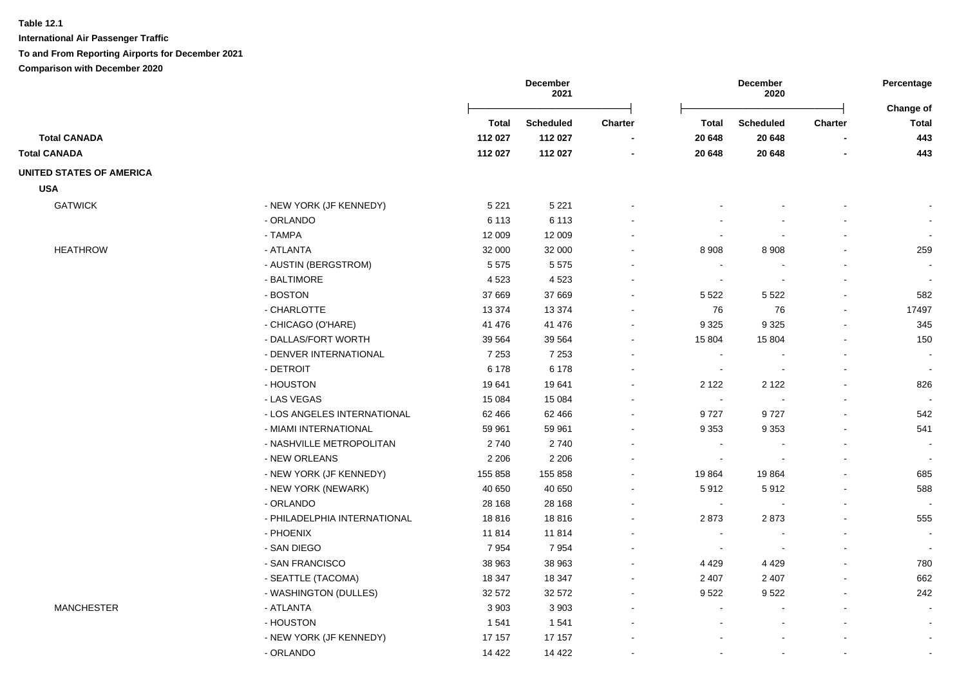|                          |                              |              | <b>December</b><br>2021 |                          |                          | December<br>2020 |                | Percentage<br>Change of  |
|--------------------------|------------------------------|--------------|-------------------------|--------------------------|--------------------------|------------------|----------------|--------------------------|
|                          |                              | <b>Total</b> | <b>Scheduled</b>        | <b>Charter</b>           | <b>Total</b>             | <b>Scheduled</b> | <b>Charter</b> | <b>Total</b>             |
| <b>Total CANADA</b>      |                              | 112 027      | 112 027                 |                          | 20 648                   | 20 648           |                | 443                      |
| <b>Total CANADA</b>      |                              | 112 027      | 112 027                 | $\overline{\phantom{a}}$ | 20 648                   | 20 648           | $\blacksquare$ | 443                      |
| UNITED STATES OF AMERICA |                              |              |                         |                          |                          |                  |                |                          |
| <b>USA</b>               |                              |              |                         |                          |                          |                  |                |                          |
| <b>GATWICK</b>           | - NEW YORK (JF KENNEDY)      | 5 2 2 1      | 5 2 2 1                 |                          |                          |                  |                |                          |
|                          | - ORLANDO                    | 6 1 1 3      | 6 1 1 3                 |                          |                          |                  |                | $\blacksquare$           |
|                          | - TAMPA                      | 12 009       | 12 009                  | $\blacksquare$           |                          |                  |                | $\blacksquare$           |
| <b>HEATHROW</b>          | - ATLANTA                    | 32 000       | 32 000                  |                          | 8 9 0 8                  | 8 9 0 8          | $\blacksquare$ | 259                      |
|                          | - AUSTIN (BERGSTROM)         | 5575         | 5575                    |                          | $\overline{\phantom{a}}$ |                  | $\blacksquare$ |                          |
|                          | - BALTIMORE                  | 4523         | 4523                    |                          | $\overline{\phantom{a}}$ |                  |                |                          |
|                          | - BOSTON                     | 37 669       | 37 669                  |                          | 5 5 2 2                  | 5 5 2 2          | $\blacksquare$ | 582                      |
|                          | - CHARLOTTE                  | 13 3 7 4     | 13 3 7 4                | $\sim$                   | 76                       | 76               | $\blacksquare$ | 17497                    |
|                          | - CHICAGO (O'HARE)           | 41 476       | 41 476                  |                          | 9 3 2 5                  | 9 3 2 5          |                | 345                      |
|                          | - DALLAS/FORT WORTH          | 39 5 64      | 39 5 64                 |                          | 15 804                   | 15 804           |                | 150                      |
|                          | - DENVER INTERNATIONAL       | 7 2 5 3      | 7 2 5 3                 |                          | $\overline{\phantom{a}}$ |                  |                |                          |
|                          | - DETROIT                    | 6 178        | 6 178                   |                          | $\overline{\phantom{a}}$ |                  |                | $\overline{\phantom{a}}$ |
|                          | - HOUSTON                    | 19641        | 19641                   |                          | 2 1 2 2                  | 2 1 2 2          |                | 826                      |
|                          | - LAS VEGAS                  | 15 0 84      | 15 0 84                 |                          | $\sim$                   |                  |                |                          |
|                          | - LOS ANGELES INTERNATIONAL  | 62 466       | 62 466                  | $\blacksquare$           | 9727                     | 9727             |                | 542                      |
|                          | - MIAMI INTERNATIONAL        | 59 961       | 59 961                  |                          | 9 3 5 3                  | 9 3 5 3          | $\blacksquare$ | 541                      |
|                          | - NASHVILLE METROPOLITAN     | 2740         | 2740                    |                          | $\overline{a}$           |                  |                |                          |
|                          | - NEW ORLEANS                | 2 2 0 6      | 2 2 0 6                 |                          |                          |                  |                | $\sim$                   |
|                          | - NEW YORK (JF KENNEDY)      | 155 858      | 155 858                 |                          | 19864                    | 19864            |                | 685                      |
|                          | - NEW YORK (NEWARK)          | 40 650       | 40 650                  | $\overline{\phantom{a}}$ | 5912                     | 5912             | $\blacksquare$ | 588                      |
|                          | - ORLANDO                    | 28 168       | 28 168                  | $\blacksquare$           | $\blacksquare$           |                  | $\blacksquare$ | $\sim$                   |
|                          | - PHILADELPHIA INTERNATIONAL | 18816        | 18816                   |                          | 2873                     | 2873             | $\blacksquare$ | 555                      |
|                          | - PHOENIX                    | 11814        | 11814                   |                          | $\overline{a}$           |                  |                |                          |
|                          | - SAN DIEGO                  | 7954         | 7954                    |                          |                          |                  |                | $\sim$                   |
|                          | - SAN FRANCISCO              | 38 963       | 38 963                  |                          | 4 4 2 9                  | 4 4 2 9          |                | 780                      |
|                          | - SEATTLE (TACOMA)           | 18 347       | 18 347                  | $\sim$                   | 2 4 0 7                  | 2 4 0 7          | $\blacksquare$ | 662                      |
|                          | - WASHINGTON (DULLES)        | 32 572       | 32 572                  | $\blacksquare$           | 9522                     | 9522             |                | 242                      |
| <b>MANCHESTER</b>        | - ATLANTA                    | 3 9 0 3      | 3 9 0 3                 |                          | $\blacksquare$           |                  | $\blacksquare$ | $\blacksquare$           |
|                          | - HOUSTON                    | 1 5 4 1      | 1 541                   |                          |                          |                  |                | $\sim$                   |
|                          | - NEW YORK (JF KENNEDY)      | 17 157       | 17 157                  |                          |                          |                  |                | $\blacksquare$           |
|                          | - ORLANDO                    | 14 4 22      | 14 4 22                 |                          |                          |                  |                | $\sim$                   |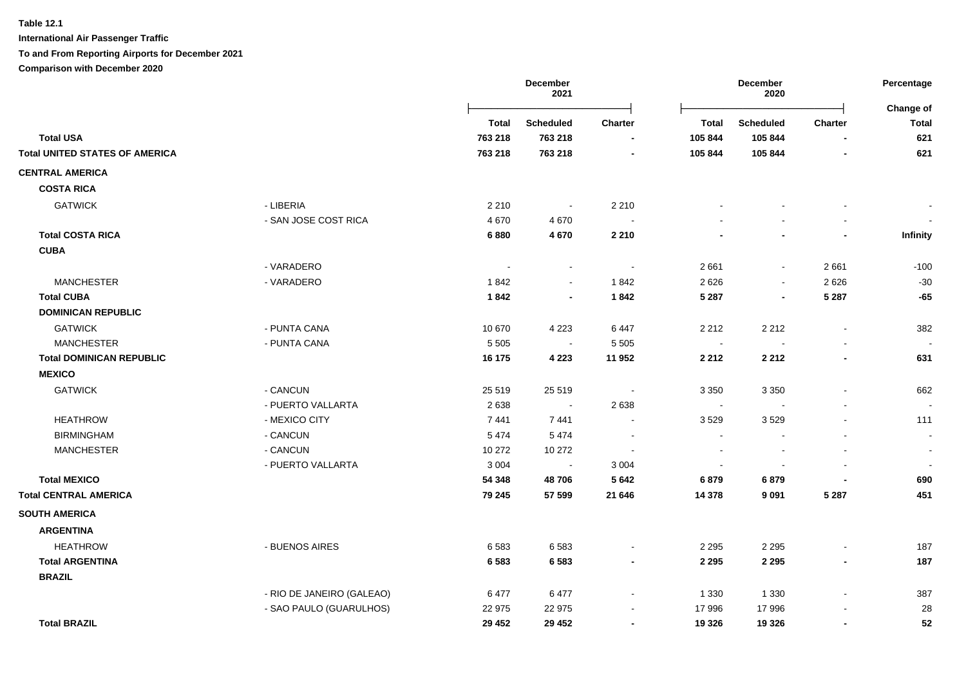**International Air Passenger Traffic**

**To and From Reporting Airports for December 2021**

|                                       |                           | <b>December</b><br>2021 |                  |                | December<br>2020          |                |                          |                           |
|---------------------------------------|---------------------------|-------------------------|------------------|----------------|---------------------------|----------------|--------------------------|---------------------------|
|                                       |                           | Total                   | <b>Scheduled</b> | Charter        | Total<br><b>Scheduled</b> |                | <b>Charter</b>           | Change of<br><b>Total</b> |
| <b>Total USA</b>                      |                           | 763 218                 | 763 218          |                | 105 844                   | 105 844        |                          | 621                       |
| <b>Total UNITED STATES OF AMERICA</b> |                           | 763 218                 | 763 218          |                | 105 844                   | 105 844        |                          | 621                       |
| <b>CENTRAL AMERICA</b>                |                           |                         |                  |                |                           |                |                          |                           |
| <b>COSTA RICA</b>                     |                           |                         |                  |                |                           |                |                          |                           |
| <b>GATWICK</b>                        | - LIBERIA                 | 2 2 1 0                 | $\sim$           | 2 2 1 0        |                           |                |                          |                           |
|                                       | - SAN JOSE COST RICA      | 4670                    | 4670             |                |                           |                |                          |                           |
| <b>Total COSTA RICA</b>               |                           | 6880                    | 4 6 7 0          | 2 2 1 0        |                           |                |                          | <b>Infinity</b>           |
| <b>CUBA</b>                           |                           |                         |                  |                |                           |                |                          |                           |
|                                       | - VARADERO                | $\blacksquare$          | $\sim$           | $\sim$         | 2661                      | $\Delta$       | 2661                     | $-100$                    |
| <b>MANCHESTER</b>                     | - VARADERO                | 1842                    | $\blacksquare$   | 1842           | 2 6 2 6                   | $\blacksquare$ | 2626                     | $-30$                     |
| <b>Total CUBA</b>                     |                           | 1842                    | $\blacksquare$   | 1842           | 5 2 8 7                   | $\overline{a}$ | 5 2 8 7                  | $-65$                     |
| <b>DOMINICAN REPUBLIC</b>             |                           |                         |                  |                |                           |                |                          |                           |
| <b>GATWICK</b>                        | - PUNTA CANA              | 10 670                  | 4 2 2 3          | 6 4 4 7        | 2 2 1 2                   | 2 2 1 2        | $\overline{\phantom{a}}$ | 382                       |
| <b>MANCHESTER</b>                     | - PUNTA CANA              | 5 5 0 5                 | $\sim$           | 5 5 0 5        | $\overline{\phantom{a}}$  |                |                          |                           |
| <b>Total DOMINICAN REPUBLIC</b>       |                           | 16 175                  | 4 2 2 3          | 11 952         | 2 2 1 2                   | 2 2 1 2        | $\blacksquare$           | 631                       |
| <b>MEXICO</b>                         |                           |                         |                  |                |                           |                |                          |                           |
| <b>GATWICK</b>                        | - CANCUN                  | 25 5 19                 | 25 5 19          |                | 3 3 5 0                   | 3 3 5 0        |                          | 662                       |
|                                       | - PUERTO VALLARTA         | 2638                    |                  | 2638           | $\overline{\phantom{a}}$  |                |                          |                           |
| <b>HEATHROW</b>                       | - MEXICO CITY             | 7441                    | 7441             |                | 3529                      | 3529           |                          | 111                       |
| <b>BIRMINGHAM</b>                     | - CANCUN                  | 5474                    | 5474             |                |                           |                |                          | $\blacksquare$            |
| <b>MANCHESTER</b>                     | - CANCUN                  | 10 272                  | 10 272           |                |                           |                |                          |                           |
|                                       | - PUERTO VALLARTA         | 3 0 0 4                 | $\blacksquare$   | 3 0 0 4        | $\overline{\phantom{a}}$  |                |                          | $\sim$                    |
| <b>Total MEXICO</b>                   |                           | 54 348                  | 48706            | 5 6 4 2        | 6879                      | 6879           |                          | 690                       |
| <b>Total CENTRAL AMERICA</b>          |                           | 79 245                  | 57 599           | 21 646         | 14 3 78                   | 9091           | 5 2 8 7                  | 451                       |
| <b>SOUTH AMERICA</b>                  |                           |                         |                  |                |                           |                |                          |                           |
| <b>ARGENTINA</b>                      |                           |                         |                  |                |                           |                |                          |                           |
| <b>HEATHROW</b>                       | - BUENOS AIRES            | 6583                    | 6583             |                | 2 2 9 5                   | 2 2 9 5        |                          | 187                       |
| <b>Total ARGENTINA</b>                |                           | 6583                    | 6583             |                | 2 2 9 5                   | 2 2 9 5        | $\blacksquare$           | 187                       |
| <b>BRAZIL</b>                         |                           |                         |                  |                |                           |                |                          |                           |
|                                       | - RIO DE JANEIRO (GALEAO) | 6477                    | 6477             |                | 1 3 3 0                   | 1 3 3 0        | $\blacksquare$           | 387                       |
|                                       | - SAO PAULO (GUARULHOS)   | 22 975                  | 22 975           |                | 17 996                    | 17 996         |                          | 28                        |
| <b>Total BRAZIL</b>                   |                           | 29 452                  | 29 452           | $\blacksquare$ | 19 3 26                   | 19 3 26        | $\blacksquare$           | 52                        |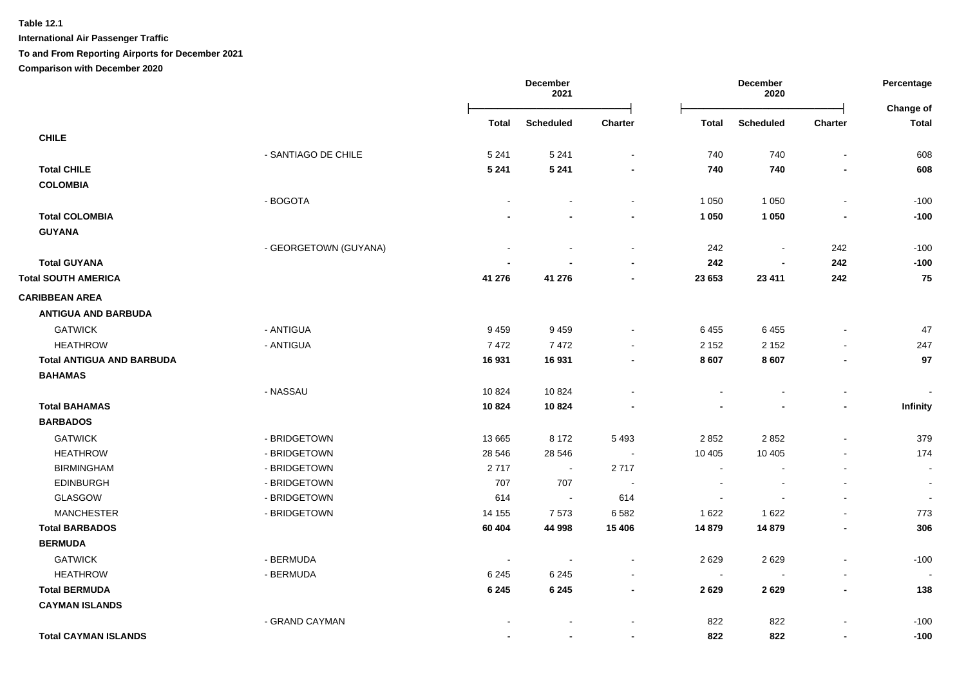**International Air Passenger Traffic**

### **To and From Reporting Airports for December 2021**

|                                  |                       |         | December<br>2021         |                          |         | December<br>2020         |                          |                           |
|----------------------------------|-----------------------|---------|--------------------------|--------------------------|---------|--------------------------|--------------------------|---------------------------|
|                                  |                       | Total   | <b>Scheduled</b>         | Charter                  | Total   | <b>Scheduled</b>         | <b>Charter</b>           | Change of<br><b>Total</b> |
| <b>CHILE</b>                     |                       |         |                          |                          |         |                          |                          |                           |
|                                  | - SANTIAGO DE CHILE   | 5 2 4 1 | 5 2 4 1                  | $\blacksquare$           | 740     | 740                      | $\blacksquare$           | 608                       |
| <b>Total CHILE</b>               |                       | 5 2 4 1 | 5 2 4 1                  | $\blacksquare$           | 740     | 740                      | $\blacksquare$           | 608                       |
| <b>COLOMBIA</b>                  |                       |         |                          |                          |         |                          |                          |                           |
|                                  | - BOGOTA              |         |                          | $\sim$                   | 1 0 5 0 | 1 0 5 0                  | $\overline{\phantom{a}}$ | $-100$                    |
| <b>Total COLOMBIA</b>            |                       |         |                          |                          | 1 0 5 0 | 1 0 5 0                  |                          | $-100$                    |
| <b>GUYANA</b>                    |                       |         |                          |                          |         |                          |                          |                           |
|                                  | - GEORGETOWN (GUYANA) |         | $\overline{a}$           | $\blacksquare$           | 242     | $\blacksquare$           | 242                      | $-100$                    |
| <b>Total GUYANA</b>              |                       |         |                          | $\blacksquare$           | 242     | $\overline{\phantom{a}}$ | 242                      | $-100$                    |
| <b>Total SOUTH AMERICA</b>       |                       | 41 276  | 41 276                   | $\blacksquare$           | 23 653  | 23 411                   | 242                      | 75                        |
| <b>CARIBBEAN AREA</b>            |                       |         |                          |                          |         |                          |                          |                           |
| <b>ANTIGUA AND BARBUDA</b>       |                       |         |                          |                          |         |                          |                          |                           |
| <b>GATWICK</b>                   | - ANTIGUA             | 9459    | 9459                     | $\blacksquare$           | 6455    | 6455                     | $\blacksquare$           | 47                        |
| <b>HEATHROW</b>                  | - ANTIGUA             | 7472    | 7472                     | $\blacksquare$           | 2 1 5 2 | 2 1 5 2                  | $\blacksquare$           | 247                       |
| <b>Total ANTIGUA AND BARBUDA</b> |                       | 16931   | 16931                    | -                        | 8 607   | 8607                     | $\overline{a}$           | 97                        |
| <b>BAHAMAS</b>                   |                       |         |                          |                          |         |                          |                          |                           |
|                                  | - NASSAU              | 10824   | 10824                    | $\overline{a}$           | $\sim$  | $\sim$                   | $\blacksquare$           |                           |
| <b>Total BAHAMAS</b>             |                       | 10824   | 10824                    |                          |         |                          | $\overline{a}$           | Infinity                  |
| <b>BARBADOS</b>                  |                       |         |                          |                          |         |                          |                          |                           |
| <b>GATWICK</b>                   | - BRIDGETOWN          | 13 6 65 | 8 1 7 2                  | 5 4 9 3                  | 2 8 5 2 | 2852                     | $\blacksquare$           | 379                       |
| <b>HEATHROW</b>                  | - BRIDGETOWN          | 28 546  | 28 546                   | $\sim$                   | 10 405  | 10 405                   | $\sim$                   | 174                       |
| <b>BIRMINGHAM</b>                | - BRIDGETOWN          | 2717    | $\blacksquare$           | 2717                     | $\sim$  | $\blacksquare$           | $\blacksquare$           | $\blacksquare$            |
| <b>EDINBURGH</b>                 | - BRIDGETOWN          | 707     | 707                      | $\sim$                   | $\sim$  | $\sim$                   | $\blacksquare$           | $\sim$                    |
| GLASGOW                          | - BRIDGETOWN          | 614     | $\sim$                   | 614                      | $\sim$  |                          | $\blacksquare$           | $\sim$                    |
| <b>MANCHESTER</b>                | - BRIDGETOWN          | 14 155  | 7573                     | 6 5 8 2                  | 1 6 2 2 | 1 6 2 2                  | $\blacksquare$           | 773                       |
| <b>Total BARBADOS</b>            |                       | 60 404  | 44 998                   | 15 4 06                  | 14 879  | 14 879                   | $\blacksquare$           | 306                       |
| <b>BERMUDA</b>                   |                       |         |                          |                          |         |                          |                          |                           |
| <b>GATWICK</b>                   | - BERMUDA             | $\sim$  | $\overline{\phantom{a}}$ | $\blacksquare$           | 2629    | 2629                     | $\mathbf{r}$             | $-100$                    |
| <b>HEATHROW</b>                  | - BERMUDA             | 6 2 4 5 | 6 2 4 5                  | $\sim$                   | $\sim$  | $\blacksquare$           | $\blacksquare$           |                           |
| <b>Total BERMUDA</b>             |                       | 6 2 4 5 | 6 2 4 5                  | $\overline{\phantom{a}}$ | 2629    | 2629                     | $\blacksquare$           | 138                       |
| <b>CAYMAN ISLANDS</b>            |                       |         |                          |                          |         |                          |                          |                           |
|                                  | - GRAND CAYMAN        |         |                          | ÷,                       | 822     | 822                      |                          | $-100$                    |
| <b>Total CAYMAN ISLANDS</b>      |                       |         | $\blacksquare$           | ٠                        | 822     | 822                      | $\blacksquare$           | $-100$                    |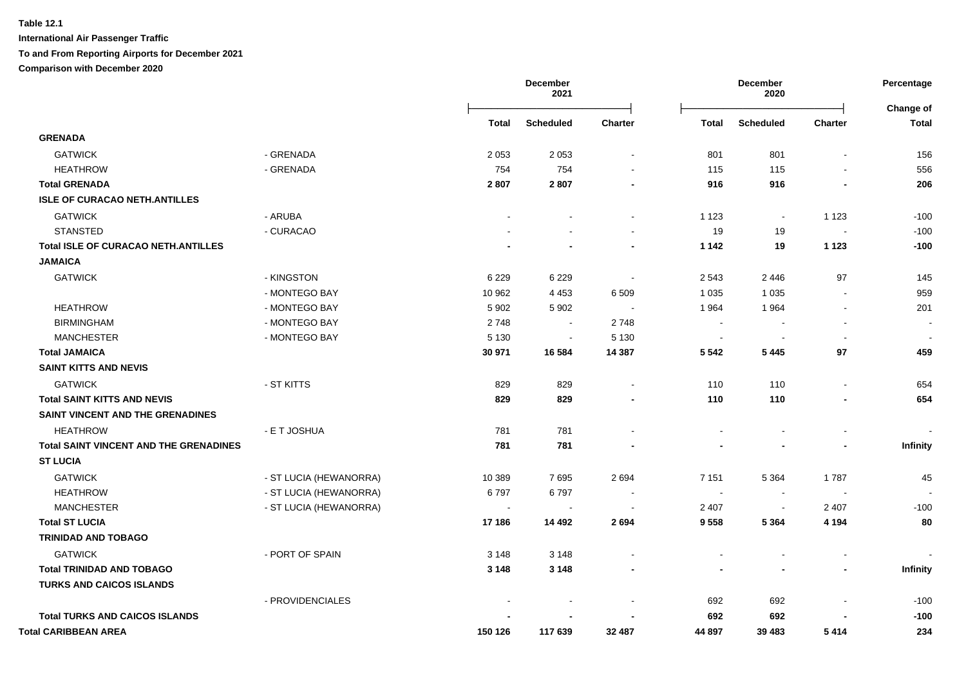|                                               |                        |              | December<br>2021 |                          |                          | December<br>2020 |                          | Percentage                |
|-----------------------------------------------|------------------------|--------------|------------------|--------------------------|--------------------------|------------------|--------------------------|---------------------------|
|                                               |                        | <b>Total</b> | <b>Scheduled</b> | Charter                  | <b>Total</b>             | <b>Scheduled</b> | <b>Charter</b>           | Change of<br><b>Total</b> |
| <b>GRENADA</b>                                |                        |              |                  |                          |                          |                  |                          |                           |
| <b>GATWICK</b>                                | - GRENADA              | 2 0 5 3      | 2 0 5 3          | $\blacksquare$           | 801                      | 801              |                          | 156                       |
| <b>HEATHROW</b>                               | - GRENADA              | 754          | 754              |                          | 115                      | 115              |                          | 556                       |
| <b>Total GRENADA</b>                          |                        | 2807         | 2807             |                          | 916                      | 916              |                          | 206                       |
| <b>ISLE OF CURACAO NETH.ANTILLES</b>          |                        |              |                  |                          |                          |                  |                          |                           |
| <b>GATWICK</b>                                | - ARUBA                |              |                  | $\blacksquare$           | 1 1 2 3                  | $\blacksquare$   | 1 1 2 3                  | $-100$                    |
| <b>STANSTED</b>                               | - CURACAO              |              |                  | $\sim$                   | 19                       | 19               | $\sim$                   | $-100$                    |
| <b>Total ISLE OF CURACAO NETH.ANTILLES</b>    |                        |              |                  | ٠                        | 1 1 4 2                  | 19               | 1 1 2 3                  | $-100$                    |
| <b>JAMAICA</b>                                |                        |              |                  |                          |                          |                  |                          |                           |
| <b>GATWICK</b>                                | - KINGSTON             | 6 2 2 9      | 6 2 2 9          | $\sim$                   | 2 5 4 3                  | 2446             | 97                       | 145                       |
|                                               | - MONTEGO BAY          | 10 962       | 4 4 5 3          | 6 5 0 9                  | 1 0 3 5                  | 1 0 3 5          | $\blacksquare$           | 959                       |
| <b>HEATHROW</b>                               | - MONTEGO BAY          | 5 9 0 2      | 5 9 0 2          |                          | 1964                     | 1964             | $\overline{\phantom{a}}$ | 201                       |
| <b>BIRMINGHAM</b>                             | - MONTEGO BAY          | 2748         | $\sim$           | 2748                     | $\overline{\phantom{a}}$ |                  |                          |                           |
| <b>MANCHESTER</b>                             | - MONTEGO BAY          | 5 1 3 0      | $\sim$           | 5 1 3 0                  | $\sim$                   |                  | $\overline{\phantom{a}}$ |                           |
| <b>Total JAMAICA</b>                          |                        | 30 971       | 16 5 84          | 14 3 8 7                 | 5 5 4 2                  | 5 4 4 5          | 97                       | 459                       |
| <b>SAINT KITTS AND NEVIS</b>                  |                        |              |                  |                          |                          |                  |                          |                           |
| <b>GATWICK</b>                                | - ST KITTS             | 829          | 829              |                          | 110                      | 110              | $\overline{\phantom{a}}$ | 654                       |
| <b>Total SAINT KITTS AND NEVIS</b>            |                        | 829          | 829              |                          | 110                      | 110              |                          | 654                       |
| SAINT VINCENT AND THE GRENADINES              |                        |              |                  |                          |                          |                  |                          |                           |
| <b>HEATHROW</b>                               | - E T JOSHUA           | 781          | 781              |                          |                          |                  |                          |                           |
| <b>Total SAINT VINCENT AND THE GRENADINES</b> |                        | 781          | 781              |                          |                          |                  |                          | Infinity                  |
| <b>ST LUCIA</b>                               |                        |              |                  |                          |                          |                  |                          |                           |
| <b>GATWICK</b>                                | - ST LUCIA (HEWANORRA) | 10 389       | 7695             | 2694                     | 7 1 5 1                  | 5 3 6 4          | 1787                     | 45                        |
| <b>HEATHROW</b>                               | - ST LUCIA (HEWANORRA) | 6797         | 6797             | $\overline{\phantom{a}}$ | $\blacksquare$           | $\blacksquare$   | $\blacksquare$           |                           |
| <b>MANCHESTER</b>                             | - ST LUCIA (HEWANORRA) |              | $\sim$           | $\sim$                   | 2 4 0 7                  | $\sim$           | 2 4 0 7                  | $-100$                    |
| <b>Total ST LUCIA</b>                         |                        | 17 186       | 14 4 9 2         | 2694                     | 9 5 5 8                  | 5 3 6 4          | 4 1 9 4                  | 80                        |
| <b>TRINIDAD AND TOBAGO</b>                    |                        |              |                  |                          |                          |                  |                          |                           |
| <b>GATWICK</b>                                | - PORT OF SPAIN        | 3 1 4 8      | 3 1 4 8          |                          |                          |                  |                          |                           |
| <b>Total TRINIDAD AND TOBAGO</b>              |                        | 3 1 4 8      | 3 1 4 8          |                          |                          |                  |                          | Infinity                  |
| <b>TURKS AND CAICOS ISLANDS</b>               |                        |              |                  |                          |                          |                  |                          |                           |
|                                               | - PROVIDENCIALES       |              |                  |                          | 692                      | 692              |                          | $-100$                    |
| <b>Total TURKS AND CAICOS ISLANDS</b>         |                        |              |                  |                          | 692                      | 692              |                          | $-100$                    |
| <b>Total CARIBBEAN AREA</b>                   |                        | 150 126      | 117 639          | 32 487                   | 44 897                   | 39 483           | 5414                     | 234                       |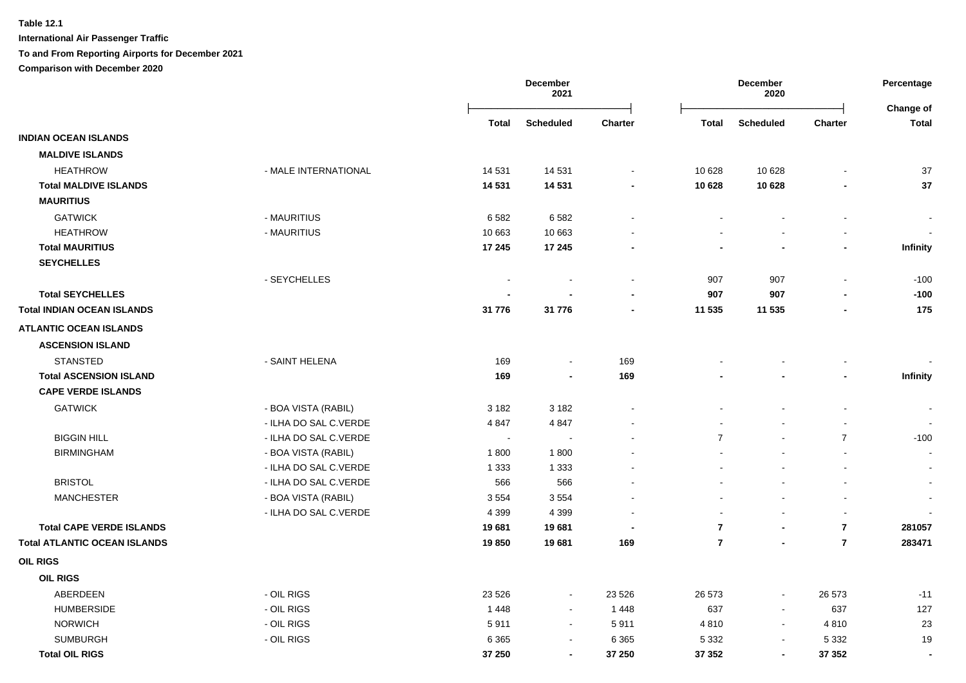|                                     |                       | December<br>2021         |                          |                          |                | December<br>2020 |                          |                           |
|-------------------------------------|-----------------------|--------------------------|--------------------------|--------------------------|----------------|------------------|--------------------------|---------------------------|
|                                     |                       | <b>Total</b>             | <b>Scheduled</b>         | <b>Charter</b>           | <b>Total</b>   | <b>Scheduled</b> | <b>Charter</b>           | Change of<br><b>Total</b> |
| <b>INDIAN OCEAN ISLANDS</b>         |                       |                          |                          |                          |                |                  |                          |                           |
| <b>MALDIVE ISLANDS</b>              |                       |                          |                          |                          |                |                  |                          |                           |
| <b>HEATHROW</b>                     | - MALE INTERNATIONAL  | 14 531                   | 14 531                   | $\blacksquare$           | 10 628         | 10 628           |                          | 37                        |
| <b>Total MALDIVE ISLANDS</b>        |                       | 14 531                   | 14 5 31                  | $\blacksquare$           | 10 628         | 10 628           |                          | 37                        |
| <b>MAURITIUS</b>                    |                       |                          |                          |                          |                |                  |                          |                           |
| <b>GATWICK</b>                      | - MAURITIUS           | 6582                     | 6582                     |                          |                |                  | $\blacksquare$           | $\overline{\phantom{a}}$  |
| <b>HEATHROW</b>                     | - MAURITIUS           | 10 663                   | 10 663                   |                          |                | $\blacksquare$   | $\overline{a}$           |                           |
| <b>Total MAURITIUS</b>              |                       | 17 245                   | 17 245                   |                          | ٠              | $\blacksquare$   | -                        | Infinity                  |
| <b>SEYCHELLES</b>                   |                       |                          |                          |                          |                |                  |                          |                           |
|                                     | - SEYCHELLES          | $\overline{\phantom{a}}$ |                          | $\blacksquare$           | 907            | 907              | $\overline{a}$           | $-100$                    |
| <b>Total SEYCHELLES</b>             |                       |                          |                          |                          | 907            | 907              |                          | $-100$                    |
| <b>Total INDIAN OCEAN ISLANDS</b>   |                       | 31 776                   | 31 776                   | $\overline{\phantom{a}}$ | 11 535         | 11 535           |                          | 175                       |
| <b>ATLANTIC OCEAN ISLANDS</b>       |                       |                          |                          |                          |                |                  |                          |                           |
| <b>ASCENSION ISLAND</b>             |                       |                          |                          |                          |                |                  |                          |                           |
| <b>STANSTED</b>                     | - SAINT HELENA        | 169                      | $\blacksquare$           | 169                      |                |                  |                          |                           |
| <b>Total ASCENSION ISLAND</b>       |                       | 169                      | $\blacksquare$           | 169                      |                |                  |                          | Infinity                  |
| <b>CAPE VERDE ISLANDS</b>           |                       |                          |                          |                          |                |                  |                          |                           |
| <b>GATWICK</b>                      | - BOA VISTA (RABIL)   | 3 1 8 2                  | 3 1 8 2                  |                          |                | $\blacksquare$   | $\overline{a}$           |                           |
|                                     | - ILHA DO SAL C.VERDE | 4 8 4 7                  | 4847                     |                          |                |                  |                          |                           |
| <b>BIGGIN HILL</b>                  | - ILHA DO SAL C.VERDE | $\overline{\phantom{a}}$ | $\overline{\phantom{a}}$ |                          | $\overline{7}$ |                  | $\overline{7}$           | $-100$                    |
| <b>BIRMINGHAM</b>                   | - BOA VISTA (RABIL)   | 1800                     | 1800                     |                          |                |                  | $\overline{a}$           | $\sim$                    |
|                                     | - ILHA DO SAL C.VERDE | 1 3 3 3                  | 1 3 3 3                  |                          |                |                  | $\overline{\phantom{a}}$ | $\blacksquare$            |
| <b>BRISTOL</b>                      | - ILHA DO SAL C.VERDE | 566                      | 566                      |                          |                |                  |                          | $\blacksquare$            |
| <b>MANCHESTER</b>                   | - BOA VISTA (RABIL)   | 3554                     | 3554                     |                          | $\sim$         | $\sim$           | $\blacksquare$           | $\overline{\phantom{a}}$  |
|                                     | - ILHA DO SAL C.VERDE | 4 3 9 9                  | 4 3 9 9                  |                          | $\sim$         | $\blacksquare$   | $\blacksquare$           |                           |
| <b>Total CAPE VERDE ISLANDS</b>     |                       | 19681                    | 19681                    |                          | $\overline{7}$ | $\blacksquare$   | $\overline{7}$           | 281057                    |
| <b>Total ATLANTIC OCEAN ISLANDS</b> |                       | 19850                    | 19681                    | 169                      | $\overline{7}$ | $\blacksquare$   | $\overline{7}$           | 283471                    |
| <b>OIL RIGS</b>                     |                       |                          |                          |                          |                |                  |                          |                           |
| <b>OIL RIGS</b>                     |                       |                          |                          |                          |                |                  |                          |                           |
| ABERDEEN                            | - OIL RIGS            | 23 5 26                  | $\blacksquare$           | 23 5 26                  | 26 573         | $\blacksquare$   | 26 573                   | $-11$                     |
| <b>HUMBERSIDE</b>                   | - OIL RIGS            | 1448                     | $\sim$                   | 1448                     | 637            | $\blacksquare$   | 637                      | 127                       |
| <b>NORWICH</b>                      | - OIL RIGS            | 5911                     | $\sim$                   | 5911                     | 4810           | $\blacksquare$   | 4810                     | 23                        |
| <b>SUMBURGH</b>                     | - OIL RIGS            | 6 3 6 5                  | $\blacksquare$           | 6 3 6 5                  | 5 3 3 2        | $\blacksquare$   | 5 3 3 2                  | 19                        |
| <b>Total OIL RIGS</b>               |                       | 37 250                   | $\blacksquare$           | 37 250                   | 37 352         | $\blacksquare$   | 37 352                   | $\overline{\phantom{a}}$  |